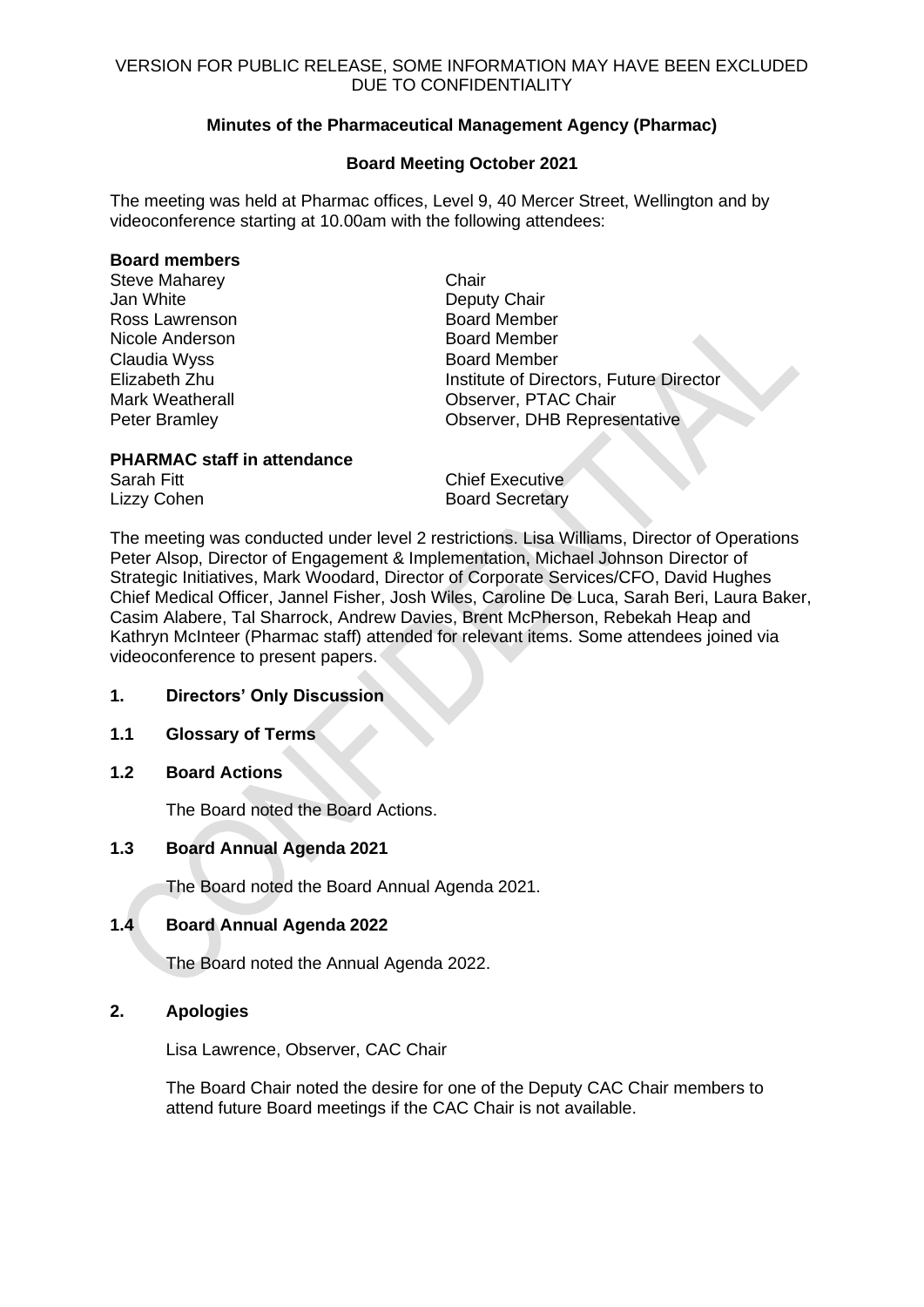# **Minutes of the Pharmaceutical Management Agency (Pharmac)**

# **Board Meeting October 2021**

The meeting was held at Pharmac offices, Level 9, 40 Mercer Street, Wellington and by videoconference starting at 10.00am with the following attendees:

# **Board members**

| <b>Steve Maharey</b>   | Chair   |
|------------------------|---------|
| Jan White              | Depu    |
| Ross Lawrenson         | Board   |
| Nicole Anderson        | Board   |
| Claudia Wyss           | Board   |
| Elizabeth Zhu          | Institu |
| <b>Mark Weatherall</b> | Obse    |
| <b>Peter Bramley</b>   | Obse    |

Deputy Chair **Board Member** Board Member **Board Member** Institute of Directors, Future Director Observer, PTAC Chair Observer, DHB Representative

# **PHARMAC staff in attendance**

Sarah Fitt **Chief Executive** Lizzy Cohen Board Secretary

The meeting was conducted under level 2 restrictions. Lisa Williams, Director of Operations Peter Alsop, Director of Engagement & Implementation, Michael Johnson Director of Strategic Initiatives, Mark Woodard, Director of Corporate Services/CFO, David Hughes Chief Medical Officer, Jannel Fisher, Josh Wiles, Caroline De Luca, Sarah Beri, Laura Baker, Casim Alabere, Tal Sharrock, Andrew Davies, Brent McPherson, Rebekah Heap and Kathryn McInteer (Pharmac staff) attended for relevant items. Some attendees joined via videoconference to present papers.

# **1. Directors' Only Discussion**

# **1.1 Glossary of Terms**

**1.2 Board Actions**

The Board noted the Board Actions.

# **1.3 Board Annual Agenda 2021**

The Board noted the Board Annual Agenda 2021.

# **1.4 Board Annual Agenda 2022**

The Board noted the Annual Agenda 2022.

# **2. Apologies**

Lisa Lawrence, Observer, CAC Chair

The Board Chair noted the desire for one of the Deputy CAC Chair members to attend future Board meetings if the CAC Chair is not available.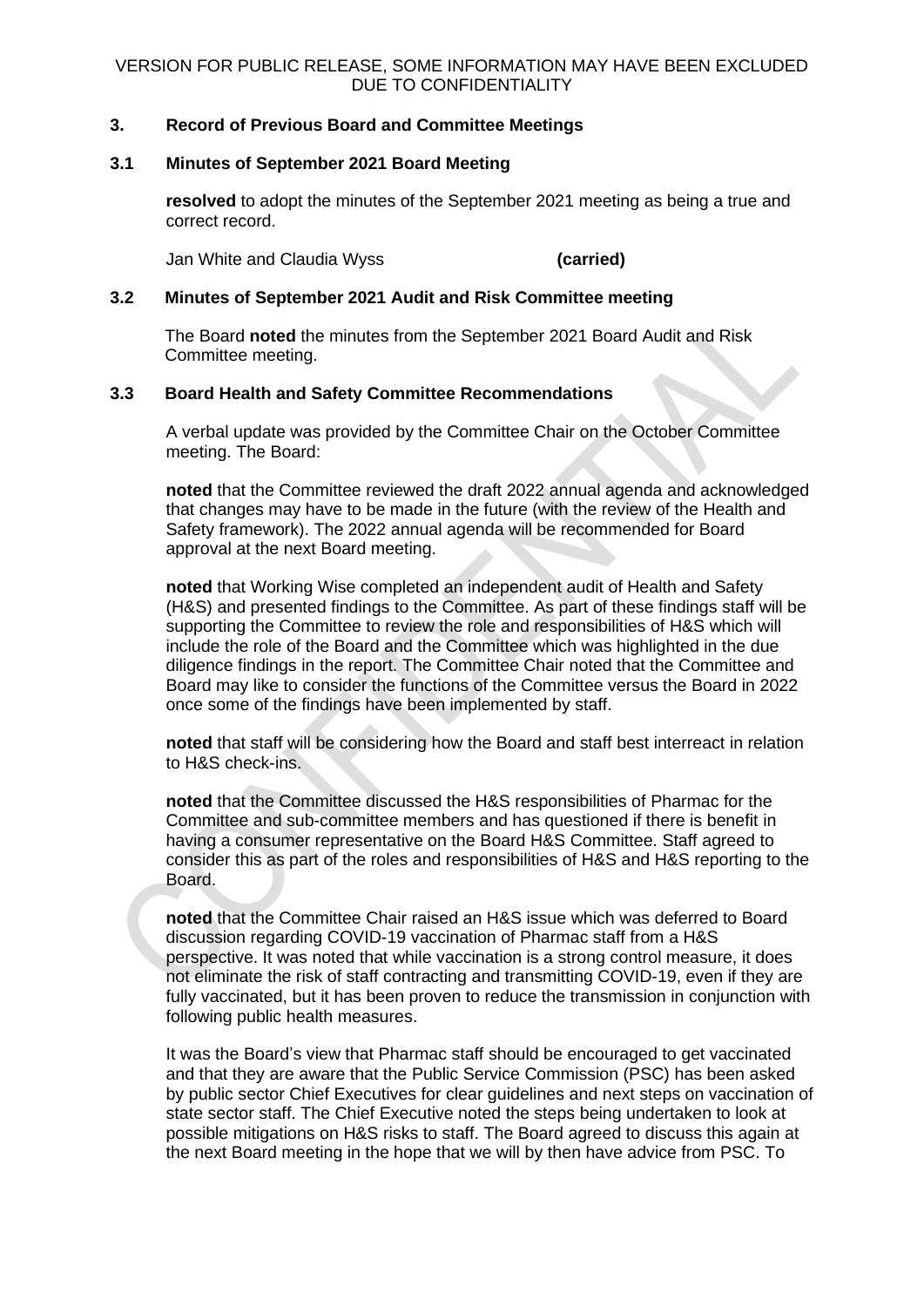# **3. Record of Previous Board and Committee Meetings**

# **3.1 Minutes of September 2021 Board Meeting**

**resolved** to adopt the minutes of the September 2021 meeting as being a true and correct record.

Jan White and Claudia Wyss **(carried)**

# **3.2 Minutes of September 2021 Audit and Risk Committee meeting**

The Board **noted** the minutes from the September 2021 Board Audit and Risk Committee meeting.

# **3.3 Board Health and Safety Committee Recommendations**

A verbal update was provided by the Committee Chair on the October Committee meeting. The Board:

**noted** that the Committee reviewed the draft 2022 annual agenda and acknowledged that changes may have to be made in the future (with the review of the Health and Safety framework). The 2022 annual agenda will be recommended for Board approval at the next Board meeting.

**noted** that Working Wise completed an independent audit of Health and Safety (H&S) and presented findings to the Committee. As part of these findings staff will be supporting the Committee to review the role and responsibilities of H&S which will include the role of the Board and the Committee which was highlighted in the due diligence findings in the report. The Committee Chair noted that the Committee and Board may like to consider the functions of the Committee versus the Board in 2022 once some of the findings have been implemented by staff.

**noted** that staff will be considering how the Board and staff best interreact in relation to H&S check-ins.

**noted** that the Committee discussed the H&S responsibilities of Pharmac for the Committee and sub-committee members and has questioned if there is benefit in having a consumer representative on the Board H&S Committee. Staff agreed to consider this as part of the roles and responsibilities of H&S and H&S reporting to the Board.

**noted** that the Committee Chair raised an H&S issue which was deferred to Board discussion regarding COVID-19 vaccination of Pharmac staff from a H&S perspective. It was noted that while vaccination is a strong control measure, it does not eliminate the risk of staff contracting and transmitting COVID-19, even if they are fully vaccinated, but it has been proven to reduce the transmission in conjunction with following public health measures.

It was the Board's view that Pharmac staff should be encouraged to get vaccinated and that they are aware that the Public Service Commission (PSC) has been asked by public sector Chief Executives for clear guidelines and next steps on vaccination of state sector staff. The Chief Executive noted the steps being undertaken to look at possible mitigations on H&S risks to staff. The Board agreed to discuss this again at the next Board meeting in the hope that we will by then have advice from PSC. To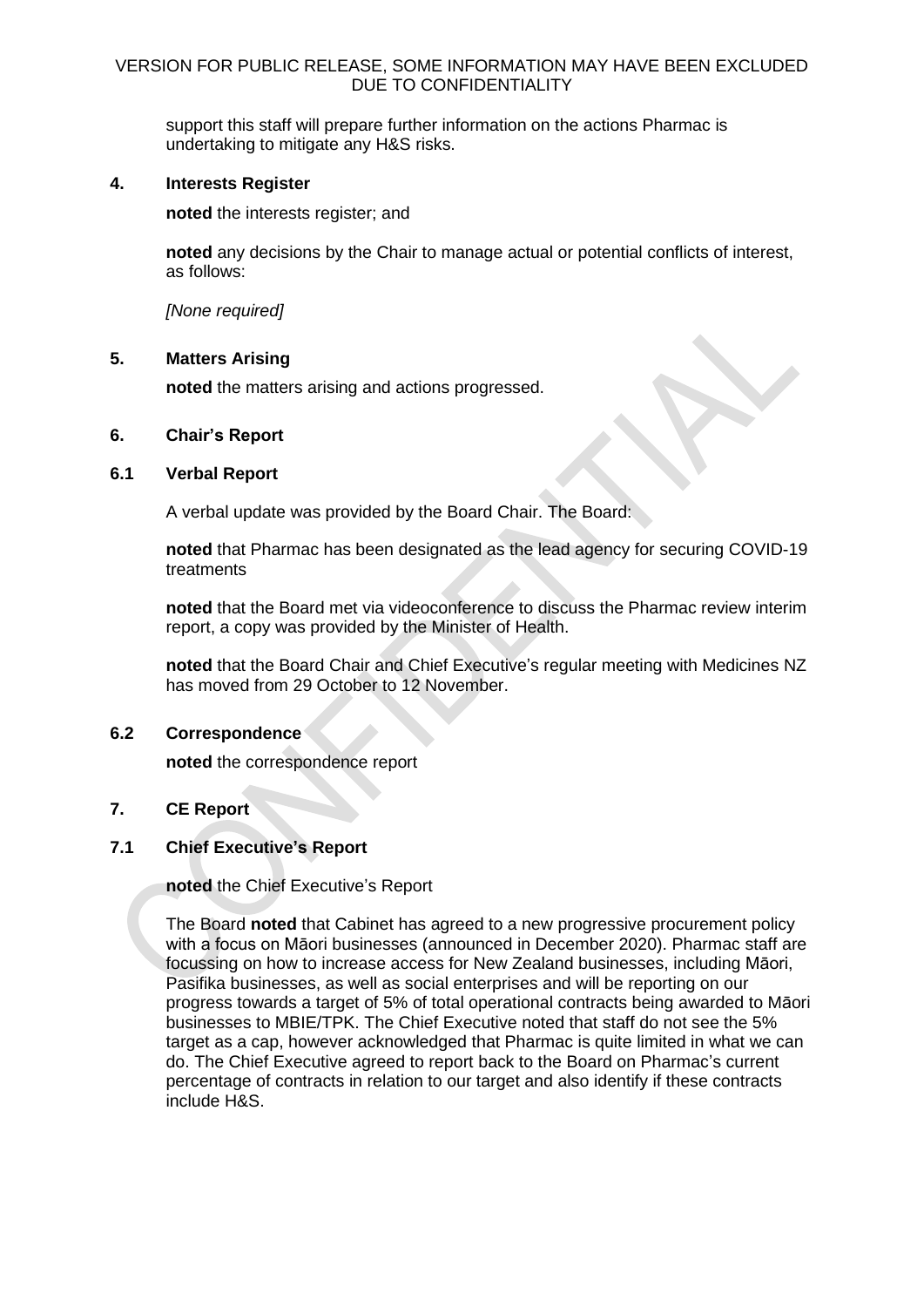support this staff will prepare further information on the actions Pharmac is undertaking to mitigate any H&S risks.

# **4. Interests Register**

**noted** the interests register; and

**noted** any decisions by the Chair to manage actual or potential conflicts of interest, as follows:

*[None required]*

# **5. Matters Arising**

**noted** the matters arising and actions progressed.

# **6. Chair's Report**

# **6.1 Verbal Report**

A verbal update was provided by the Board Chair. The Board:

**noted** that Pharmac has been designated as the lead agency for securing COVID-19 treatments

**noted** that the Board met via videoconference to discuss the Pharmac review interim report, a copy was provided by the Minister of Health.

**noted** that the Board Chair and Chief Executive's regular meeting with Medicines NZ has moved from 29 October to 12 November.

# **6.2 Correspondence**

**noted** the correspondence report

# **7. CE Report**

# **7.1 Chief Executive's Report**

**noted** the Chief Executive's Report

The Board **noted** that Cabinet has agreed to a new progressive procurement policy with a focus on Māori businesses (announced in December 2020). Pharmac staff are focussing on how to increase access for New Zealand businesses, including Māori, Pasifika businesses, as well as social enterprises and will be reporting on our progress towards a target of 5% of total operational contracts being awarded to Māori businesses to MBIE/TPK. The Chief Executive noted that staff do not see the 5% target as a cap, however acknowledged that Pharmac is quite limited in what we can do. The Chief Executive agreed to report back to the Board on Pharmac's current percentage of contracts in relation to our target and also identify if these contracts include H&S.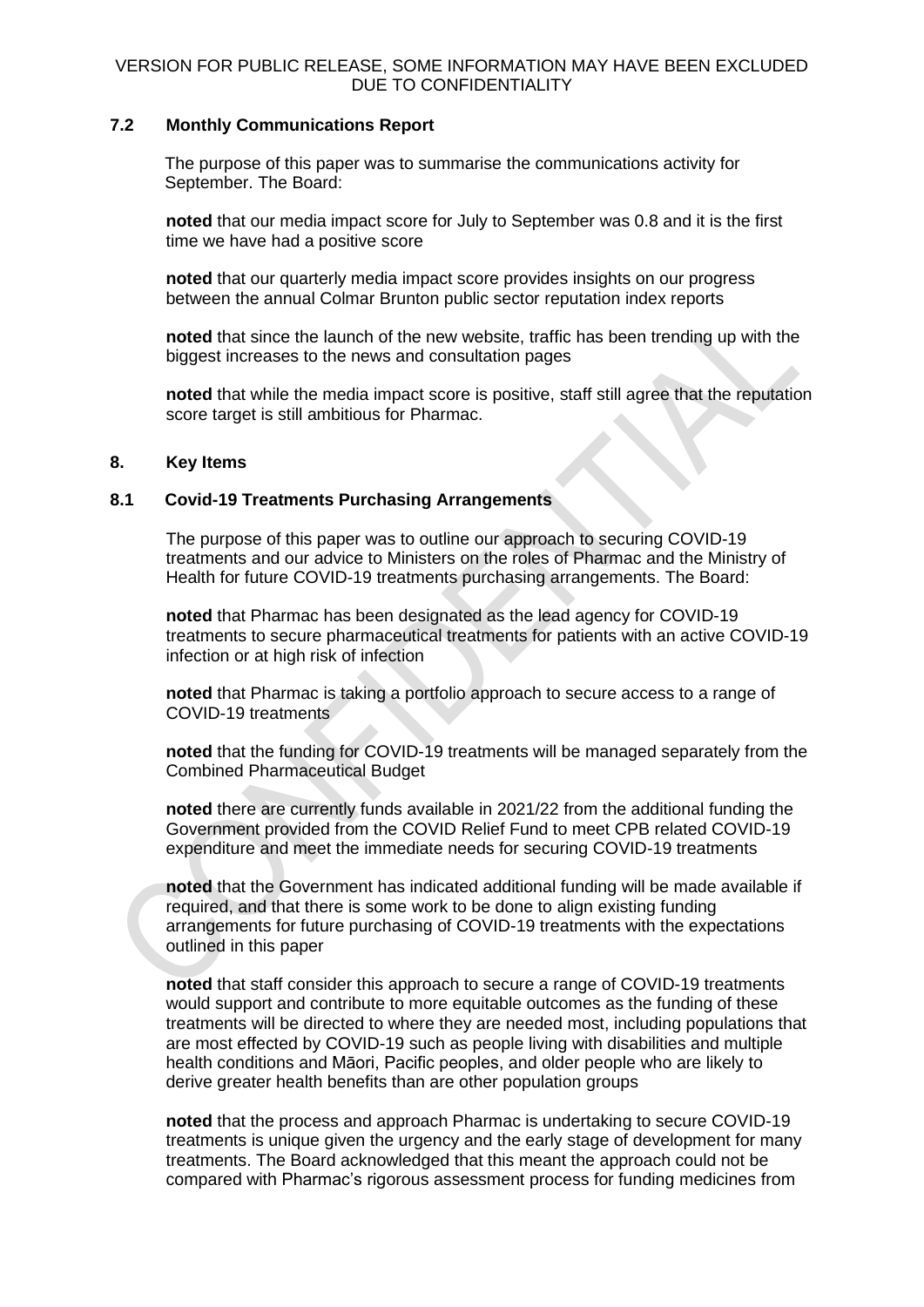# **7.2 Monthly Communications Report**

The purpose of this paper was to summarise the communications activity for September. The Board:

**noted** that our media impact score for July to September was 0.8 and it is the first time we have had a positive score

**noted** that our quarterly media impact score provides insights on our progress between the annual Colmar Brunton public sector reputation index reports

**noted** that since the launch of the new website, traffic has been trending up with the biggest increases to the news and consultation pages

**noted** that while the media impact score is positive, staff still agree that the reputation score target is still ambitious for Pharmac.

# **8. Key Items**

# **8.1 Covid-19 Treatments Purchasing Arrangements**

The purpose of this paper was to outline our approach to securing COVID-19 treatments and our advice to Ministers on the roles of Pharmac and the Ministry of Health for future COVID-19 treatments purchasing arrangements. The Board:

**noted** that Pharmac has been designated as the lead agency for COVID-19 treatments to secure pharmaceutical treatments for patients with an active COVID-19 infection or at high risk of infection

**noted** that Pharmac is taking a portfolio approach to secure access to a range of COVID-19 treatments

**noted** that the funding for COVID-19 treatments will be managed separately from the Combined Pharmaceutical Budget

**noted** there are currently funds available in 2021/22 from the additional funding the Government provided from the COVID Relief Fund to meet CPB related COVID-19 expenditure and meet the immediate needs for securing COVID-19 treatments

**noted** that the Government has indicated additional funding will be made available if required, and that there is some work to be done to align existing funding arrangements for future purchasing of COVID-19 treatments with the expectations outlined in this paper

**noted** that staff consider this approach to secure a range of COVID-19 treatments would support and contribute to more equitable outcomes as the funding of these treatments will be directed to where they are needed most, including populations that are most effected by COVID-19 such as people living with disabilities and multiple health conditions and Māori, Pacific peoples, and older people who are likely to derive greater health benefits than are other population groups

**noted** that the process and approach Pharmac is undertaking to secure COVID-19 treatments is unique given the urgency and the early stage of development for many treatments. The Board acknowledged that this meant the approach could not be compared with Pharmac's rigorous assessment process for funding medicines from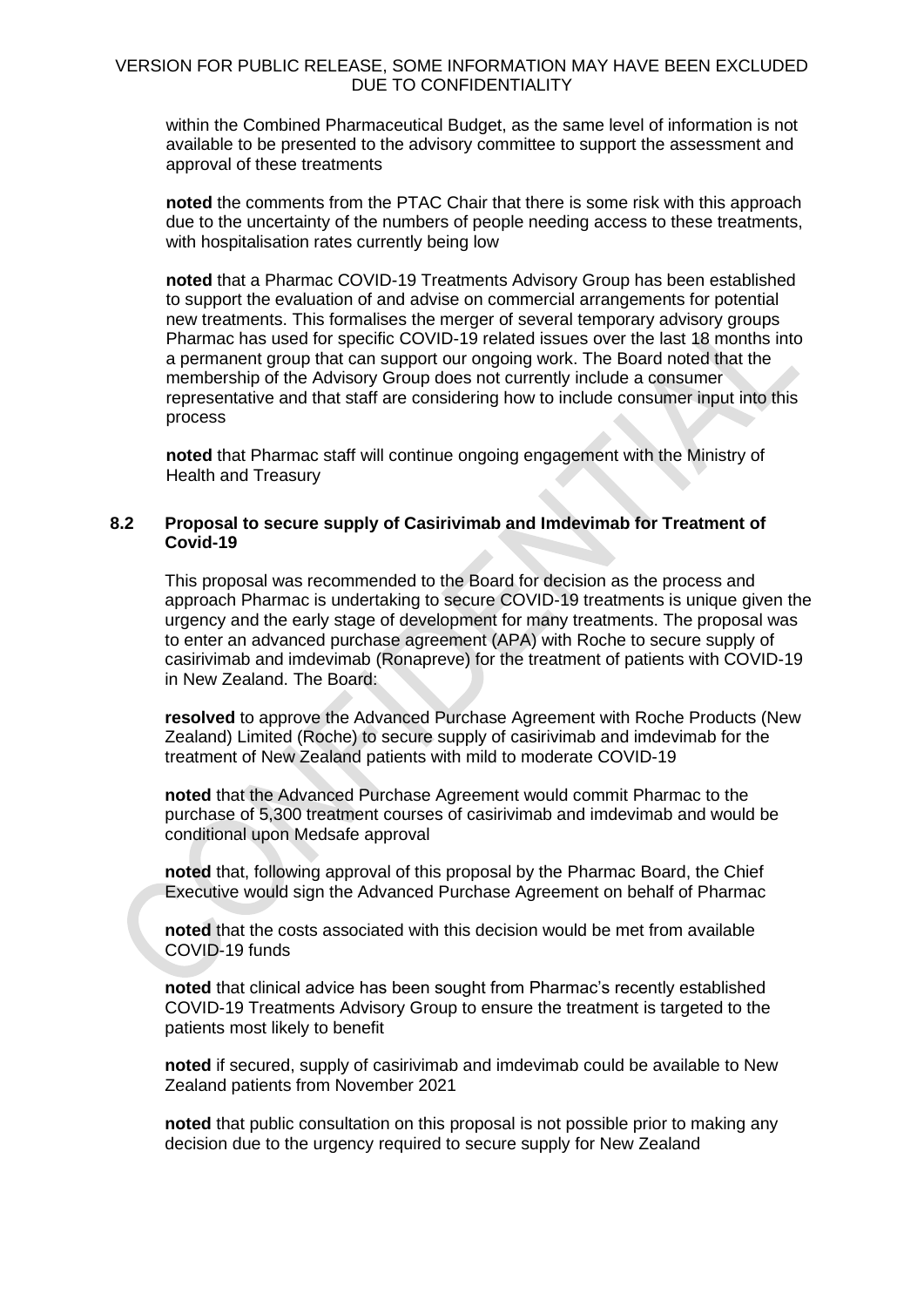within the Combined Pharmaceutical Budget, as the same level of information is not available to be presented to the advisory committee to support the assessment and approval of these treatments

**noted** the comments from the PTAC Chair that there is some risk with this approach due to the uncertainty of the numbers of people needing access to these treatments, with hospitalisation rates currently being low

**noted** that a Pharmac COVID-19 Treatments Advisory Group has been established to support the evaluation of and advise on commercial arrangements for potential new treatments. This formalises the merger of several temporary advisory groups Pharmac has used for specific COVID-19 related issues over the last 18 months into a permanent group that can support our ongoing work. The Board noted that the membership of the Advisory Group does not currently include a consumer representative and that staff are considering how to include consumer input into this process

**noted** that Pharmac staff will continue ongoing engagement with the Ministry of Health and Treasury

# **8.2 Proposal to secure supply of Casirivimab and Imdevimab for Treatment of Covid-19**

This proposal was recommended to the Board for decision as the process and approach Pharmac is undertaking to secure COVID-19 treatments is unique given the urgency and the early stage of development for many treatments. The proposal was to enter an advanced purchase agreement (APA) with Roche to secure supply of casirivimab and imdevimab (Ronapreve) for the treatment of patients with COVID-19 in New Zealand. The Board:

**resolved** to approve the Advanced Purchase Agreement with Roche Products (New Zealand) Limited (Roche) to secure supply of casirivimab and imdevimab for the treatment of New Zealand patients with mild to moderate COVID-19

**noted** that the Advanced Purchase Agreement would commit Pharmac to the purchase of 5,300 treatment courses of casirivimab and imdevimab and would be conditional upon Medsafe approval

**noted** that, following approval of this proposal by the Pharmac Board, the Chief Executive would sign the Advanced Purchase Agreement on behalf of Pharmac

**noted** that the costs associated with this decision would be met from available COVID-19 funds

**noted** that clinical advice has been sought from Pharmac's recently established COVID-19 Treatments Advisory Group to ensure the treatment is targeted to the patients most likely to benefit

**noted** if secured, supply of casirivimab and imdevimab could be available to New Zealand patients from November 2021

**noted** that public consultation on this proposal is not possible prior to making any decision due to the urgency required to secure supply for New Zealand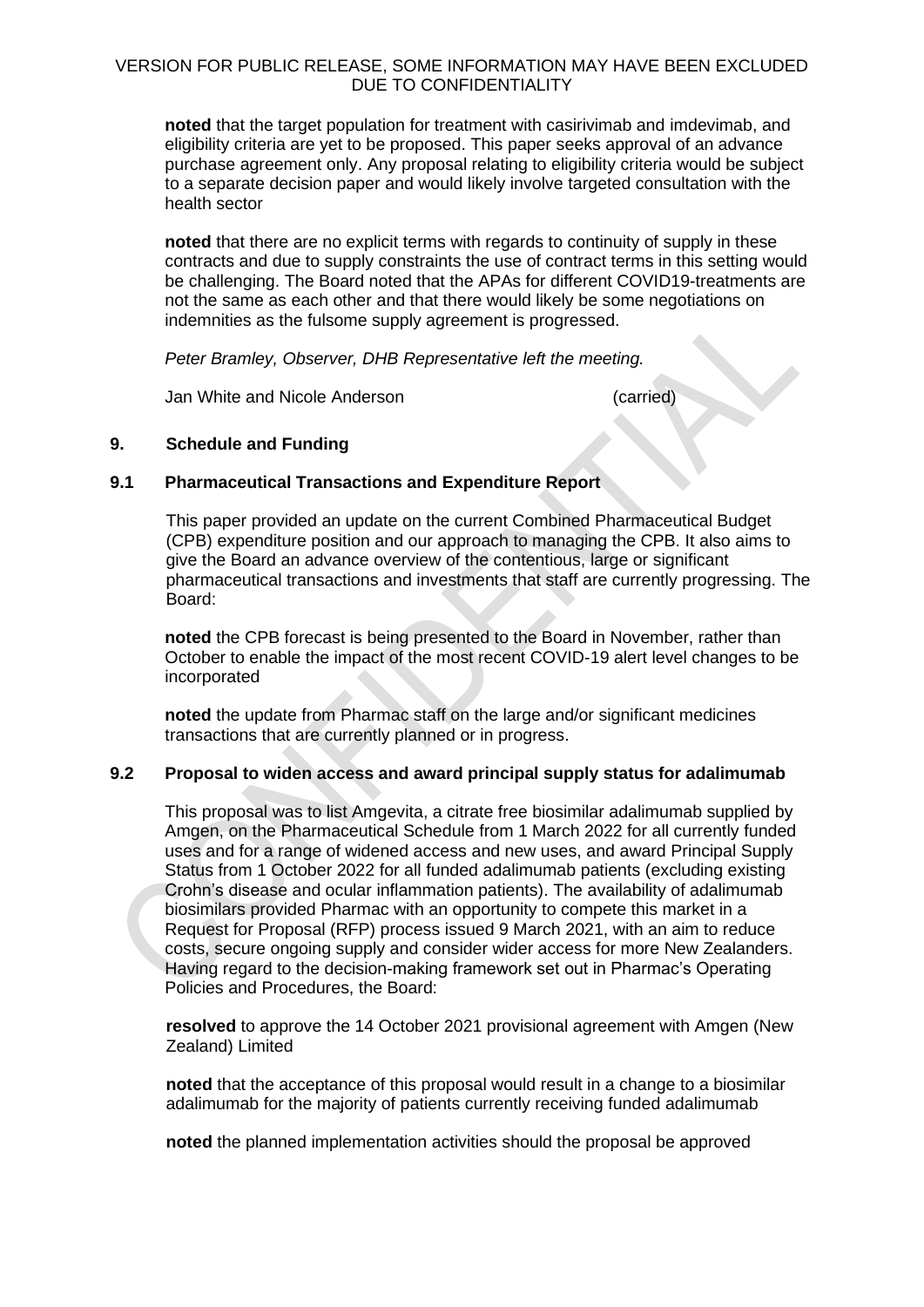**noted** that the target population for treatment with casirivimab and imdevimab, and eligibility criteria are yet to be proposed. This paper seeks approval of an advance purchase agreement only. Any proposal relating to eligibility criteria would be subject to a separate decision paper and would likely involve targeted consultation with the health sector

**noted** that there are no explicit terms with regards to continuity of supply in these contracts and due to supply constraints the use of contract terms in this setting would be challenging. The Board noted that the APAs for different COVID19-treatments are not the same as each other and that there would likely be some negotiations on indemnities as the fulsome supply agreement is progressed.

*Peter Bramley, Observer, DHB Representative left the meeting.*

Jan White and Nicole Anderson (carried)

# **9. Schedule and Funding**

# **9.1 Pharmaceutical Transactions and Expenditure Report**

This paper provided an update on the current Combined Pharmaceutical Budget (CPB) expenditure position and our approach to managing the CPB. It also aims to give the Board an advance overview of the contentious, large or significant pharmaceutical transactions and investments that staff are currently progressing. The Board:

**noted** the CPB forecast is being presented to the Board in November, rather than October to enable the impact of the most recent COVID-19 alert level changes to be incorporated

**noted** the update from Pharmac staff on the large and/or significant medicines transactions that are currently planned or in progress.

# **9.2 Proposal to widen access and award principal supply status for adalimumab**

This proposal was to list Amgevita, a citrate free biosimilar adalimumab supplied by Amgen, on the Pharmaceutical Schedule from 1 March 2022 for all currently funded uses and for a range of widened access and new uses, and award Principal Supply Status from 1 October 2022 for all funded adalimumab patients (excluding existing Crohn's disease and ocular inflammation patients). The availability of adalimumab biosimilars provided Pharmac with an opportunity to compete this market in a Request for Proposal (RFP) process issued 9 March 2021, with an aim to reduce costs, secure ongoing supply and consider wider access for more New Zealanders. Having regard to the decision-making framework set out in Pharmac's Operating Policies and Procedures, the Board:

**resolved** to approve the 14 October 2021 provisional agreement with Amgen (New Zealand) Limited

**noted** that the acceptance of this proposal would result in a change to a biosimilar adalimumab for the majority of patients currently receiving funded adalimumab

**noted** the planned implementation activities should the proposal be approved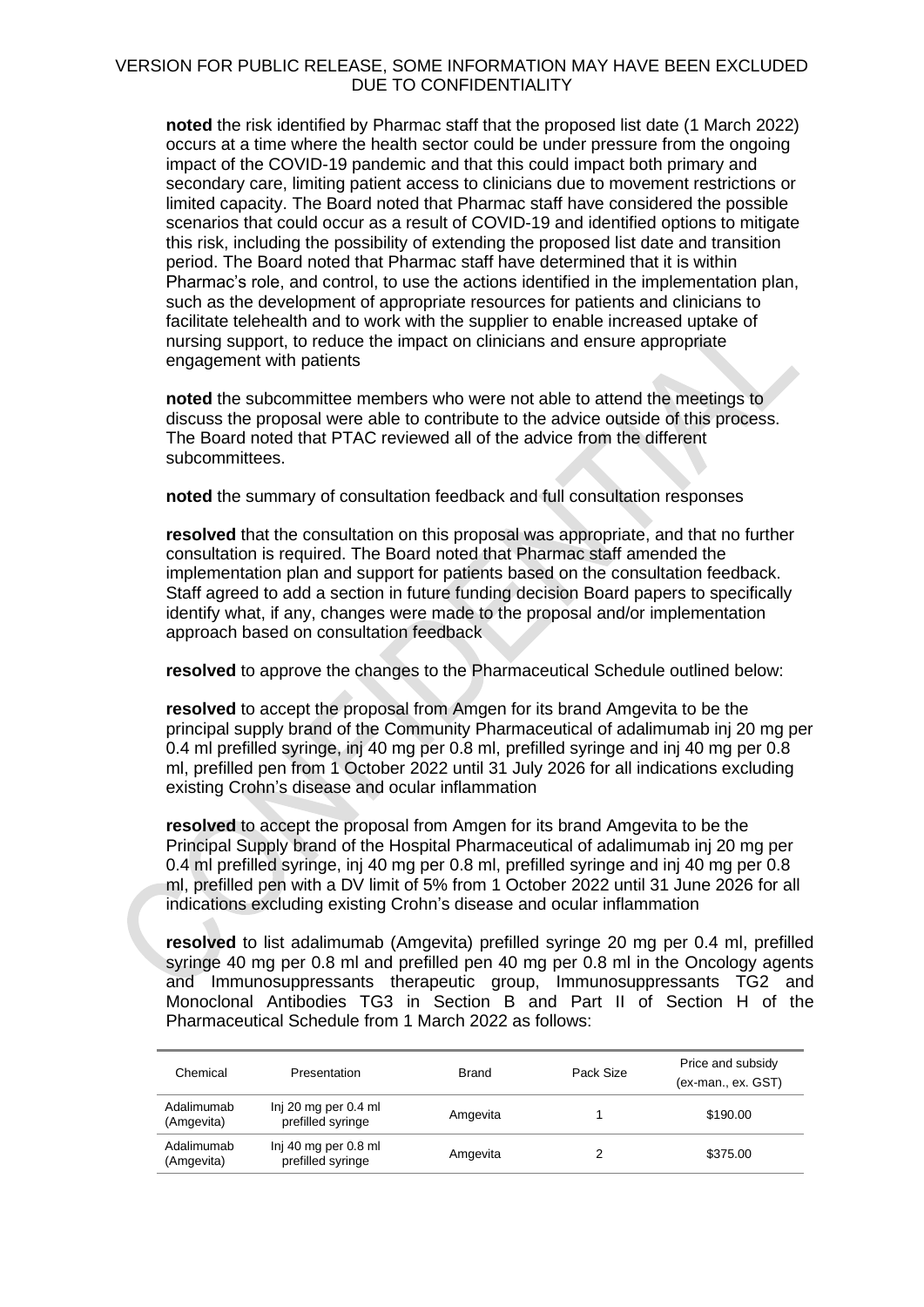**noted** the risk identified by Pharmac staff that the proposed list date (1 March 2022) occurs at a time where the health sector could be under pressure from the ongoing impact of the COVID-19 pandemic and that this could impact both primary and secondary care, limiting patient access to clinicians due to movement restrictions or limited capacity. The Board noted that Pharmac staff have considered the possible scenarios that could occur as a result of COVID-19 and identified options to mitigate this risk, including the possibility of extending the proposed list date and transition period. The Board noted that Pharmac staff have determined that it is within Pharmac's role, and control, to use the actions identified in the implementation plan, such as the development of appropriate resources for patients and clinicians to facilitate telehealth and to work with the supplier to enable increased uptake of nursing support, to reduce the impact on clinicians and ensure appropriate engagement with patients

**noted** the subcommittee members who were not able to attend the meetings to discuss the proposal were able to contribute to the advice outside of this process. The Board noted that PTAC reviewed all of the advice from the different subcommittees.

**noted** the summary of consultation feedback and full consultation responses

**resolved** that the consultation on this proposal was appropriate, and that no further consultation is required. The Board noted that Pharmac staff amended the implementation plan and support for patients based on the consultation feedback. Staff agreed to add a section in future funding decision Board papers to specifically identify what, if any, changes were made to the proposal and/or implementation approach based on consultation feedback

**resolved** to approve the changes to the Pharmaceutical Schedule outlined below:

**resolved** to accept the proposal from Amgen for its brand Amgevita to be the principal supply brand of the Community Pharmaceutical of adalimumab inj 20 mg per 0.4 ml prefilled syringe, inj 40 mg per 0.8 ml, prefilled syringe and inj 40 mg per 0.8 ml, prefilled pen from 1 October 2022 until 31 July 2026 for all indications excluding existing Crohn's disease and ocular inflammation

**resolved** to accept the proposal from Amgen for its brand Amgevita to be the Principal Supply brand of the Hospital Pharmaceutical of adalimumab inj 20 mg per 0.4 ml prefilled syringe, inj 40 mg per 0.8 ml, prefilled syringe and inj 40 mg per 0.8 ml, prefilled pen with a DV limit of 5% from 1 October 2022 until 31 June 2026 for all indications excluding existing Crohn's disease and ocular inflammation

**resolved** to list adalimumab (Amgevita) prefilled syringe 20 mg per 0.4 ml, prefilled syringe 40 mg per 0.8 ml and prefilled pen 40 mg per 0.8 ml in the Oncology agents and Immunosuppressants therapeutic group, Immunosuppressants TG2 and Monoclonal Antibodies TG3 in Section B and Part II of Section H of the Pharmaceutical Schedule from 1 March 2022 as follows:

| Chemical                 | Presentation                              | <b>Brand</b> | Pack Size | Price and subsidy<br>(ex-man., ex. GST) |
|--------------------------|-------------------------------------------|--------------|-----------|-----------------------------------------|
| Adalimumab<br>(Amgevita) | Inj 20 mg per 0.4 ml<br>prefilled syringe | Amgevita     |           | \$190.00                                |
| Adalimumab<br>(Amgevita) | Inj 40 mg per 0.8 ml<br>prefilled syringe | Amgevita     |           | \$375.00                                |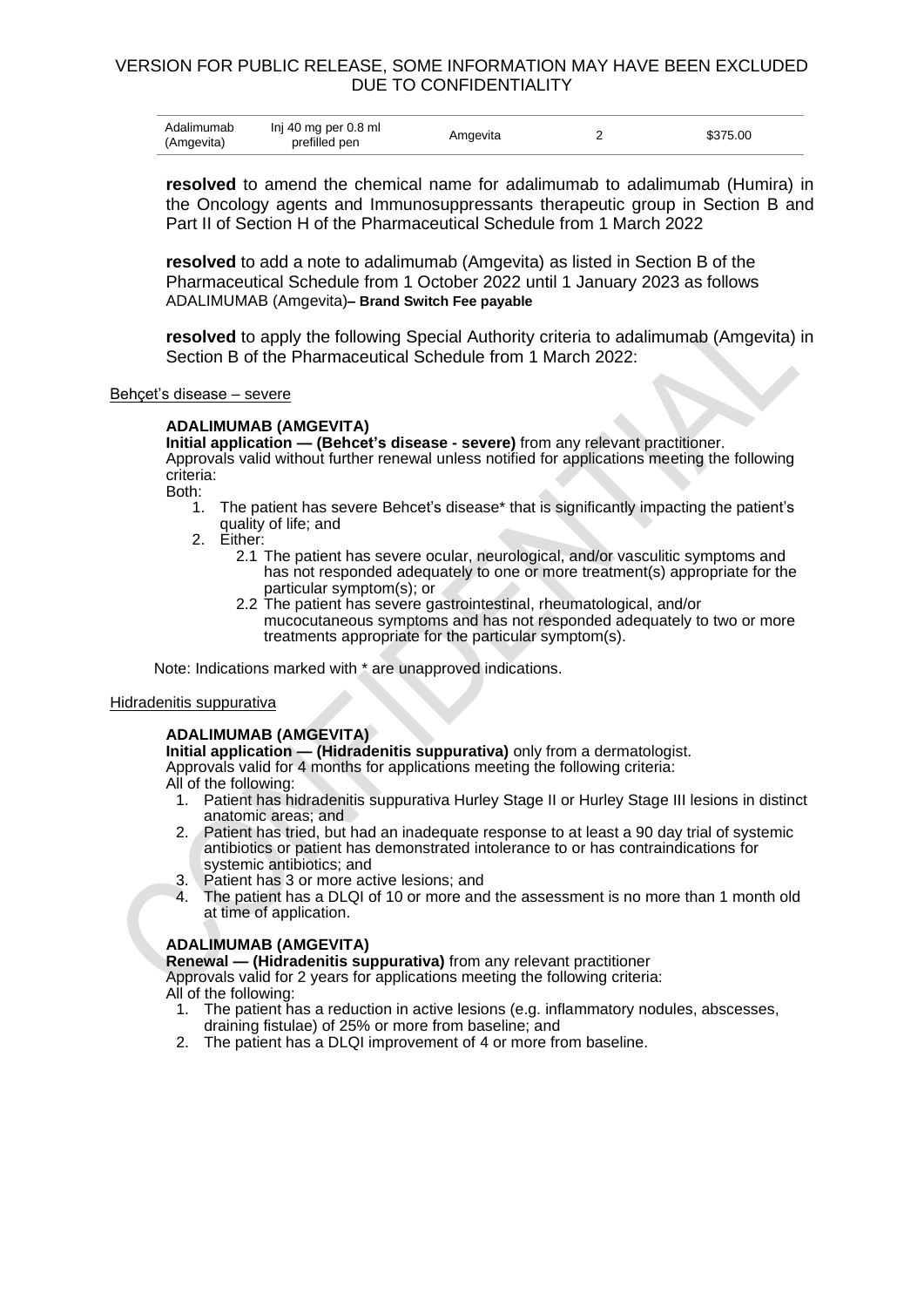| Adalimumab<br>Inj 40 mg per 0.8 ml<br>(Amgevita)<br>prefilled pen | Amgevita |  | \$375.00 |
|-------------------------------------------------------------------|----------|--|----------|
|-------------------------------------------------------------------|----------|--|----------|

**resolved** to amend the chemical name for adalimumab to adalimumab (Humira) in the Oncology agents and Immunosuppressants therapeutic group in Section B and Part II of Section H of the Pharmaceutical Schedule from 1 March 2022

**resolved** to add a note to adalimumab (Amgevita) as listed in Section B of the Pharmaceutical Schedule from 1 October 2022 until 1 January 2023 as follows ADALIMUMAB (Amgevita)**– Brand Switch Fee payable** 

**resolved** to apply the following Special Authority criteria to adalimumab (Amgevita) in Section B of the Pharmaceutical Schedule from 1 March 2022:

### Behçet's disease – severe

### **ADALIMUMAB (AMGEVITA)**

**Initial application — (Behcet's disease - severe)** from any relevant practitioner. Approvals valid without further renewal unless notified for applications meeting the following criteria:

Both:

- 1. The patient has severe Behcet's disease\* that is significantly impacting the patient's quality of life; and
- 2. Either:
	- 2.1 The patient has severe ocular, neurological, and/or vasculitic symptoms and has not responded adequately to one or more treatment(s) appropriate for the particular symptom(s); or
	- 2.2 The patient has severe gastrointestinal, rheumatological, and/or mucocutaneous symptoms and has not responded adequately to two or more treatments appropriate for the particular symptom(s).

Note: Indications marked with \* are unapproved indications.

### Hidradenitis suppurativa

### **ADALIMUMAB (AMGEVITA)**

**Initial application — (Hidradenitis suppurativa)** only from a dermatologist. Approvals valid for 4 months for applications meeting the following criteria: All of the following:

- - 1. Patient has hidradenitis suppurativa Hurley Stage II or Hurley Stage III lesions in distinct anatomic areas; and
	- 2. Patient has tried, but had an inadequate response to at least a 90 day trial of systemic antibiotics or patient has demonstrated intolerance to or has contraindications for systemic antibiotics; and
	- 3. Patient has 3 or more active lesions; and
	- 4. The patient has a DLQI of 10 or more and the assessment is no more than 1 month old at time of application.

# **ADALIMUMAB (AMGEVITA)**

**Renewal — (Hidradenitis suppurativa)** from any relevant practitioner

Approvals valid for 2 years for applications meeting the following criteria: All of the following:

- 1. The patient has a reduction in active lesions (e.g. inflammatory nodules, abscesses, draining fistulae) of 25% or more from baseline; and
- 2. The patient has a DLQI improvement of 4 or more from baseline.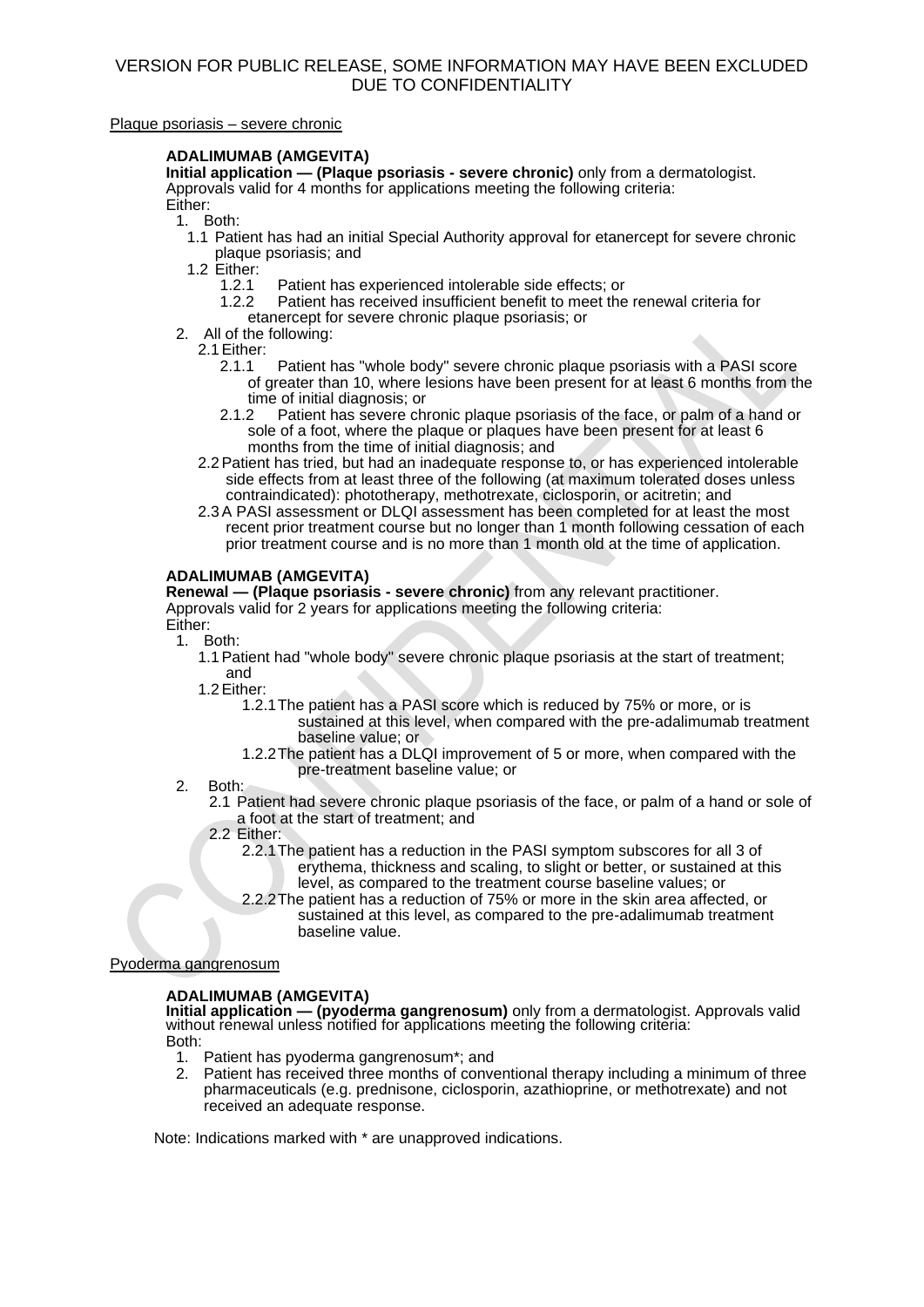### Plaque psoriasis – severe chronic

### **ADALIMUMAB (AMGEVITA)**

**Initial application — (Plaque psoriasis - severe chronic)** only from a dermatologist. Approvals valid for 4 months for applications meeting the following criteria: Either:

1. Both:

1.1 Patient has had an initial Special Authority approval for etanercept for severe chronic plaque psoriasis; and

1.2 Either:

- 1.2.1 Patient has experienced intolerable side effects; or
	- Patient has received insufficient benefit to meet the renewal criteria for etanercept for severe chronic plaque psoriasis; or
- 2. All of the following:

2.1 Either:<br>2.1.1

- Patient has "whole body" severe chronic plaque psoriasis with a PASI score of greater than 10, where lesions have been present for at least 6 months from the time of initial diagnosis; or<br>2.1.2 Patient has severe chi
- Patient has severe chronic plaque psoriasis of the face, or palm of a hand or sole of a foot, where the plaque or plaques have been present for at least 6 months from the time of initial diagnosis; and
- 2.2Patient has tried, but had an inadequate response to, or has experienced intolerable side effects from at least three of the following (at maximum tolerated doses unless contraindicated): phototherapy, methotrexate, ciclosporin, or acitretin; and
- 2.3A PASI assessment or DLQI assessment has been completed for at least the most recent prior treatment course but no longer than 1 month following cessation of each prior treatment course and is no more than 1 month old at the time of application.

# **ADALIMUMAB (AMGEVITA)**

**Renewal — (Plaque psoriasis - severe chronic)** from any relevant practitioner. Approvals valid for 2 years for applications meeting the following criteria: Either:

- 1. Both:
	- 1.1Patient had "whole body" severe chronic plaque psoriasis at the start of treatment; and

1.2Either:

- 1.2.1The patient has a PASI score which is reduced by 75% or more, or is sustained at this level, when compared with the pre-adalimumab treatment baseline value; or
- 1.2.2The patient has a DLQI improvement of 5 or more, when compared with the pre-treatment baseline value; or
- 2. Both:
	- 2.1 Patient had severe chronic plaque psoriasis of the face, or palm of a hand or sole of a foot at the start of treatment; and
	- 2.2 Either:
		- 2.2.1The patient has a reduction in the PASI symptom subscores for all 3 of erythema, thickness and scaling, to slight or better, or sustained at this level, as compared to the treatment course baseline values; or
		- 2.2.2The patient has a reduction of 75% or more in the skin area affected, or sustained at this level, as compared to the pre-adalimumab treatment baseline value.

### Pyoderma gangrenosum

# **ADALIMUMAB (AMGEVITA)**

**Initial application — (pyoderma gangrenosum)** only from a dermatologist. Approvals valid without renewal unless notified for applications meeting the following criteria: Both:

- 1. Patient has pyoderma gangrenosum\*; and
- 2. Patient has received three months of conventional therapy including a minimum of three pharmaceuticals (e.g. prednisone, ciclosporin, azathioprine, or methotrexate) and not received an adequate response.

Note: Indications marked with \* are unapproved indications.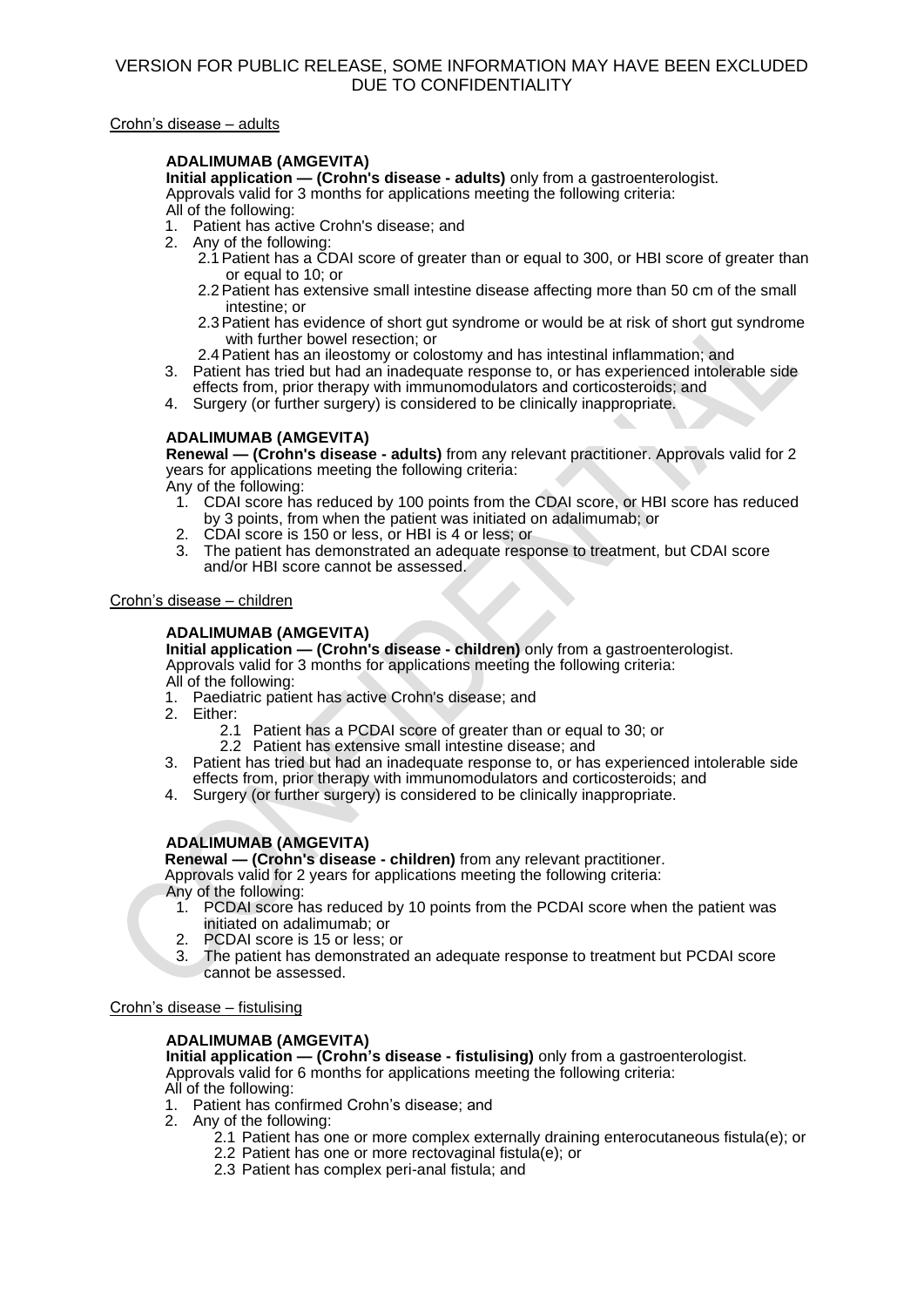### Crohn's disease – adults

# **ADALIMUMAB (AMGEVITA)**

**Initial application — (Crohn's disease - adults)** only from a gastroenterologist. Approvals valid for 3 months for applications meeting the following criteria: All of the following:

- 1. Patient has active Crohn's disease; and
- 2. Any of the following:
	- 2.1Patient has a CDAI score of greater than or equal to 300, or HBI score of greater than or equal to 10; or
	- 2.2Patient has extensive small intestine disease affecting more than 50 cm of the small intestine; or
	- 2.3Patient has evidence of short gut syndrome or would be at risk of short gut syndrome with further bowel resection; or
- 2.4Patient has an ileostomy or colostomy and has intestinal inflammation; and
- 3. Patient has tried but had an inadequate response to, or has experienced intolerable side effects from, prior therapy with immunomodulators and corticosteroids; and
- 4. Surgery (or further surgery) is considered to be clinically inappropriate.

# **ADALIMUMAB (AMGEVITA)**

**Renewal — (Crohn's disease - adults)** from any relevant practitioner. Approvals valid for 2 years for applications meeting the following criteria:

Any of the following:

- 1. CDAI score has reduced by 100 points from the CDAI score, or HBI score has reduced by 3 points, from when the patient was initiated on adalimumab; or
- 2. CDAI score is 150 or less, or HBI is 4 or less; or
- 3. The patient has demonstrated an adequate response to treatment, but CDAI score and/or HBI score cannot be assessed.

### Crohn's disease – children

### **ADALIMUMAB (AMGEVITA)**

**Initial application — (Crohn's disease - children)** only from a gastroenterologist. Approvals valid for 3 months for applications meeting the following criteria: All of the following:

- 1. Paediatric patient has active Crohn's disease; and
- 2. Either:
	- 2.1 Patient has a PCDAI score of greater than or equal to 30; or
	- 2.2 Patient has extensive small intestine disease; and
- 3. Patient has tried but had an inadequate response to, or has experienced intolerable side effects from, prior therapy with immunomodulators and corticosteroids; and
- 4. Surgery (or further surgery) is considered to be clinically inappropriate.

# **ADALIMUMAB (AMGEVITA)**

**Renewal — (Crohn's disease - children)** from any relevant practitioner.

Approvals valid for 2 years for applications meeting the following criteria: Any of the following:

- 1. PCDAI score has reduced by 10 points from the PCDAI score when the patient was initiated on adalimumab; or
- 2. PCDAI score is 15 or less; or
- 3. The patient has demonstrated an adequate response to treatment but PCDAI score cannot be assessed.

### Crohn's disease – fistulising

# **ADALIMUMAB (AMGEVITA)**

**Initial application — (Crohn's disease - fistulising)** only from a gastroenterologist. Approvals valid for 6 months for applications meeting the following criteria:

All of the following:

- 1. Patient has confirmed Crohn's disease; and
- 2. Any of the following:
	- 2.1 Patient has one or more complex externally draining enterocutaneous fistula(e); or
	- 2.2 Patient has one or more rectovaginal fistula(e); or
	- 2.3 Patient has complex peri-anal fistula; and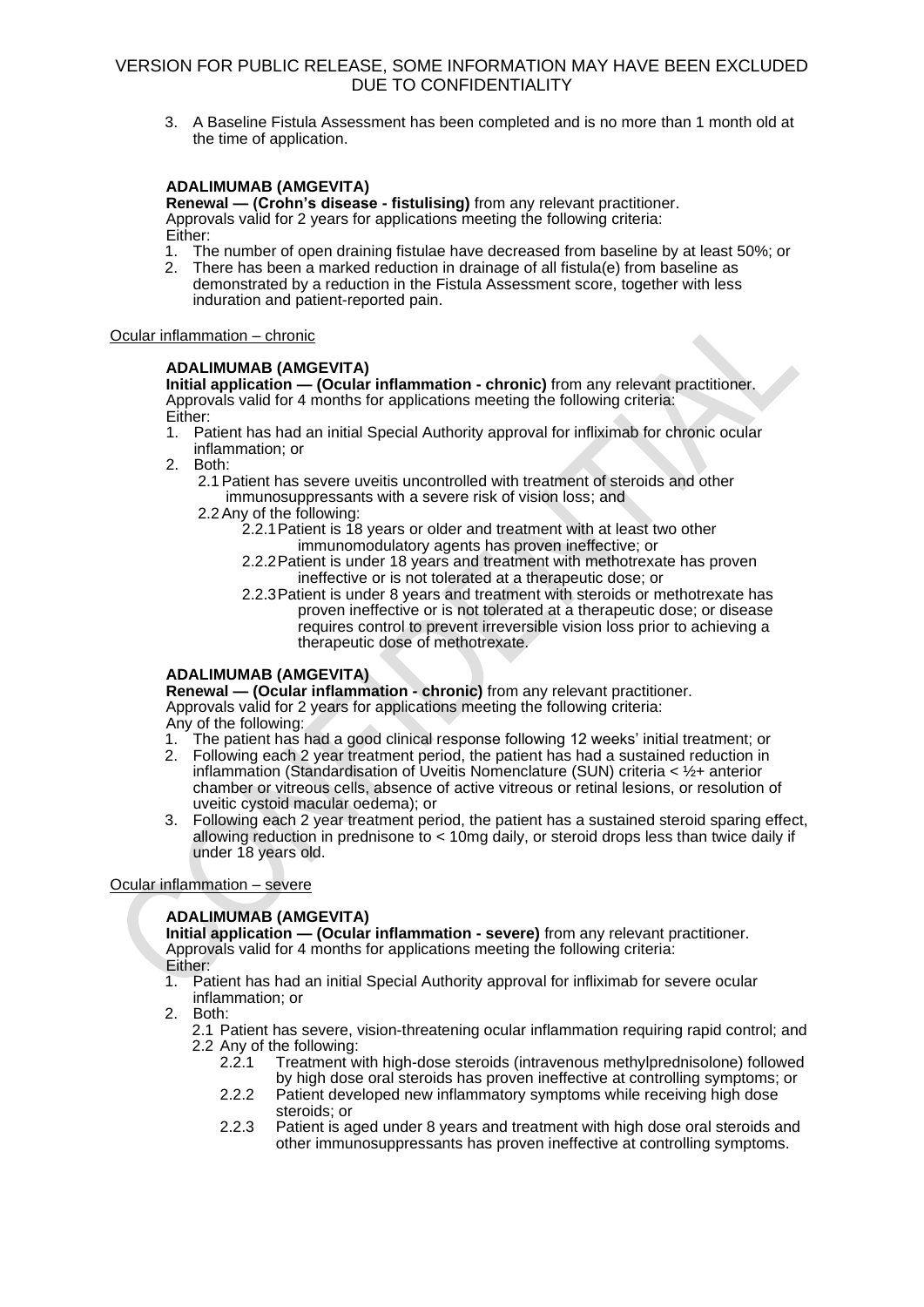3. A Baseline Fistula Assessment has been completed and is no more than 1 month old at the time of application.

### **ADALIMUMAB (AMGEVITA)**

**Renewal — (Crohn's disease - fistulising)** from any relevant practitioner. Approvals valid for 2 years for applications meeting the following criteria: Either:

- 1. The number of open draining fistulae have decreased from baseline by at least 50%; or
- 2. There has been a marked reduction in drainage of all fistula(e) from baseline as demonstrated by a reduction in the Fistula Assessment score, together with less induration and patient-reported pain.

### Ocular inflammation – chronic

### **ADALIMUMAB (AMGEVITA)**

**Initial application – (Ocular inflammation - chronic)** from any relevant practitioner. Approvals valid for 4 months for applications meeting the following criteria: Either:

- 1. Patient has had an initial Special Authority approval for infliximab for chronic ocular inflammation; or
- 2. Both:
	- 2.1Patient has severe uveitis uncontrolled with treatment of steroids and other immunosuppressants with a severe risk of vision loss; and
	- 2.2Any of the following:
		- 2.2.1Patient is 18 years or older and treatment with at least two other immunomodulatory agents has proven ineffective; or
		- 2.2.2Patient is under 18 years and treatment with methotrexate has proven ineffective or is not tolerated at a therapeutic dose; or
		- 2.2.3Patient is under 8 years and treatment with steroids or methotrexate has proven ineffective or is not tolerated at a therapeutic dose; or disease requires control to prevent irreversible vision loss prior to achieving a therapeutic dose of methotrexate.

### **ADALIMUMAB (AMGEVITA)**

**Renewal — (Ocular inflammation - chronic)** from any relevant practitioner. Approvals valid for 2 years for applications meeting the following criteria: Any of the following:

- 1. The patient has had a good clinical response following 12 weeks' initial treatment; or
- 2. Following each 2 year treatment period, the patient has had a sustained reduction in inflammation (Standardisation of Uveitis Nomenclature (SUN) criteria < ½+ anterior chamber or vitreous cells, absence of active vitreous or retinal lesions, or resolution of uveitic cystoid macular oedema); or
- 3. Following each 2 year treatment period, the patient has a sustained steroid sparing effect, allowing reduction in prednisone to < 10mg daily, or steroid drops less than twice daily if under 18 years old.

### Ocular inflammation – severe

# **ADALIMUMAB (AMGEVITA)**

**Initial application — (Ocular inflammation - severe)** from any relevant practitioner. Approvals valid for 4 months for applications meeting the following criteria: Either:

- 1. Patient has had an initial Special Authority approval for infliximab for severe ocular inflammation; or
- 2. Both:
	- 2.1 Patient has severe, vision-threatening ocular inflammation requiring rapid control; and 2.2 Any of the following:<br>2.2.1 Treatment w
		- 2.2.1 Treatment with high-dose steroids (intravenous methylprednisolone) followed by high dose oral steroids has proven ineffective at controlling symptoms; or
		- 2.2.2 Patient developed new inflammatory symptoms while receiving high dose steroids; or
		- 2.2.3 Patient is aged under 8 years and treatment with high dose oral steroids and other immunosuppressants has proven ineffective at controlling symptoms.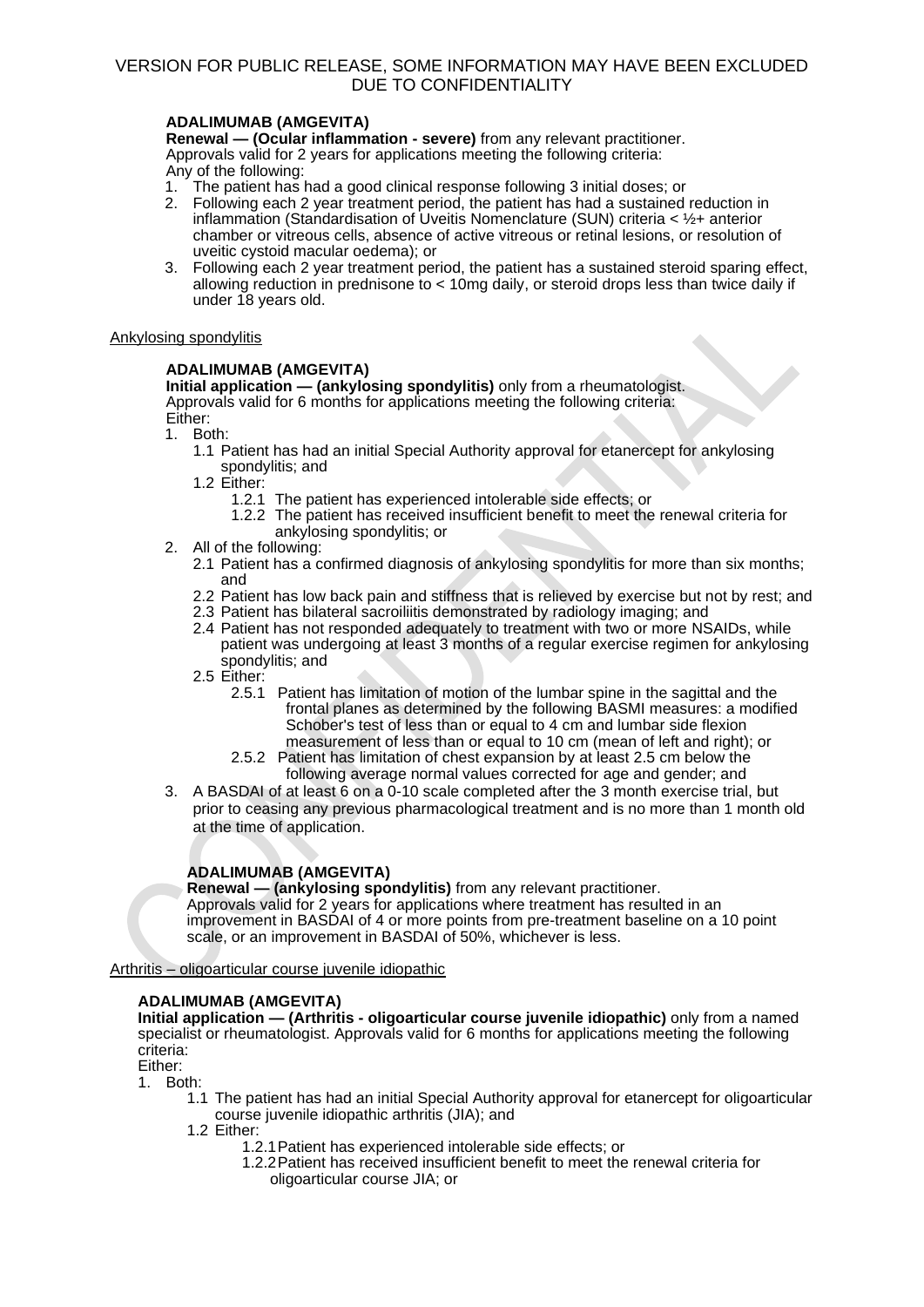# **ADALIMUMAB (AMGEVITA)**

**Renewal — (Ocular inflammation - severe)** from any relevant practitioner. Approvals valid for 2 years for applications meeting the following criteria: Any of the following:

- 1. The patient has had a good clinical response following 3 initial doses; or
- 2. Following each 2 year treatment period, the patient has had a sustained reduction in inflammation (Standardisation of Uveitis Nomenclature (SUN) criteria < ½+ anterior chamber or vitreous cells, absence of active vitreous or retinal lesions, or resolution of uveitic cystoid macular oedema); or
- 3. Following each 2 year treatment period, the patient has a sustained steroid sparing effect, allowing reduction in prednisone to < 10mg daily, or steroid drops less than twice daily if under 18 years old.

### Ankylosing spondylitis

# **ADALIMUMAB (AMGEVITA)**

**Initial application — (ankylosing spondylitis)** only from a rheumatologist. Approvals valid for 6 months for applications meeting the following criteria: Either:

- 1. Both:
	- 1.1 Patient has had an initial Special Authority approval for etanercept for ankylosing spondylitis; and
	- 1.2 Either:
		- 1.2.1 The patient has experienced intolerable side effects; or
		- 1.2.2 The patient has received insufficient benefit to meet the renewal criteria for ankylosing spondylitis; or
- 2. All of the following:
	- 2.1 Patient has a confirmed diagnosis of ankylosing spondylitis for more than six months; and
	- 2.2 Patient has low back pain and stiffness that is relieved by exercise but not by rest; and
	- 2.3 Patient has bilateral sacroiliitis demonstrated by radiology imaging; and
	- 2.4 Patient has not responded adequately to treatment with two or more NSAIDs, while patient was undergoing at least 3 months of a regular exercise regimen for ankylosing spondylitis; and
	- 2.5 Either:
		- 2.5.1 Patient has limitation of motion of the lumbar spine in the sagittal and the frontal planes as determined by the following BASMI measures: a modified Schober's test of less than or equal to 4 cm and lumbar side flexion measurement of less than or equal to 10 cm (mean of left and right); or
		- 2.5.2 Patient has limitation of chest expansion by at least 2.5 cm below the following average normal values corrected for age and gender; and
- 3. A BASDAI of at least 6 on a 0-10 scale completed after the 3 month exercise trial, but prior to ceasing any previous pharmacological treatment and is no more than 1 month old at the time of application.

# **ADALIMUMAB (AMGEVITA)**

**Renewal — (ankylosing spondylitis)** from any relevant practitioner. Approvals valid for 2 years for applications where treatment has resulted in an improvement in BASDAI of 4 or more points from pre-treatment baseline on a 10 point scale, or an improvement in BASDAI of 50%, whichever is less.

# Arthritis – oligoarticular course juvenile idiopathic

# **ADALIMUMAB (AMGEVITA)**

**Initial application — (Arthritis - oligoarticular course juvenile idiopathic)** only from a named specialist or rheumatologist. Approvals valid for 6 months for applications meeting the following criteria:

Either:

- 1. Both:
	- 1.1 The patient has had an initial Special Authority approval for etanercept for oligoarticular course juvenile idiopathic arthritis (JIA); and
	- 1.2 Either:
		- 1.2.1Patient has experienced intolerable side effects; or
		- 1.2.2Patient has received insufficient benefit to meet the renewal criteria for oligoarticular course JIA; or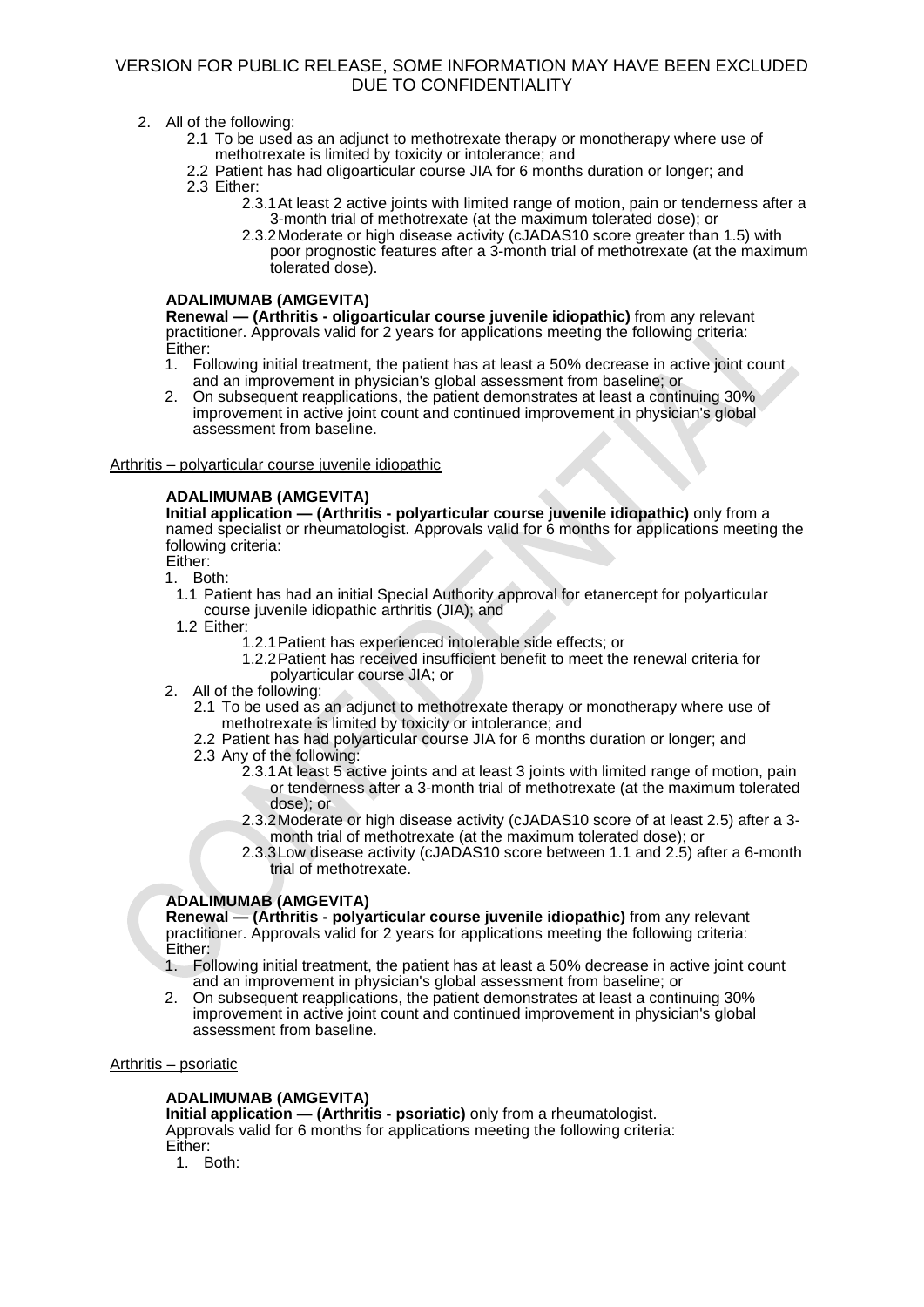- 2. All of the following:
	- 2.1 To be used as an adjunct to methotrexate therapy or monotherapy where use of methotrexate is limited by toxicity or intolerance; and
	- 2.2 Patient has had oligoarticular course JIA for 6 months duration or longer; and 2.3 Either:
		- 2.3.1At least 2 active joints with limited range of motion, pain or tenderness after a 3-month trial of methotrexate (at the maximum tolerated dose); or
			- 2.3.2Moderate or high disease activity (cJADAS10 score greater than 1.5) with poor prognostic features after a 3-month trial of methotrexate (at the maximum tolerated dose).

### **ADALIMUMAB (AMGEVITA)**

**Renewal — (Arthritis - oligoarticular course juvenile idiopathic)** from any relevant practitioner. Approvals valid for 2 years for applications meeting the following criteria: Either:

- 1. Following initial treatment, the patient has at least a 50% decrease in active joint count and an improvement in physician's global assessment from baseline; or
- 2. On subsequent reapplications, the patient demonstrates at least a continuing 30% improvement in active joint count and continued improvement in physician's global assessment from baseline.

### Arthritis – polyarticular course juvenile idiopathic

# **ADALIMUMAB (AMGEVITA)**

**Initial application — (Arthritis - polyarticular course juvenile idiopathic)** only from a named specialist or rheumatologist. Approvals valid for 6 months for applications meeting the following criteria: Either:

1. Both:

- 1.1 Patient has had an initial Special Authority approval for etanercept for polyarticular course juvenile idiopathic arthritis (JIA); and
- 1.2 Either:
	- 1.2.1Patient has experienced intolerable side effects; or
		- 1.2.2Patient has received insufficient benefit to meet the renewal criteria for polyarticular course JIA; or
- 2. All of the following:
	- 2.1 To be used as an adjunct to methotrexate therapy or monotherapy where use of methotrexate is limited by toxicity or intolerance; and
	- 2.2 Patient has had polyarticular course JIA for 6 months duration or longer; and
	- 2.3 Any of the following:
		- 2.3.1At least 5 active joints and at least 3 joints with limited range of motion, pain or tenderness after a 3-month trial of methotrexate (at the maximum tolerated dose); or
		- 2.3.2Moderate or high disease activity (cJADAS10 score of at least 2.5) after a 3 month trial of methotrexate (at the maximum tolerated dose); or
		- 2.3.3Low disease activity (cJADAS10 score between 1.1 and 2.5) after a 6-month trial of methotrexate.

# **ADALIMUMAB (AMGEVITA)**

**Renewal — (Arthritis - polyarticular course juvenile idiopathic)** from any relevant practitioner. Approvals valid for 2 years for applications meeting the following criteria: Either:

- 1. Following initial treatment, the patient has at least a 50% decrease in active joint count and an improvement in physician's global assessment from baseline; or
- 2. On subsequent reapplications, the patient demonstrates at least a continuing 30% improvement in active joint count and continued improvement in physician's global assessment from baseline.

### Arthritis – psoriatic

# **ADALIMUMAB (AMGEVITA)**

**Initial application — (Arthritis - psoriatic)** only from a rheumatologist. Approvals valid for 6 months for applications meeting the following criteria: Either:

1. Both: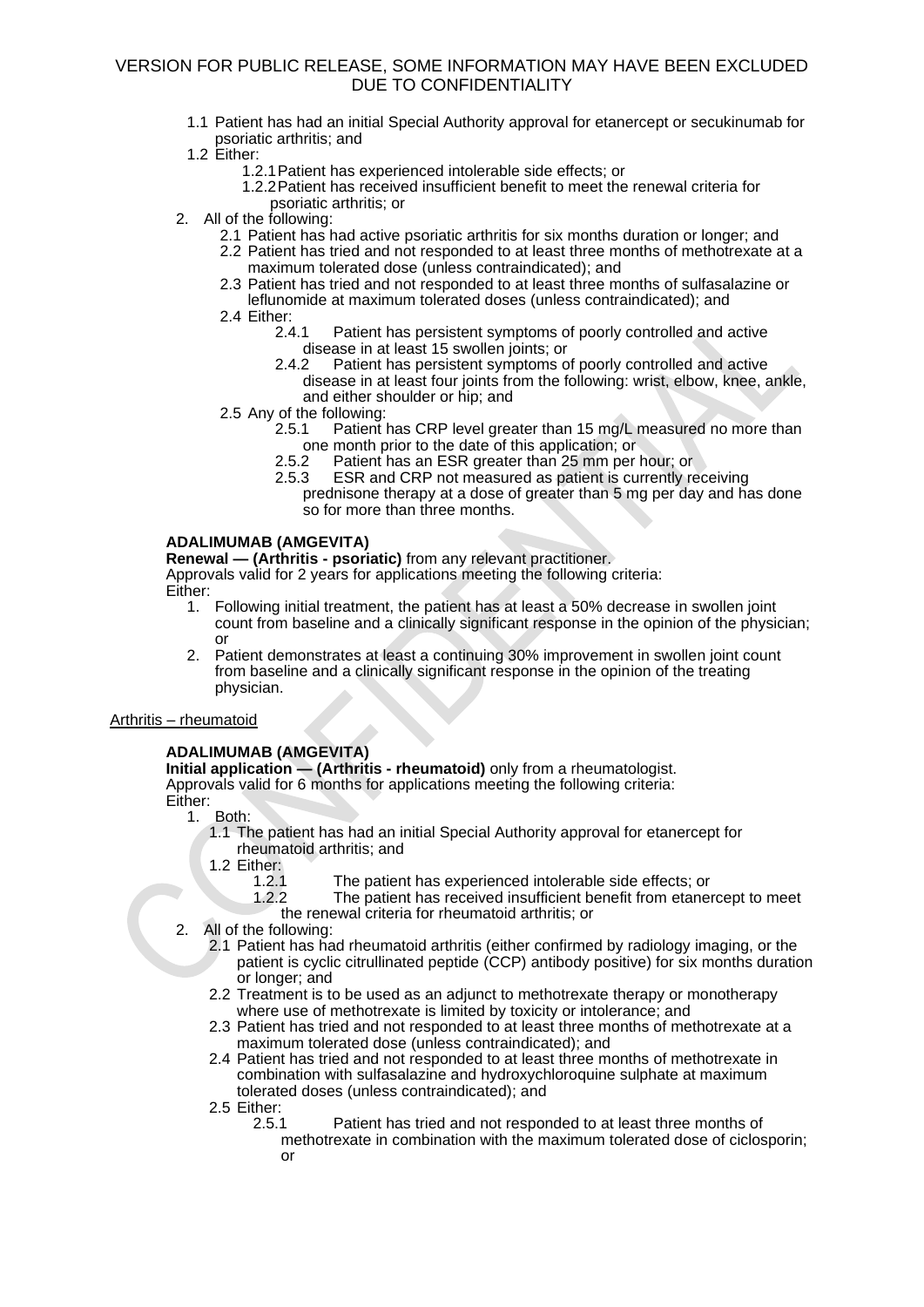- 1.1 Patient has had an initial Special Authority approval for etanercept or secukinumab for psoriatic arthritis; and
- 1.2 Either:
	- 1.2.1Patient has experienced intolerable side effects; or
	- 1.2.2Patient has received insufficient benefit to meet the renewal criteria for psoriatic arthritis; or
- 2. All of the following:
	- 2.1 Patient has had active psoriatic arthritis for six months duration or longer; and
	- 2.2 Patient has tried and not responded to at least three months of methotrexate at a maximum tolerated dose (unless contraindicated); and
	- 2.3 Patient has tried and not responded to at least three months of sulfasalazine or leflunomide at maximum tolerated doses (unless contraindicated); and
	- 2.4 Either:<br>2.4.1
		- Patient has persistent symptoms of poorly controlled and active disease in at least 15 swollen joints; or<br>2.4.2 Patient has persistent symptoms o
		- Patient has persistent symptoms of poorly controlled and active disease in at least four joints from the following: wrist, elbow, knee, ankle, and either shoulder or hip; and
	- 2.5 Any of the following:
		- 2.5.1 Patient has CRP level greater than 15 mg/L measured no more than one month prior to the date of this application; or 2.5.2 Patient has an ESR greater than 25 mm per
			- Patient has an ESR greater than 25 mm per hour; or
			- 2.5.3 ESR and CRP not measured as patient is currently receiving prednisone therapy at a dose of greater than 5 mg per day and has done so for more than three months.

### **ADALIMUMAB (AMGEVITA)**

**Renewal — (Arthritis - psoriatic)** from any relevant practitioner. Approvals valid for 2 years for applications meeting the following criteria:

- Either:
	- 1. Following initial treatment, the patient has at least a 50% decrease in swollen joint count from baseline and a clinically significant response in the opinion of the physician; or
	- 2. Patient demonstrates at least a continuing 30% improvement in swollen joint count from baseline and a clinically significant response in the opinion of the treating physician.

### Arthritis – rheumatoid

### **ADALIMUMAB (AMGEVITA)**

**Initial application — (Arthritis - rheumatoid)** only from a rheumatologist. Approvals valid for 6 months for applications meeting the following criteria:

- Either:<br>1. Both:
	- 1.1 The patient has had an initial Special Authority approval for etanercept for rheumatoid arthritis; and
	- 1.2 Either:<br>1.2.1
		- The patient has experienced intolerable side effects; or
		- 1.2.2 The patient has received insufficient benefit from etanercept to meet the renewal criteria for rheumatoid arthritis; or
	- 2. All of the following:
		- 2.1 Patient has had rheumatoid arthritis (either confirmed by radiology imaging, or the patient is cyclic citrullinated peptide (CCP) antibody positive) for six months duration or longer; and
		- 2.2 Treatment is to be used as an adjunct to methotrexate therapy or monotherapy where use of methotrexate is limited by toxicity or intolerance; and
		- 2.3 Patient has tried and not responded to at least three months of methotrexate at a maximum tolerated dose (unless contraindicated); and
		- 2.4 Patient has tried and not responded to at least three months of methotrexate in combination with sulfasalazine and hydroxychloroquine sulphate at maximum tolerated doses (unless contraindicated); and
		- 2.5 Either:
			- 2.5.1 Patient has tried and not responded to at least three months of
				- methotrexate in combination with the maximum tolerated dose of ciclosporin; or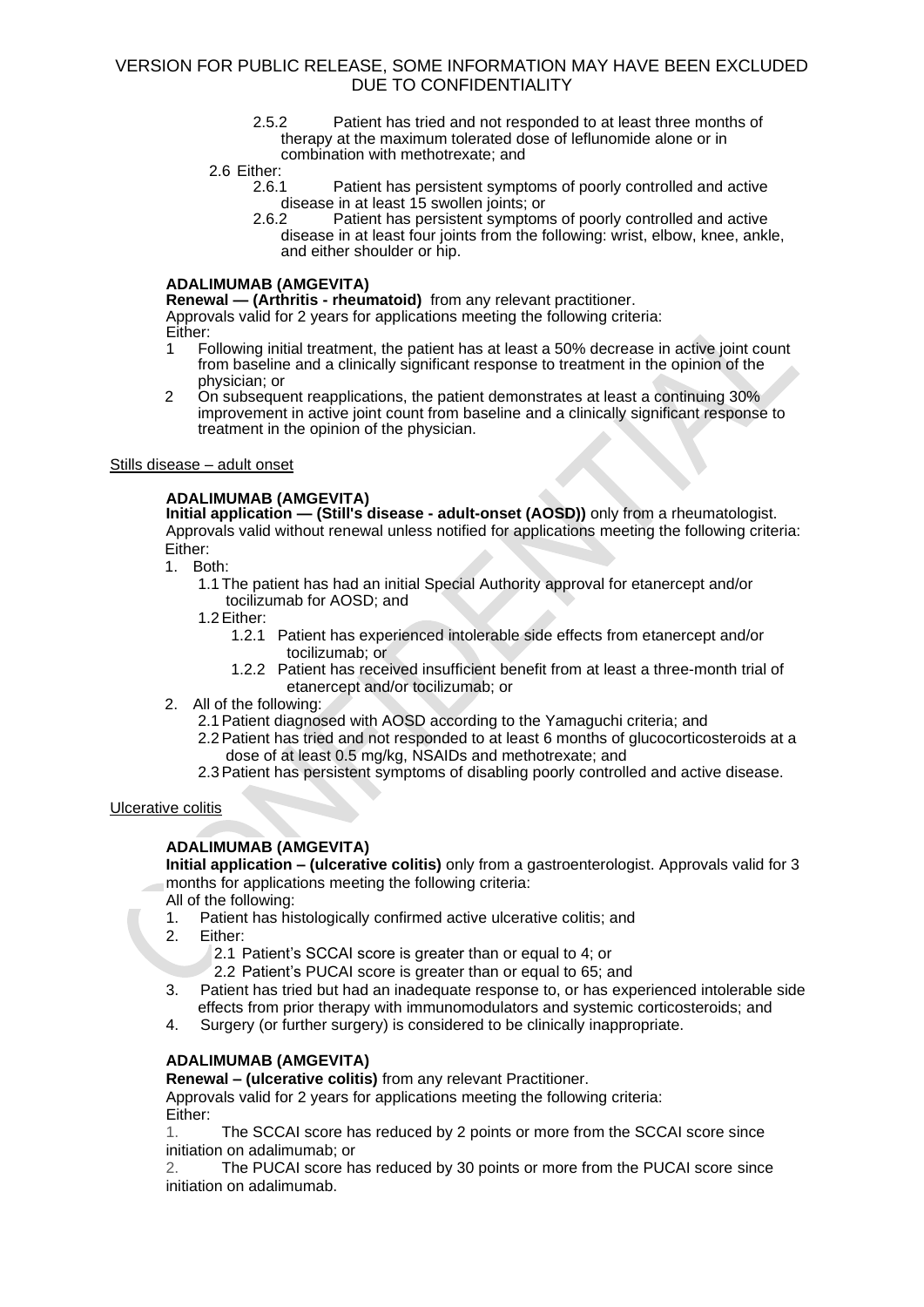2.5.2 Patient has tried and not responded to at least three months of therapy at the maximum tolerated dose of leflunomide alone or in combination with methotrexate; and

### 2.6 Either:

- 2.6.1 Patient has persistent symptoms of poorly controlled and active disease in at least 15 swollen joints; or<br>2.6.2 Patient has persistent symptom
- Patient has persistent symptoms of poorly controlled and active disease in at least four joints from the following: wrist, elbow, knee, ankle, and either shoulder or hip.

### **ADALIMUMAB (AMGEVITA)**

**Renewal — (Arthritis - rheumatoid)** from any relevant practitioner.

Approvals valid for 2 years for applications meeting the following criteria:

- Either:
- 1 Following initial treatment, the patient has at least a 50% decrease in active joint count from baseline and a clinically significant response to treatment in the opinion of the physician; or
- 2 On subsequent reapplications, the patient demonstrates at least a continuing 30% improvement in active joint count from baseline and a clinically significant response to treatment in the opinion of the physician.

### Stills disease – adult onset

# **ADALIMUMAB (AMGEVITA)**

**Initial application - (Still's disease - adult-onset (AOSD))** only from a rheumatologist. Approvals valid without renewal unless notified for applications meeting the following criteria: Either:

- 1. Both:
	- 1.1 The patient has had an initial Special Authority approval for etanercept and/or tocilizumab for AOSD; and
	- 1.2Either:
		- 1.2.1 Patient has experienced intolerable side effects from etanercept and/or tocilizumab; or
		- 1.2.2 Patient has received insufficient benefit from at least a three-month trial of etanercept and/or tocilizumab; or
- 2. All of the following:

2.1Patient diagnosed with AOSD according to the Yamaguchi criteria; and

2.2Patient has tried and not responded to at least 6 months of glucocorticosteroids at a dose of at least 0.5 mg/kg, NSAIDs and methotrexate; and

2.3Patient has persistent symptoms of disabling poorly controlled and active disease.

# Ulcerative colitis

# **ADALIMUMAB (AMGEVITA)**

**Initial application – (ulcerative colitis)** only from a gastroenterologist. Approvals valid for 3 months for applications meeting the following criteria:

- All of the following:
- 1. Patient has histologically confirmed active ulcerative colitis; and
- 2. Either:

2.1 Patient's SCCAI score is greater than or equal to 4; or

2.2 Patient's PUCAI score is greater than or equal to 65; and

- 3. Patient has tried but had an inadequate response to, or has experienced intolerable side effects from prior therapy with immunomodulators and systemic corticosteroids; and
- 4. Surgery (or further surgery) is considered to be clinically inappropriate.

# **ADALIMUMAB (AMGEVITA)**

**Renewal – (ulcerative colitis)** from any relevant Practitioner. Approvals valid for 2 years for applications meeting the following criteria: Either:

1. The SCCAI score has reduced by 2 points or more from the SCCAI score since initiation on adalimumab; or

2. The PUCAI score has reduced by 30 points or more from the PUCAI score since initiation on adalimumab.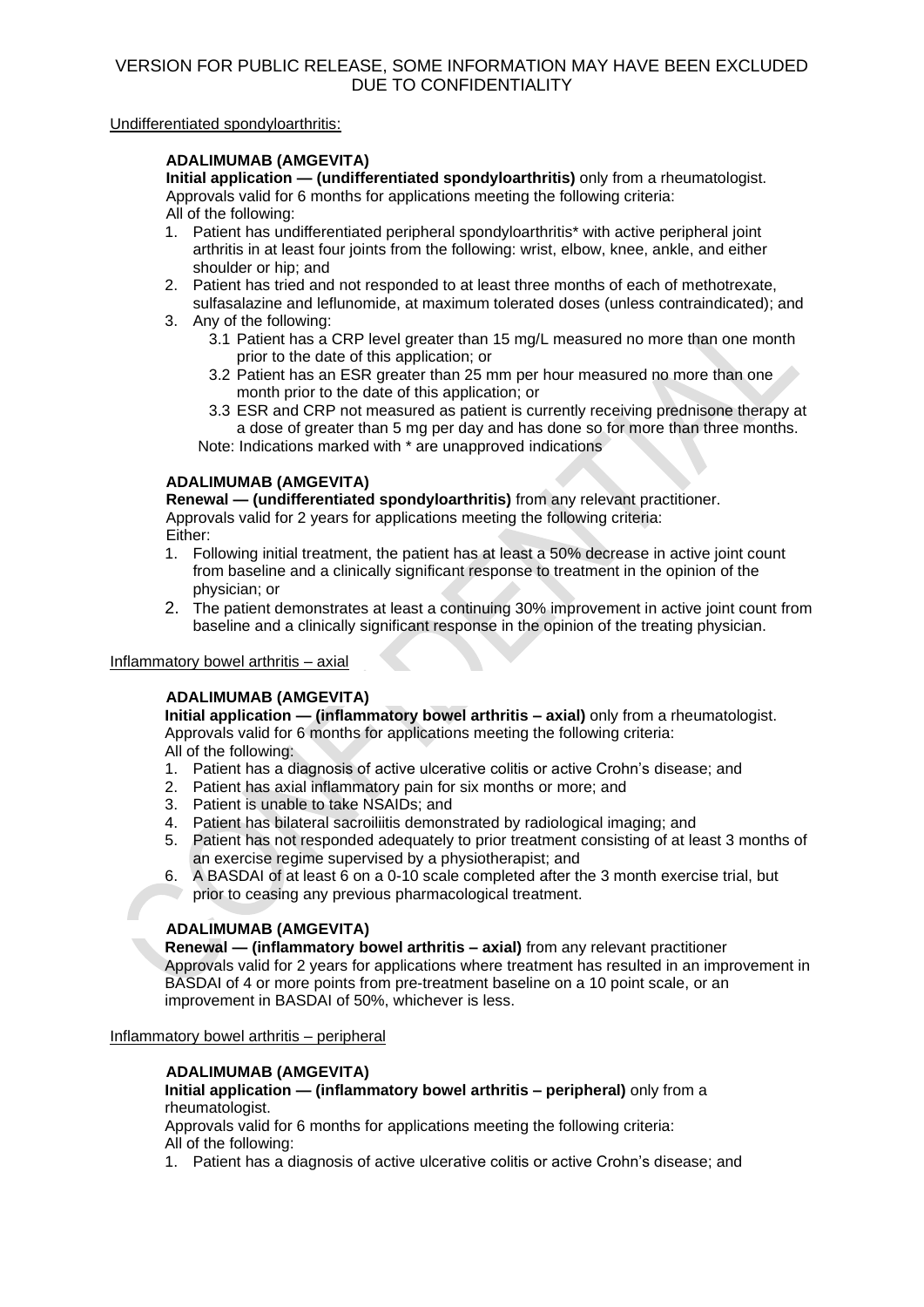Undifferentiated spondyloarthritis:

# **ADALIMUMAB (AMGEVITA)**

**Initial application — (undifferentiated spondyloarthritis)** only from a rheumatologist. Approvals valid for 6 months for applications meeting the following criteria: All of the following:

- 1. Patient has undifferentiated peripheral spondyloarthritis\* with active peripheral joint arthritis in at least four joints from the following: wrist, elbow, knee, ankle, and either shoulder or hip; and
- 2. Patient has tried and not responded to at least three months of each of methotrexate, sulfasalazine and leflunomide, at maximum tolerated doses (unless contraindicated); and
- 3. Any of the following:
	- 3.1 Patient has a CRP level greater than 15 mg/L measured no more than one month prior to the date of this application; or
	- 3.2 Patient has an ESR greater than 25 mm per hour measured no more than one month prior to the date of this application; or
	- 3.3 ESR and CRP not measured as patient is currently receiving prednisone therapy at a dose of greater than 5 mg per day and has done so for more than three months.

Note: Indications marked with \* are unapproved indications

# **ADALIMUMAB (AMGEVITA)**

**Renewal — (undifferentiated spondyloarthritis)** from any relevant practitioner. Approvals valid for 2 years for applications meeting the following criteria: Either:

- 1. Following initial treatment, the patient has at least a 50% decrease in active joint count from baseline and a clinically significant response to treatment in the opinion of the physician; or
- 2. The patient demonstrates at least a continuing 30% improvement in active joint count from baseline and a clinically significant response in the opinion of the treating physician.

### Inflammatory bowel arthritis – axial

# **ADALIMUMAB (AMGEVITA)**

**Initial application — (inflammatory bowel arthritis – axial)** only from a rheumatologist. Approvals valid for 6 months for applications meeting the following criteria: All of the following:

- 1. Patient has a diagnosis of active ulcerative colitis or active Crohn's disease; and
- 2. Patient has axial inflammatory pain for six months or more; and
- 3. Patient is unable to take NSAIDs; and
- 4. Patient has bilateral sacroiliitis demonstrated by radiological imaging; and
- 5. Patient has not responded adequately to prior treatment consisting of at least 3 months of an exercise regime supervised by a physiotherapist; and
- 6. A BASDAI of at least 6 on a 0-10 scale completed after the 3 month exercise trial, but prior to ceasing any previous pharmacological treatment.

# **ADALIMUMAB (AMGEVITA)**

**Renewal — (inflammatory bowel arthritis – axial)** from any relevant practitioner Approvals valid for 2 years for applications where treatment has resulted in an improvement in BASDAI of 4 or more points from pre-treatment baseline on a 10 point scale, or an improvement in BASDAI of 50%, whichever is less.

### Inflammatory bowel arthritis – peripheral

# **ADALIMUMAB (AMGEVITA)**

### **Initial application — (inflammatory bowel arthritis – peripheral)** only from a rheumatologist.

Approvals valid for 6 months for applications meeting the following criteria: All of the following:

1. Patient has a diagnosis of active ulcerative colitis or active Crohn's disease; and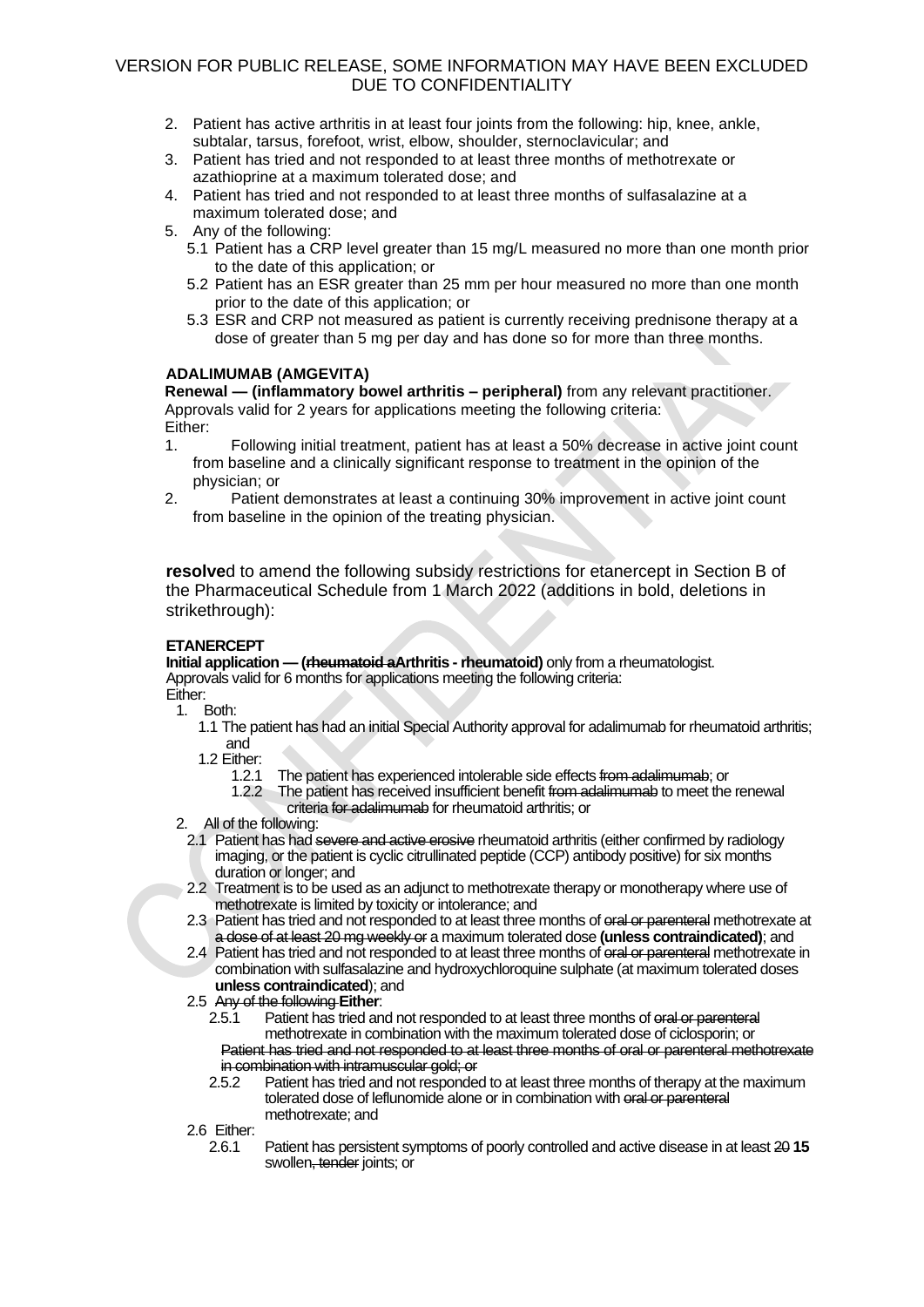- 2. Patient has active arthritis in at least four joints from the following: hip, knee, ankle, subtalar, tarsus, forefoot, wrist, elbow, shoulder, sternoclavicular; and
- 3. Patient has tried and not responded to at least three months of methotrexate or azathioprine at a maximum tolerated dose; and
- 4. Patient has tried and not responded to at least three months of sulfasalazine at a maximum tolerated dose; and
- 5. Any of the following:
	- 5.1 Patient has a CRP level greater than 15 mg/L measured no more than one month prior to the date of this application; or
	- 5.2 Patient has an ESR greater than 25 mm per hour measured no more than one month prior to the date of this application; or
	- 5.3 ESR and CRP not measured as patient is currently receiving prednisone therapy at a dose of greater than 5 mg per day and has done so for more than three months.

### **ADALIMUMAB (AMGEVITA)**

**Renewal — (inflammatory bowel arthritis – peripheral)** from any relevant practitioner. Approvals valid for 2 years for applications meeting the following criteria: Either:

- 1. Following initial treatment, patient has at least a 50% decrease in active joint count from baseline and a clinically significant response to treatment in the opinion of the physician; or
- 2. Patient demonstrates at least a continuing 30% improvement in active joint count from baseline in the opinion of the treating physician.

**resolve**d to amend the following subsidy restrictions for etanercept in Section B of the Pharmaceutical Schedule from 1 March 2022 (additions in bold, deletions in strikethrough):

# **ETANERCEPT**

**Initial application — (rheumatoid aArthritis - rheumatoid)** only from a rheumatologist. Approvals valid for 6 months for applications meeting the following criteria: Either:

1. Both:

1.1 The patient has had an initial Special Authority approval for adalimumab for rheumatoid arthritis; and

1.2 Either:<br>1.2.1

- 1.2.1 The patient has experienced intolerable side effects from adalimumab; or<br>1.2.2 The patient has received insufficient benefit from adalimumab to meet the
	- The patient has received insufficient benefit from adalimumab to meet the renewal criteria for adalimumab for rheumatoid arthritis; or
- 2. All of the following:
	- 2.1 Patient has had severe and active erosive rheumatoid arthritis (either confirmed by radiology imaging, or the patient is cyclic citrullinated peptide (CCP) antibody positive) for six months duration or longer; and
	- 2.2 Treatment is to be used as an adjunct to methotrexate therapy or monotherapy where use of methotrexate is limited by toxicity or intolerance; and
	- 2.3 Patient has tried and not responded to at least three months of oral or parenteral methotrexate at a dose of at least 20 mg weekly or a maximum tolerated dose **(unless contraindicated)**; and
	- 2.4 Patient has tried and not responded to at least three months of oral or parenteral methotrexate in combination with sulfasalazine and hydroxychloroquine sulphate (at maximum tolerated doses **unless contraindicated**); and

# 2.5 Any of the following **Either**:

Patient has tried and not responded to at least three months of oral or parenteral methotrexate in combination with the maximum tolerated dose of ciclosporin; or Patient has tried and not responded to at least three months of oral or parenteral methotrexate in combination with intramuscular gold; or

2.5.2 Patient has tried and not responded to at least three months of therapy at the maximum tolerated dose of leflunomide alone or in combination with oral or parenteral methotrexate; and

2.6 Either:<br>2.6.1

2.6.1 Patient has persistent symptoms of poorly controlled and active disease in at least 20 **15** swollen, tender joints; or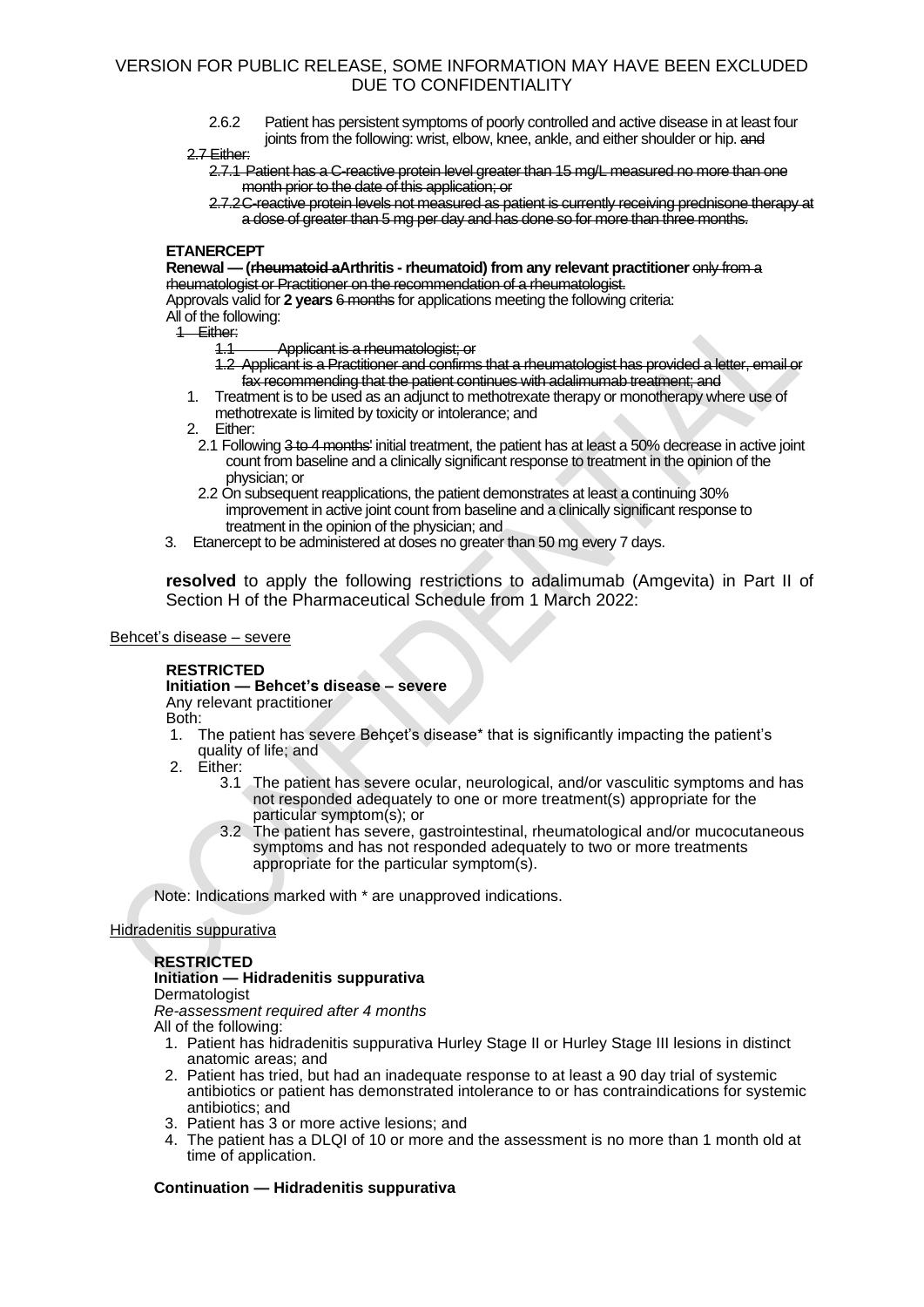2.6.2 Patient has persistent symptoms of poorly controlled and active disease in at least four joints from the following: wrist, elbow, knee, ankle, and either shoulder or hip. and

#### 2.7 Either:

- 2.7.1 Patient has a C-reactive protein level greater than 15 mg/L measured no more than one month prior to the date of this application; or
- 2.7.2C-reactive protein levels not measured as patient is currently receiving prednisone therapy at a dose of greater than 5 mg per day and has done so for more than three months.

### **ETANERCEPT**

**Renewal — (rheumatoid aArthritis - rheumatoid) from any relevant practitioner** only from a rheumatologist or Practitioner on the recommendation of a rheumatologist. Approvals valid for **2 years** 6 months for applications meeting the following criteria:

# All of the following:

# 1 Either:<br>4.1

Applicant is a rheumatologist; or

- 1.2 Applicant is a Practitioner and confirms that a rheumatologist has provided a letter, email or fax recommending that the patient continues with adalimumab treatment; and
- 1. Treatment is to be used as an adjunct to methotrexate therapy or monotherapy where use of methotrexate is limited by toxicity or intolerance; and
- 2. Either:
- 2.1 Following 3 to 4 months' initial treatment, the patient has at least a 50% decrease in active joint count from baseline and a clinically significant response to treatment in the opinion of the physician; or
- 2.2 On subsequent reapplications, the patient demonstrates at least a continuing 30% improvement in active joint count from baseline and a clinically significant response to treatment in the opinion of the physician; and
- 3. Etanercept to be administered at doses no greater than 50 mg every 7 days.

**resolved** to apply the following restrictions to adalimumab (Amgevita) in Part II of Section H of the Pharmaceutical Schedule from 1 March 2022:

### Behcet's disease – severe

### **RESTRICTED**

# **Initiation — Behcet's disease – severe**

Any relevant practitioner

Both:

- 1. The patient has severe Behçet's disease\* that is significantly impacting the patient's quality of life; and
- 2. Either:<br>3.1
	- The patient has severe ocular, neurological, and/or vasculitic symptoms and has not responded adequately to one or more treatment(s) appropriate for the particular symptom(s); or
	- 3.2 The patient has severe, gastrointestinal, rheumatological and/or mucocutaneous symptoms and has not responded adequately to two or more treatments appropriate for the particular symptom(s).

Note: Indications marked with \* are unapproved indications.

### Hidradenitis suppurativa

### **RESTRICTED**

### **Initiation — Hidradenitis suppurativa**

Dermatologist

*Re-assessment required after 4 months* All of the following:

- 1. Patient has hidradenitis suppurativa Hurley Stage II or Hurley Stage III lesions in distinct anatomic areas; and
- 2. Patient has tried, but had an inadequate response to at least a 90 day trial of systemic antibiotics or patient has demonstrated intolerance to or has contraindications for systemic antibiotics; and
- 3. Patient has 3 or more active lesions; and
- 4. The patient has a DLQI of 10 or more and the assessment is no more than 1 month old at time of application.

### **Continuation — Hidradenitis suppurativa**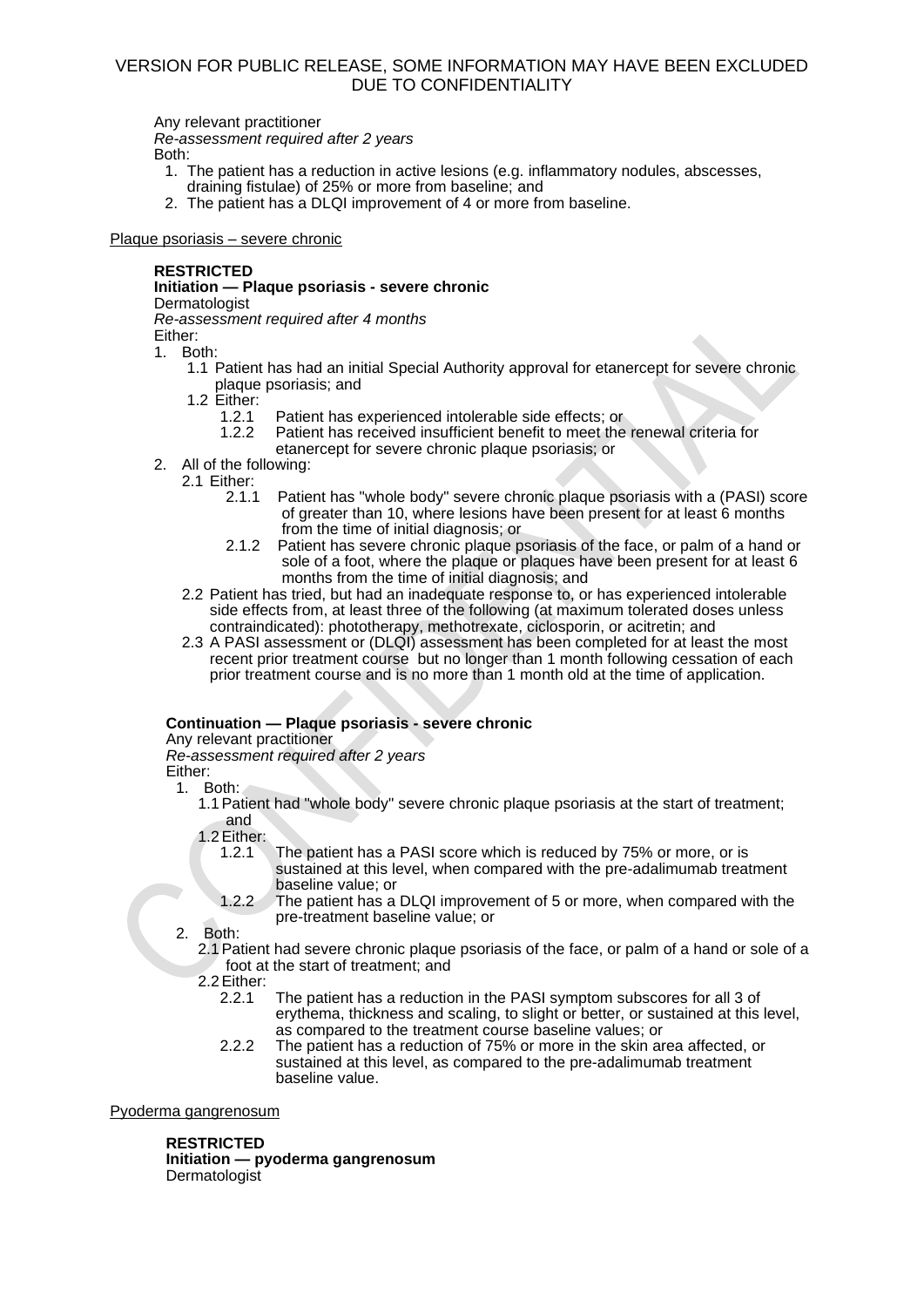Any relevant practitioner *Re-assessment required after 2 years*  Both:

- 1. The patient has a reduction in active lesions (e.g. inflammatory nodules, abscesses, draining fistulae) of 25% or more from baseline; and
- 2. The patient has a DLQI improvement of 4 or more from baseline.

Plaque psoriasis – severe chronic

# **RESTRICTED**

# **Initiation — Plaque psoriasis - severe chronic**

Dermatologist

*Re-assessment required after 4 months*

Either:

1. Both:

- 1.1 Patient has had an initial Special Authority approval for etanercept for severe chronic plaque psoriasis; and
- 1.2 Either:<br>1.2.1
	- 1.2.1 Patient has experienced intolerable side effects; or<br>1.2.2 Patient has received insufficient benefit to meet the
		- Patient has received insufficient benefit to meet the renewal criteria for etanercept for severe chronic plaque psoriasis; or
- 2. All of the following:
	- 2.1 Either:
		- 2.1.1 Patient has "whole body" severe chronic plaque psoriasis with a (PASI) score of greater than 10, where lesions have been present for at least 6 months from the time of initial diagnosis; or
		- 2.1.2 Patient has severe chronic plaque psoriasis of the face, or palm of a hand or sole of a foot, where the plaque or plaques have been present for at least 6 months from the time of initial diagnosis; and
		- 2.2 Patient has tried, but had an inadequate response to, or has experienced intolerable side effects from, at least three of the following (at maximum tolerated doses unless contraindicated): phototherapy, methotrexate, ciclosporin, or acitretin; and
		- 2.3 A PASI assessment or (DLQI) assessment has been completed for at least the most recent prior treatment course but no longer than 1 month following cessation of each prior treatment course and is no more than 1 month old at the time of application.

# **Continuation — Plaque psoriasis - severe chronic**

Any relevant practitioner

*Re-assessment required after 2 years* 

Either:

- 1. Both:
	- 1.1Patient had "whole body" severe chronic plaque psoriasis at the start of treatment; and

1.2Either:

- 1.2.1 The patient has a PASI score which is reduced by 75% or more, or is sustained at this level, when compared with the pre-adalimumab treatment baseline value; or
- 1.2.2 The patient has a DLQI improvement of 5 or more, when compared with the pre-treatment baseline value; or

2. Both:

2.1Patient had severe chronic plaque psoriasis of the face, or palm of a hand or sole of a foot at the start of treatment; and

2.2 Either:<br>2 2 1

- The patient has a reduction in the PASI symptom subscores for all 3 of erythema, thickness and scaling, to slight or better, or sustained at this level, as compared to the treatment course baseline values; or
- 2.2.2 The patient has a reduction of 75% or more in the skin area affected, or sustained at this level, as compared to the pre-adalimumab treatment baseline value.

Pyoderma gangrenosum

**RESTRICTED**

**Initiation — pyoderma gangrenosum** Dermatologist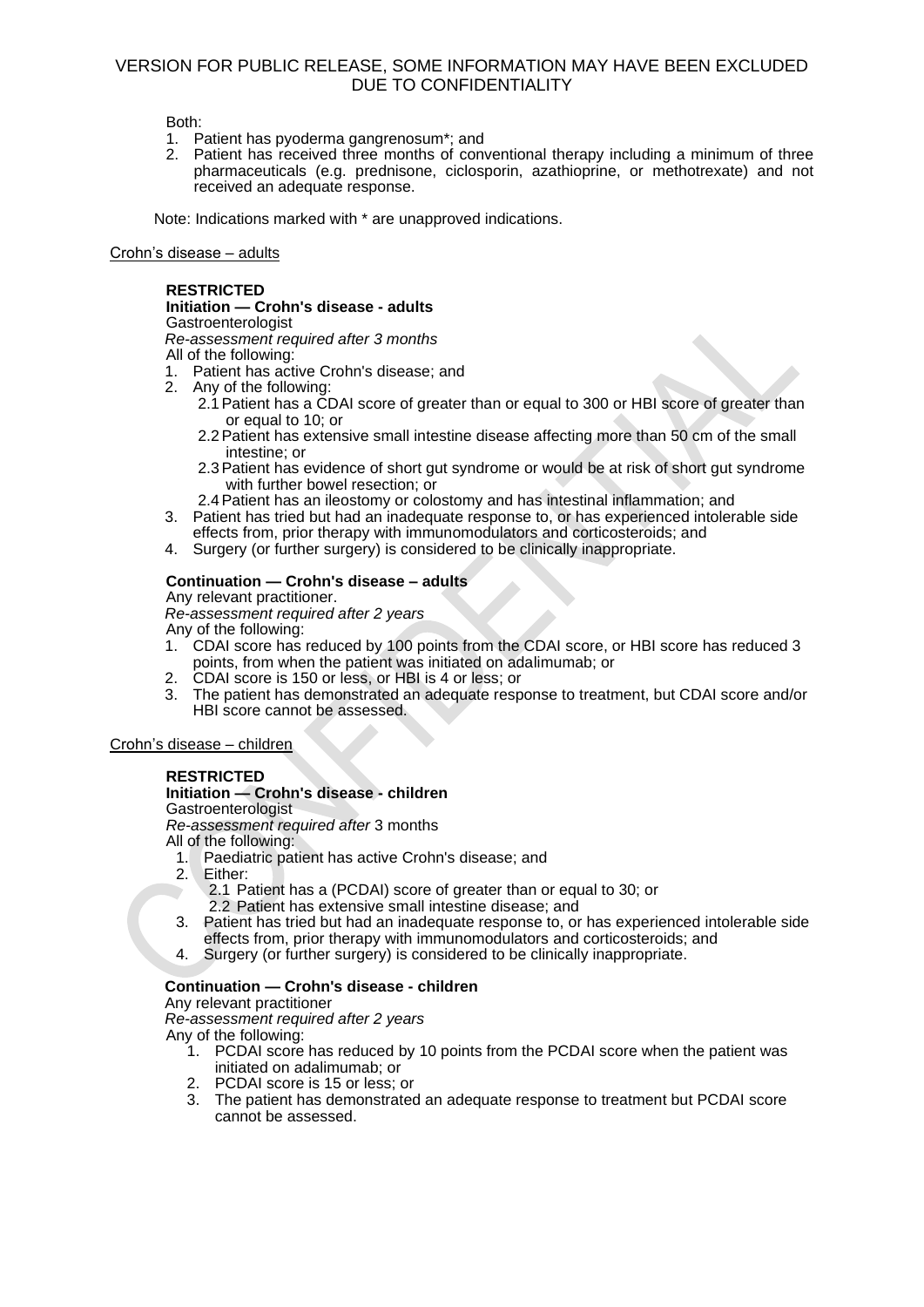Both:

- 1. Patient has pyoderma gangrenosum\*; and
- 2. Patient has received three months of conventional therapy including a minimum of three pharmaceuticals (e.g. prednisone, ciclosporin, azathioprine, or methotrexate) and not received an adequate response.

Note: Indications marked with \* are unapproved indications.

### Crohn's disease – adults

### **RESTRICTED**

**Initiation — Crohn's disease - adults Gastroenterologist** *Re-assessment required after 3 months* All of the following:

- 1. Patient has active Crohn's disease; and
- 2. Any of the following:
	- 2.1Patient has a CDAI score of greater than or equal to 300 or HBI score of greater than or equal to 10; or
	- 2.2Patient has extensive small intestine disease affecting more than 50 cm of the small intestine; or
	- 2.3Patient has evidence of short gut syndrome or would be at risk of short gut syndrome with further bowel resection; or
	- 2.4Patient has an ileostomy or colostomy and has intestinal inflammation; and
- 3. Patient has tried but had an inadequate response to, or has experienced intolerable side effects from, prior therapy with immunomodulators and corticosteroids; and
- 4. Surgery (or further surgery) is considered to be clinically inappropriate.

# **Continuation — Crohn's disease – adults**

Any relevant practitioner. *Re-assessment required after 2 years* 

Any of the following:

- 1. CDAI score has reduced by 100 points from the CDAI score, or HBI score has reduced 3 points, from when the patient was initiated on adalimumab; or
- 2. CDAI score is 150 or less, or HBI is 4 or less; or
- 3. The patient has demonstrated an adequate response to treatment, but CDAI score and/or HBI score cannot be assessed.

Crohn's disease – children

# **RESTRICTED**

### **Initiation — Crohn's disease - children**

**Gastroenterologist** 

*Re-assessment required after* 3 months

All of the following:

- 1. Paediatric patient has active Crohn's disease; and
- 2. Either:
	- 2.1 Patient has a (PCDAI) score of greater than or equal to 30; or
	- 2.2 Patient has extensive small intestine disease; and
- 3. Patient has tried but had an inadequate response to, or has experienced intolerable side effects from, prior therapy with immunomodulators and corticosteroids; and
- 4. Surgery (or further surgery) is considered to be clinically inappropriate.

### **Continuation — Crohn's disease - children**

Any relevant practitioner

*Re-assessment required after 2 years* 

Any of the following:

- 1. PCDAI score has reduced by 10 points from the PCDAI score when the patient was initiated on adalimumab; or
- 2. PCDAI score is 15 or less; or
- 3. The patient has demonstrated an adequate response to treatment but PCDAI score cannot be assessed.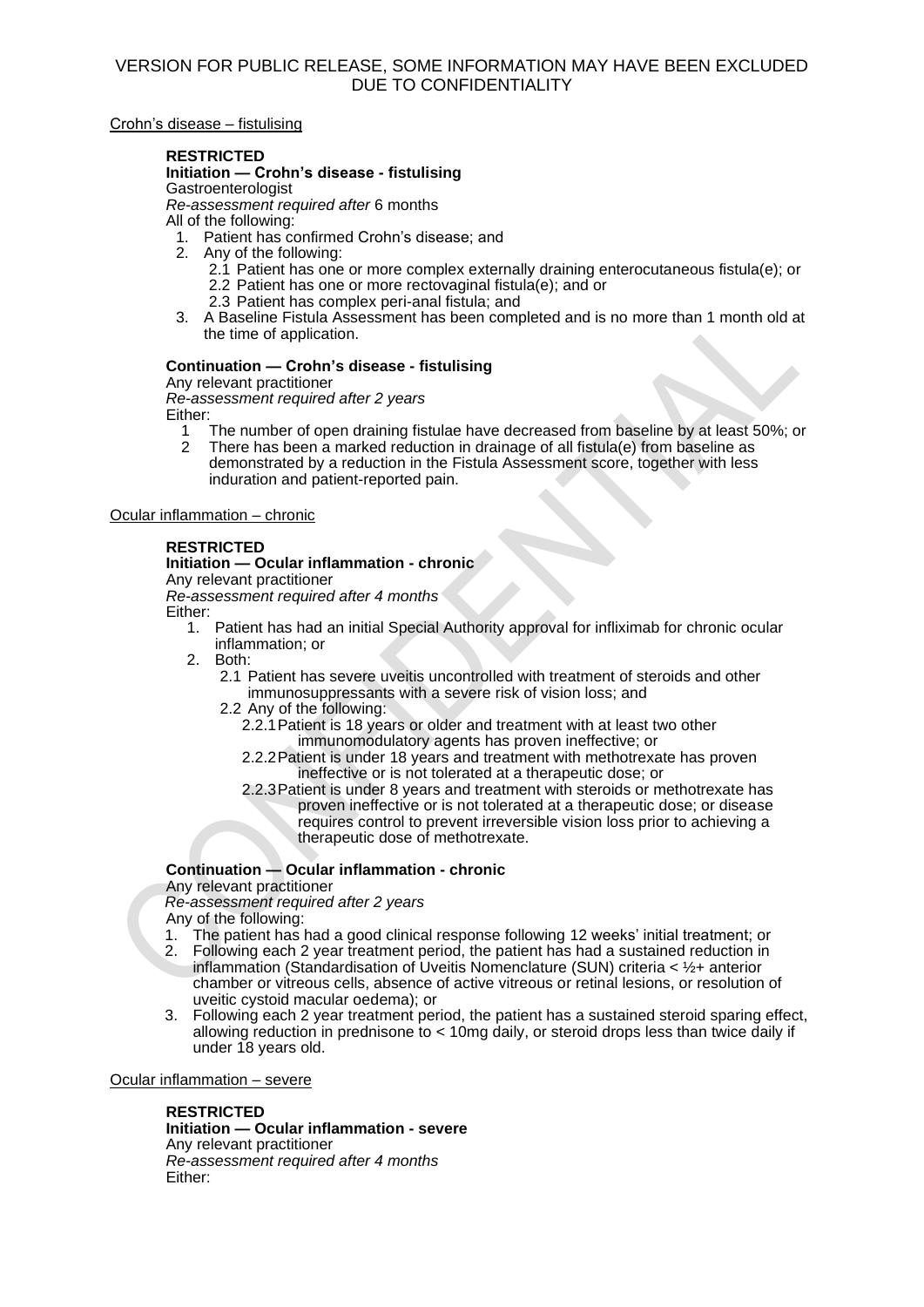Crohn's disease – fistulising

### **RESTRICTED**

**Initiation — Crohn's disease - fistulising Gastroenterologist** 

*Re-assessment required after* 6 months

All of the following:

1. Patient has confirmed Crohn's disease; and

- 2. Any of the following:
	- 2.1 Patient has one or more complex externally draining enterocutaneous fistula(e); or
	- 2.2 Patient has one or more rectovaginal fistula(e); and or
	- 2.3 Patient has complex peri-anal fistula; and
- 3. A Baseline Fistula Assessment has been completed and is no more than 1 month old at the time of application.

### **Continuation — Crohn's disease - fistulising**

Any relevant practitioner *Re-assessment required after 2 years* Either:

1 The number of open draining fistulae have decreased from baseline by at least 50%; or 2 There has been a marked reduction in drainage of all fistula(e) from baseline as 2 There has been a marked reduction in drainage of all fistula(e) from baseline as demonstrated by a reduction in the Fistula Assessment score, together with less induration and patient-reported pain.

Ocular inflammation – chronic

# **RESTRICTED**

### **Initiation — Ocular inflammation - chronic**

Any relevant practitioner

*Re-assessment required after 4 months*  Either:

- 1. Patient has had an initial Special Authority approval for infliximab for chronic ocular inflammation; or
- 2. Both:
	- 2.1 Patient has severe uveitis uncontrolled with treatment of steroids and other immunosuppressants with a severe risk of vision loss; and
	- 2.2 Any of the following:
		- 2.2.1Patient is 18 years or older and treatment with at least two other immunomodulatory agents has proven ineffective; or
		- 2.2.2Patient is under 18 years and treatment with methotrexate has proven ineffective or is not tolerated at a therapeutic dose; or
		- 2.2.3Patient is under 8 years and treatment with steroids or methotrexate has proven ineffective or is not tolerated at a therapeutic dose; or disease requires control to prevent irreversible vision loss prior to achieving a therapeutic dose of methotrexate.

# **Continuation — Ocular inflammation - chronic**

Any relevant practitioner

*Re-assessment required after 2 years* 

Any of the following:

- 1. The patient has had a good clinical response following 12 weeks' initial treatment; or
- 2. Following each 2 year treatment period, the patient has had a sustained reduction in inflammation (Standardisation of Uveitis Nomenclature (SUN) criteria  $<$  1/2+ anterior chamber or vitreous cells, absence of active vitreous or retinal lesions, or resolution of uveitic cystoid macular oedema); or
- 3. Following each 2 year treatment period, the patient has a sustained steroid sparing effect, allowing reduction in prednisone to < 10mg daily, or steroid drops less than twice daily if under 18 years old.

### Ocular inflammation – severe

**RESTRICTED**

**Initiation — Ocular inflammation - severe** Any relevant practitioner *Re-assessment required after 4 months* Either: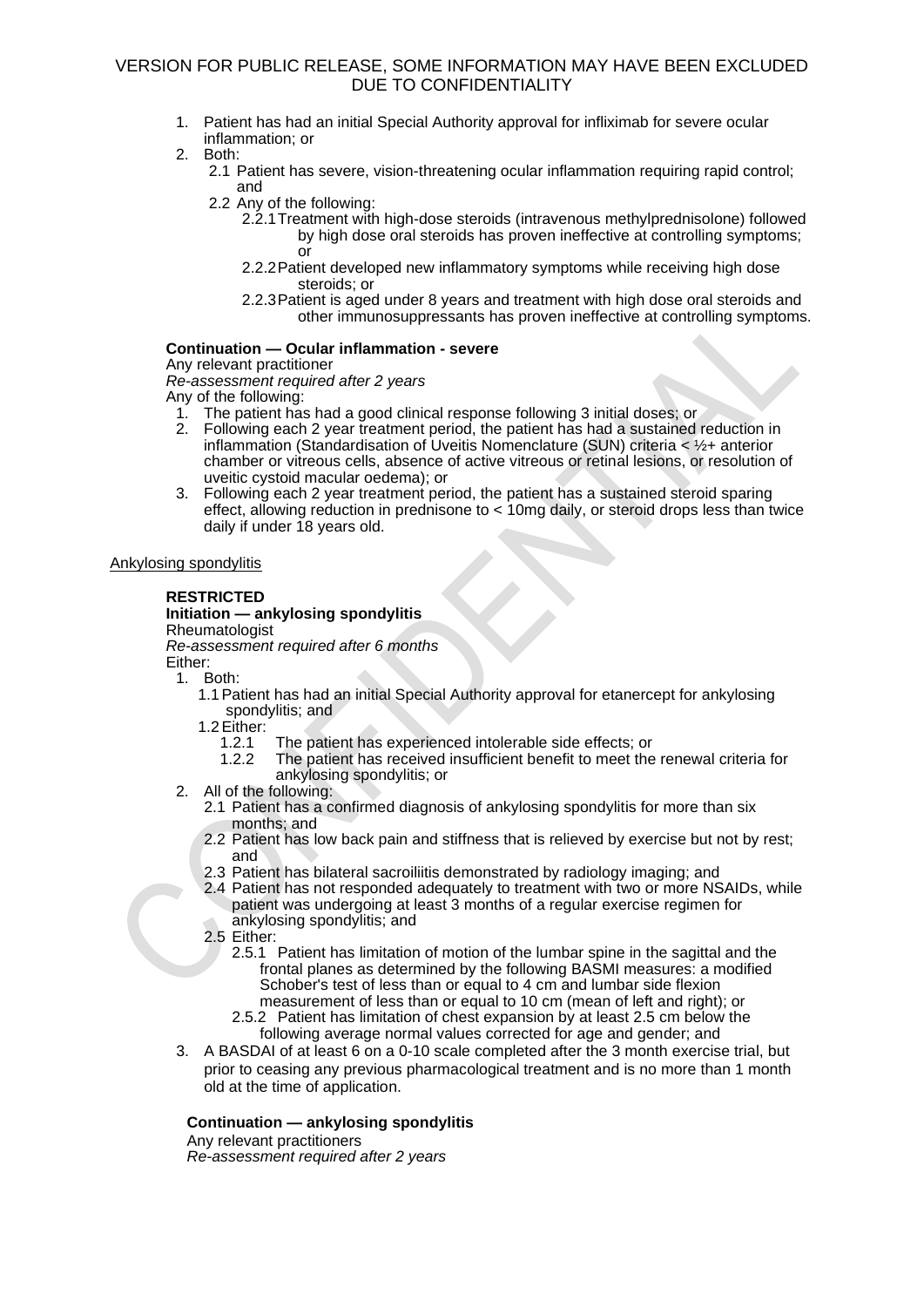- 1. Patient has had an initial Special Authority approval for infliximab for severe ocular inflammation; or
- 2. Both:
	- 2.1 Patient has severe, vision-threatening ocular inflammation requiring rapid control; and
		- 2.2 Any of the following:
			- 2.2.1Treatment with high-dose steroids (intravenous methylprednisolone) followed by high dose oral steroids has proven ineffective at controlling symptoms; or
			- 2.2.2Patient developed new inflammatory symptoms while receiving high dose steroids; or
			- 2.2.3Patient is aged under 8 years and treatment with high dose oral steroids and other immunosuppressants has proven ineffective at controlling symptoms.

### **Continuation — Ocular inflammation - severe**

Any relevant practitioner

*Re-assessment required after 2 years*  Any of the following:

- 1. The patient has had a good clinical response following 3 initial doses; or
- 2. Following each 2 year treatment period, the patient has had a sustained reduction in inflammation (Standardisation of Uveitis Nomenclature (SUN) criteria < ½+ anterior chamber or vitreous cells, absence of active vitreous or retinal lesions, or resolution of uveitic cystoid macular oedema); or
- 3. Following each 2 year treatment period, the patient has a sustained steroid sparing effect, allowing reduction in prednisone to < 10mg daily, or steroid drops less than twice daily if under 18 years old.

### Ankylosing spondylitis

# **RESTRICTED**

# **Initiation — ankylosing spondylitis**

Rheumatologist

*Re-assessment required after 6 months*

- Either: 1. Both:
	- 1.1Patient has had an initial Special Authority approval for etanercept for ankylosing spondylitis; and
	- 1.2Either:
		- 1.2.1 The patient has experienced intolerable side effects; or<br>1.2.2 The patient has received insufficient benefit to meet the
			- The patient has received insufficient benefit to meet the renewal criteria for ankylosing spondylitis; or
	- 2. All of the following:
		- 2.1 Patient has a confirmed diagnosis of ankylosing spondylitis for more than six months; and
		- 2.2 Patient has low back pain and stiffness that is relieved by exercise but not by rest; and
		- 2.3 Patient has bilateral sacroiliitis demonstrated by radiology imaging; and
		- 2.4 Patient has not responded adequately to treatment with two or more NSAIDs, while patient was undergoing at least 3 months of a regular exercise regimen for ankylosing spondylitis; and
		- 2.5 Either:
			- 2.5.1 Patient has limitation of motion of the lumbar spine in the sagittal and the frontal planes as determined by the following BASMI measures: a modified Schober's test of less than or equal to 4 cm and lumbar side flexion measurement of less than or equal to 10 cm (mean of left and right); or
			- 2.5.2 Patient has limitation of chest expansion by at least 2.5 cm below the following average normal values corrected for age and gender; and
	- 3. A BASDAI of at least 6 on a 0-10 scale completed after the 3 month exercise trial, but prior to ceasing any previous pharmacological treatment and is no more than 1 month old at the time of application.

### **Continuation — ankylosing spondylitis**

Any relevant practitioners *Re-assessment required after 2 years*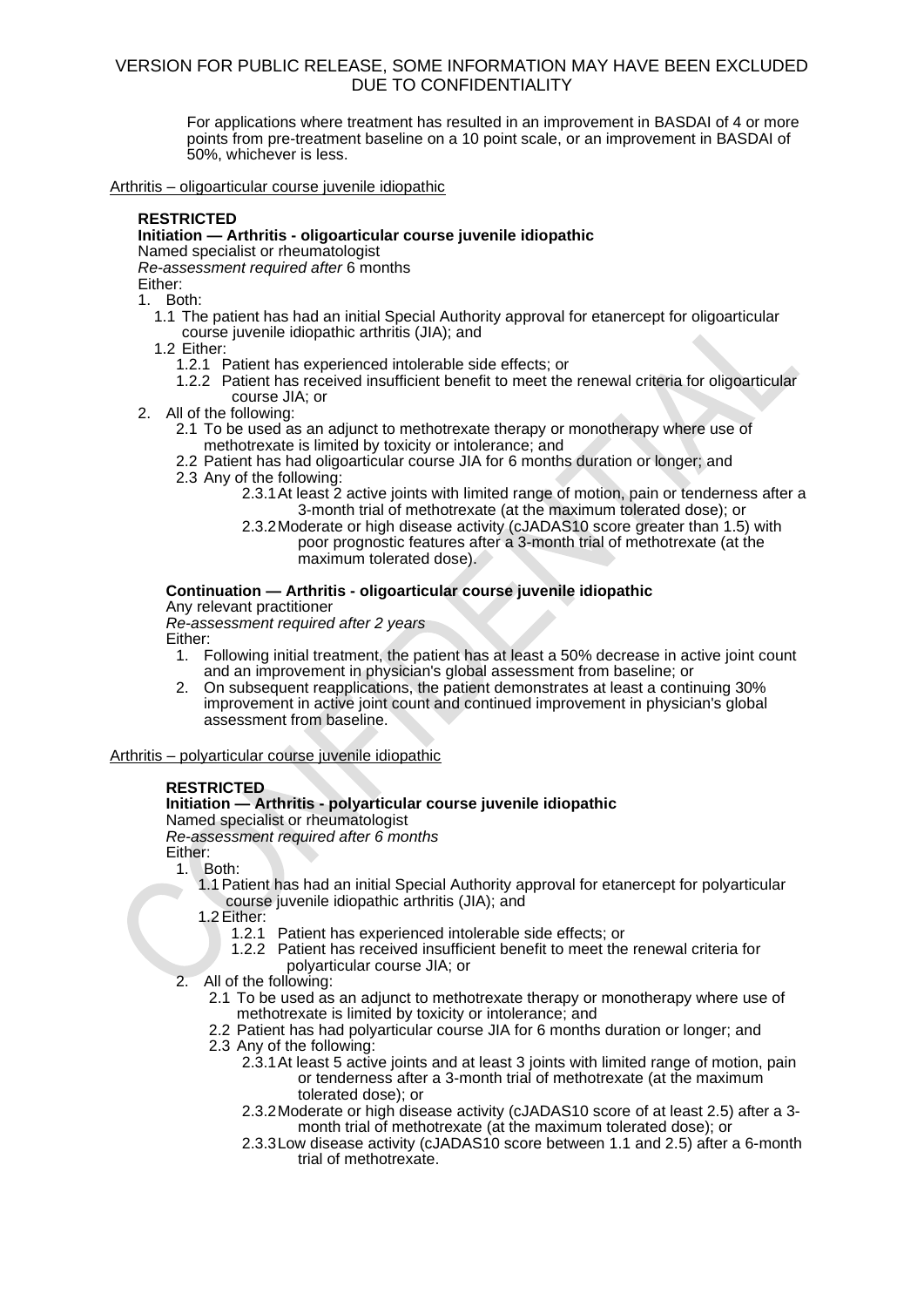For applications where treatment has resulted in an improvement in BASDAI of 4 or more points from pre-treatment baseline on a 10 point scale, or an improvement in BASDAI of 50%, whichever is less.

Arthritis – oligoarticular course juvenile idiopathic

### **RESTRICTED**

### **Initiation — Arthritis - oligoarticular course juvenile idiopathic**

Named specialist or rheumatologist

*Re-assessment required after* 6 months

Either:

1. Both:

- 1.1 The patient has had an initial Special Authority approval for etanercept for oligoarticular course juvenile idiopathic arthritis (JIA); and
- 1.2 Either:
	- 1.2.1 Patient has experienced intolerable side effects; or
	- 1.2.2 Patient has received insufficient benefit to meet the renewal criteria for oligoarticular course JIA; or
- 2. All of the following:
	- 2.1 To be used as an adjunct to methotrexate therapy or monotherapy where use of methotrexate is limited by toxicity or intolerance; and
	- 2.2 Patient has had oligoarticular course JIA for 6 months duration or longer; and
	- 2.3 Any of the following:
		- 2.3.1At least 2 active joints with limited range of motion, pain or tenderness after a 3-month trial of methotrexate (at the maximum tolerated dose); or
		- 2.3.2Moderate or high disease activity (cJADAS10 score greater than 1.5) with poor prognostic features after a 3-month trial of methotrexate (at the maximum tolerated dose).

### **Continuation — Arthritis - oligoarticular course juvenile idiopathic**

Any relevant practitioner *Re-assessment required after 2 years* 

Either:

- 1. Following initial treatment, the patient has at least a 50% decrease in active joint count and an improvement in physician's global assessment from baseline; or
- 2. On subsequent reapplications, the patient demonstrates at least a continuing 30% improvement in active joint count and continued improvement in physician's global assessment from baseline.

### Arthritis – polyarticular course juvenile idiopathic

### **RESTRICTED**

#### **Initiation — Arthritis - polyarticular course juvenile idiopathic** Named specialist or rheumatologist

*Re-assessment required after 6 months*

Either:

- 1. Both:
	- 1.1Patient has had an initial Special Authority approval for etanercept for polyarticular course juvenile idiopathic arthritis (JIA); and

1.2 Either:<br>1.2.1

- Patient has experienced intolerable side effects; or
- 1.2.2 Patient has received insufficient benefit to meet the renewal criteria for polyarticular course JIA; or
- 2. All of the following:
	- 2.1 To be used as an adjunct to methotrexate therapy or monotherapy where use of methotrexate is limited by toxicity or intolerance; and
	- 2.2 Patient has had polyarticular course JIA for 6 months duration or longer; and
	- 2.3 Any of the following:
		- 2.3.1 At least 5 active joints and at least 3 joints with limited range of motion, pain or tenderness after a 3-month trial of methotrexate (at the maximum tolerated dose); or
		- 2.3.2Moderate or high disease activity (cJADAS10 score of at least 2.5) after a 3 month trial of methotrexate (at the maximum tolerated dose); or
		- 2.3.3Low disease activity (cJADAS10 score between 1.1 and 2.5) after a 6-month trial of methotrexate.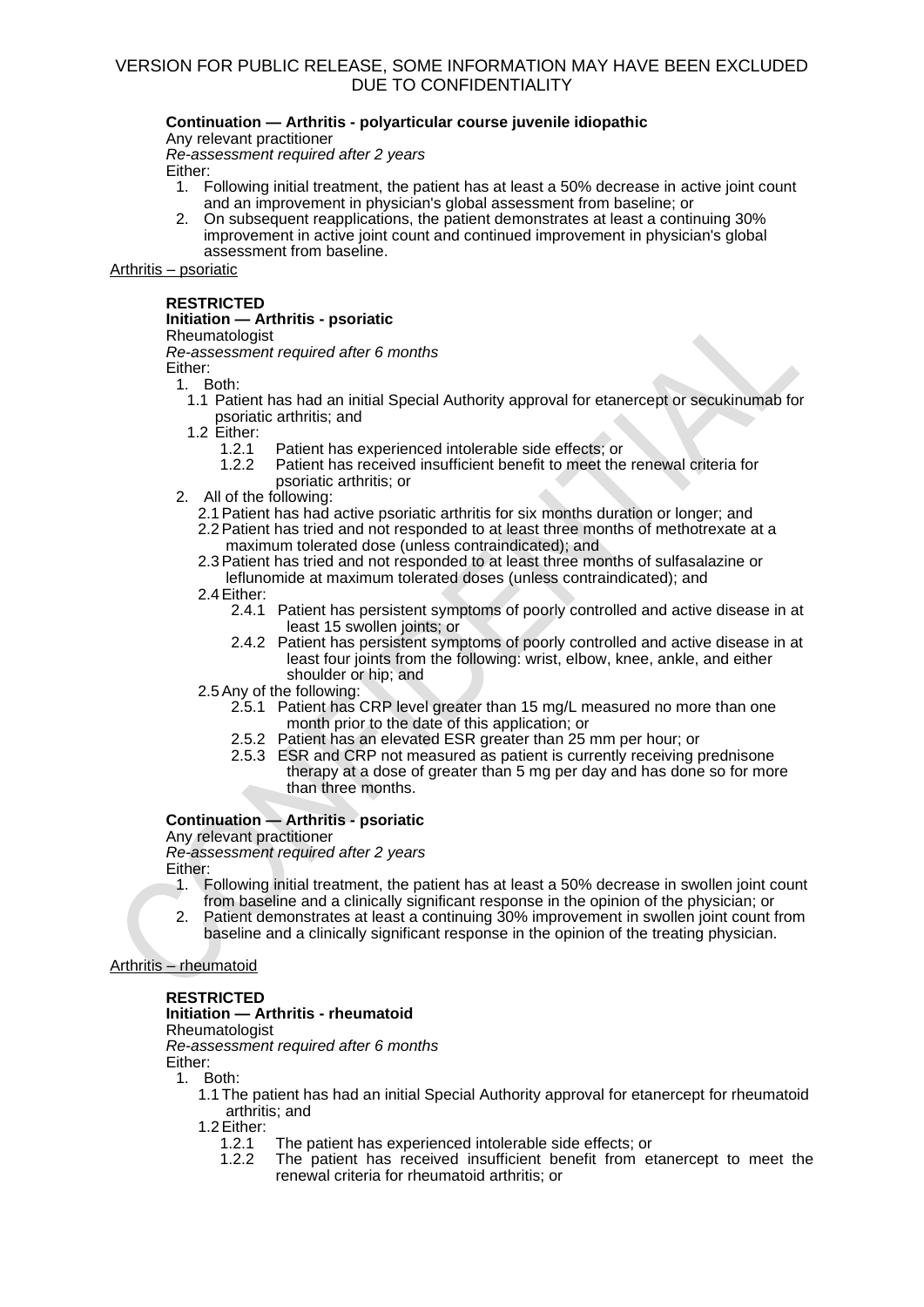### **Continuation — Arthritis - polyarticular course juvenile idiopathic**

Any relevant practitioner

*Re-assessment required after 2 years* 

Either:

- 1. Following initial treatment, the patient has at least a 50% decrease in active joint count and an improvement in physician's global assessment from baseline; or
- 2. On subsequent reapplications, the patient demonstrates at least a continuing 30% improvement in active joint count and continued improvement in physician's global assessment from baseline.

Arthritis – psoriatic

#### **RESTRICTED Initiation — Arthritis - psoriatic**

# **Rheumatologist**

*Re-assessment required after 6 months*

Either:

1. Both:

- 1.1 Patient has had an initial Special Authority approval for etanercept or secukinumab for psoriatic arthritis; and
- 1.2 Either:<br>1.2.1
	- Patient has experienced intolerable side effects; or
	- 1.2.2 Patient has received insufficient benefit to meet the renewal criteria for psoriatic arthritis; or
- 2. All of the following:
	- 2.1Patient has had active psoriatic arthritis for six months duration or longer; and
	- 2.2Patient has tried and not responded to at least three months of methotrexate at a maximum tolerated dose (unless contraindicated); and
	- 2.3Patient has tried and not responded to at least three months of sulfasalazine or leflunomide at maximum tolerated doses (unless contraindicated); and
	- 2.4Either:
		- 2.4.1 Patient has persistent symptoms of poorly controlled and active disease in at least 15 swollen joints; or
		- 2.4.2 Patient has persistent symptoms of poorly controlled and active disease in at least four joints from the following: wrist, elbow, knee, ankle, and either shoulder or hip; and

### 2.5Any of the following:

- 2.5.1 Patient has CRP level greater than 15 mg/L measured no more than one month prior to the date of this application; or
- 2.5.2 Patient has an elevated ESR greater than 25 mm per hour; or
- 2.5.3 ESR and CRP not measured as patient is currently receiving prednisone therapy at a dose of greater than 5 mg per day and has done so for more than three months.

# **Continuation — Arthritis - psoriatic**

Any relevant practitioner

*Re-assessment required after 2 years* 

Either:

- 1. Following initial treatment, the patient has at least a 50% decrease in swollen joint count from baseline and a clinically significant response in the opinion of the physician; or
- 2. Patient demonstrates at least a continuing 30% improvement in swollen joint count from baseline and a clinically significant response in the opinion of the treating physician.

# Arthritis – rheumatoid

# **RESTRICTED**

### **Initiation — Arthritis - rheumatoid**

Rheumatologist

*Re-assessment required after 6 months*

Either:

- 1. Both:
	- 1.1 The patient has had an initial Special Authority approval for etanercept for rheumatoid arthritis; and
	- 1.2Either:
		- 1.2.1 The patient has experienced intolerable side effects; or
		- 1.2.2 The patient has received insufficient benefit from etanercept to meet the renewal criteria for rheumatoid arthritis; or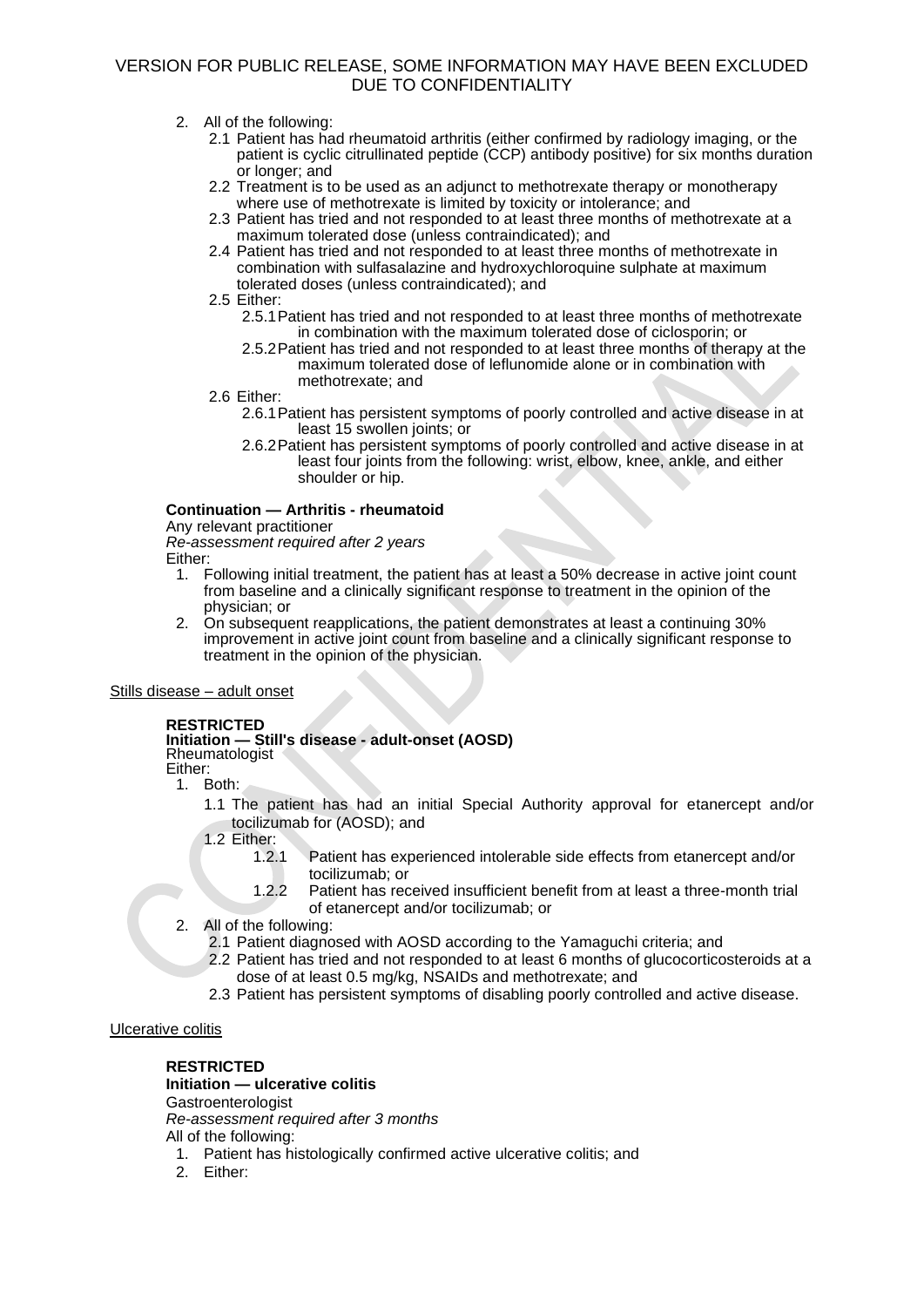- 2. All of the following:
	- 2.1 Patient has had rheumatoid arthritis (either confirmed by radiology imaging, or the patient is cyclic citrullinated peptide (CCP) antibody positive) for six months duration or longer; and
	- 2.2 Treatment is to be used as an adjunct to methotrexate therapy or monotherapy where use of methotrexate is limited by toxicity or intolerance; and
	- 2.3 Patient has tried and not responded to at least three months of methotrexate at a maximum tolerated dose (unless contraindicated); and
	- 2.4 Patient has tried and not responded to at least three months of methotrexate in combination with sulfasalazine and hydroxychloroquine sulphate at maximum tolerated doses (unless contraindicated); and
	- 2.5 Either:
		- 2.5.1Patient has tried and not responded to at least three months of methotrexate in combination with the maximum tolerated dose of ciclosporin; or
		- 2.5.2Patient has tried and not responded to at least three months of therapy at the maximum tolerated dose of leflunomide alone or in combination with methotrexate; and
	- 2.6 Either:
		- 2.6.1Patient has persistent symptoms of poorly controlled and active disease in at least 15 swollen joints; or
		- 2.6.2Patient has persistent symptoms of poorly controlled and active disease in at least four joints from the following: wrist, elbow, knee, ankle, and either shoulder or hip.

# **Continuation — Arthritis - rheumatoid**

Any relevant practitioner

*Re-assessment required after 2 years*  Either:

- 
- 1. Following initial treatment, the patient has at least a 50% decrease in active joint count from baseline and a clinically significant response to treatment in the opinion of the physician; or
- 2. On subsequent reapplications, the patient demonstrates at least a continuing 30% improvement in active joint count from baseline and a clinically significant response to treatment in the opinion of the physician.

# Stills disease – adult onset

# **RESTRICTED**

#### **Initiation — Still's disease - adult-onset (AOSD)** Rheumatologist

Either:

- 1. Both:
	- 1.1 The patient has had an initial Special Authority approval for etanercept and/or tocilizumab for (AOSD); and
	- 1.2 Either:
		- 1.2.1 Patient has experienced intolerable side effects from etanercept and/or tocilizumab; or
		- 1.2.2 Patient has received insufficient benefit from at least a three-month trial of etanercept and/or tocilizumab; or
- 2. All of the following:
	- 2.1 Patient diagnosed with AOSD according to the Yamaguchi criteria; and
	- 2.2 Patient has tried and not responded to at least 6 months of glucocorticosteroids at a dose of at least 0.5 mg/kg, NSAIDs and methotrexate; and
	- 2.3 Patient has persistent symptoms of disabling poorly controlled and active disease.

# Ulcerative colitis

# **RESTRICTED**

**Initiation — ulcerative colitis Gastroenterologist** *Re-assessment required after 3 months* All of the following:

- 1. Patient has histologically confirmed active ulcerative colitis; and
- 2. Either: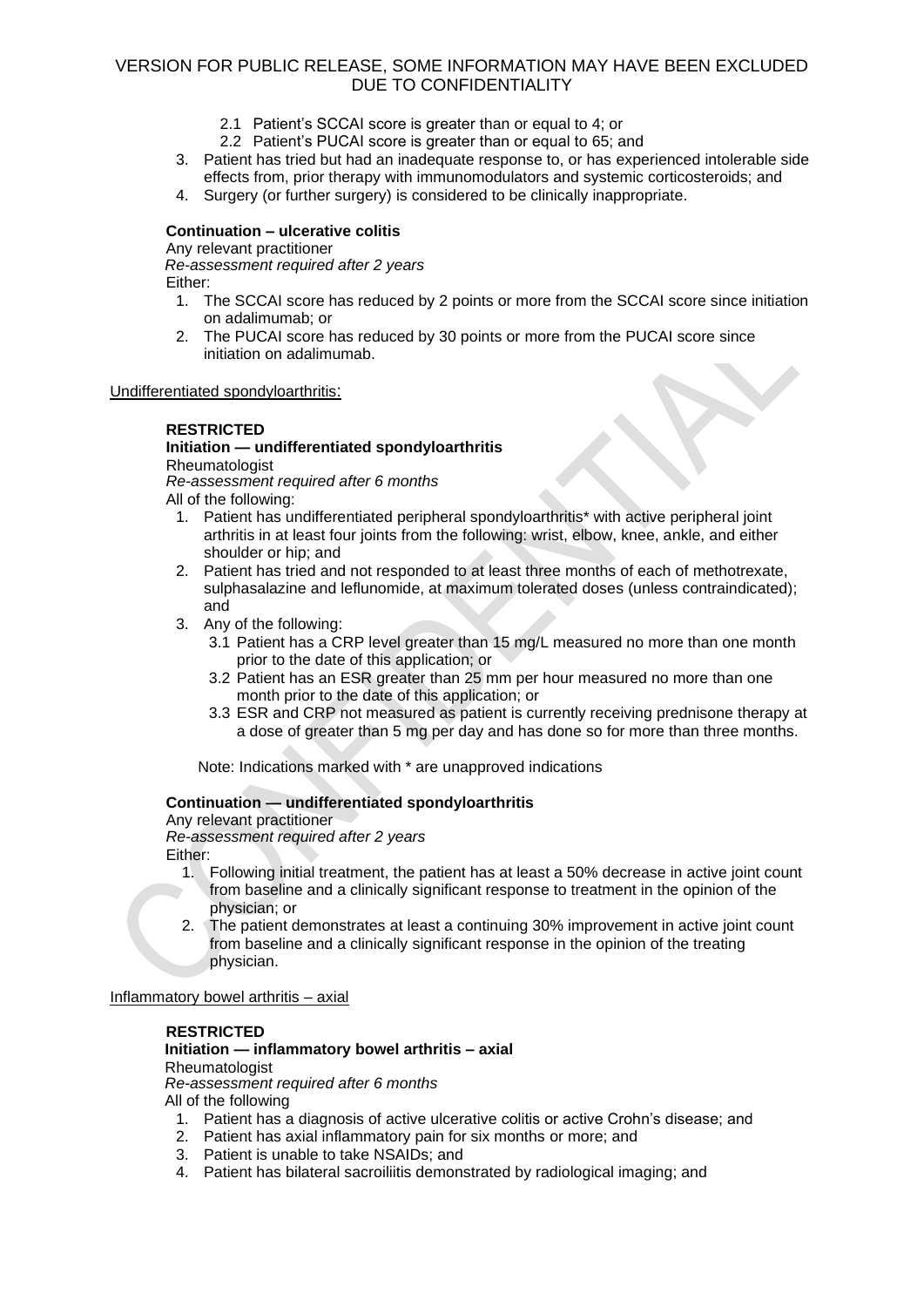- 2.1 Patient's SCCAI score is greater than or equal to 4; or
- 2.2 Patient's PUCAI score is greater than or equal to 65; and
- 3. Patient has tried but had an inadequate response to, or has experienced intolerable side effects from, prior therapy with immunomodulators and systemic corticosteroids; and
- 4. Surgery (or further surgery) is considered to be clinically inappropriate.

### **Continuation – ulcerative colitis**

Any relevant practitioner

*Re-assessment required after 2 years* 

Either:

- 1. The SCCAI score has reduced by 2 points or more from the SCCAI score since initiation on adalimumab; or
- 2. The PUCAI score has reduced by 30 points or more from the PUCAI score since initiation on adalimumab.

Undifferentiated spondyloarthritis:

### **RESTRICTED**

# **Initiation — undifferentiated spondyloarthritis**

**Rheumatologist** 

*Re-assessment required after 6 months*

All of the following:

- 1. Patient has undifferentiated peripheral spondyloarthritis\* with active peripheral joint arthritis in at least four joints from the following: wrist, elbow, knee, ankle, and either shoulder or hip; and
- 2. Patient has tried and not responded to at least three months of each of methotrexate, sulphasalazine and leflunomide, at maximum tolerated doses (unless contraindicated); and
- 3. Any of the following:
	- 3.1 Patient has a CRP level greater than 15 mg/L measured no more than one month prior to the date of this application; or
	- 3.2 Patient has an ESR greater than 25 mm per hour measured no more than one month prior to the date of this application; or
	- 3.3 ESR and CRP not measured as patient is currently receiving prednisone therapy at a dose of greater than 5 mg per day and has done so for more than three months.

Note: Indications marked with \* are unapproved indications

# **Continuation — undifferentiated spondyloarthritis**

Any relevant practitioner *Re-assessment required after 2 years*  Either:

- 1. Following initial treatment, the patient has at least a 50% decrease in active joint count from baseline and a clinically significant response to treatment in the opinion of the physician; or
- 2. The patient demonstrates at least a continuing 30% improvement in active joint count from baseline and a clinically significant response in the opinion of the treating physician.

### Inflammatory bowel arthritis – axial

### **RESTRICTED**

# **Initiation — inflammatory bowel arthritis – axial**

### Rheumatologist

*Re-assessment required after 6 months*

All of the following

- 1. Patient has a diagnosis of active ulcerative colitis or active Crohn's disease; and
- 2. Patient has axial inflammatory pain for six months or more; and
- 3. Patient is unable to take NSAIDs; and
- 4. Patient has bilateral sacroiliitis demonstrated by radiological imaging; and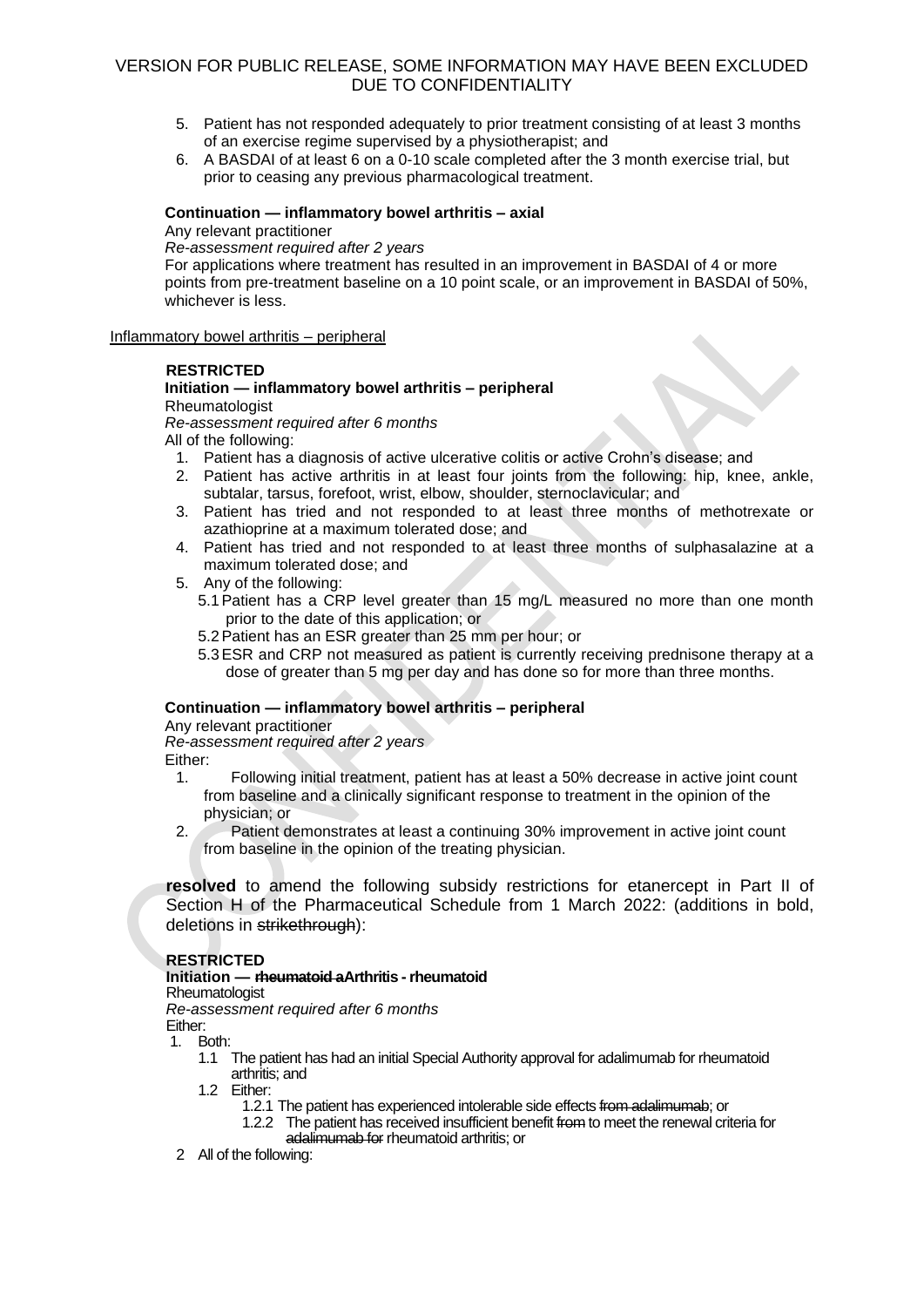- 5. Patient has not responded adequately to prior treatment consisting of at least 3 months of an exercise regime supervised by a physiotherapist; and
- 6. A BASDAI of at least 6 on a 0-10 scale completed after the 3 month exercise trial, but prior to ceasing any previous pharmacological treatment.

### **Continuation — inflammatory bowel arthritis – axial**

Any relevant practitioner

*Re-assessment required after 2 years* 

For applications where treatment has resulted in an improvement in BASDAI of 4 or more points from pre-treatment baseline on a 10 point scale, or an improvement in BASDAI of 50%, whichever is less.

### Inflammatory bowel arthritis – peripheral

### **RESTRICTED**

# **Initiation — inflammatory bowel arthritis – peripheral**

### **Rheumatologist**

### *Re-assessment required after 6 months*

All of the following:

- 1. Patient has a diagnosis of active ulcerative colitis or active Crohn's disease; and
- 2. Patient has active arthritis in at least four joints from the following: hip, knee, ankle, subtalar, tarsus, forefoot, wrist, elbow, shoulder, sternoclavicular; and
- 3. Patient has tried and not responded to at least three months of methotrexate or azathioprine at a maximum tolerated dose; and
- 4. Patient has tried and not responded to at least three months of sulphasalazine at a maximum tolerated dose; and
- 5. Any of the following:
	- 5.1Patient has a CRP level greater than 15 mg/L measured no more than one month prior to the date of this application; or
	- 5.2Patient has an ESR greater than 25 mm per hour; or
	- 5.3ESR and CRP not measured as patient is currently receiving prednisone therapy at a dose of greater than 5 mg per day and has done so for more than three months.

# **Continuation — inflammatory bowel arthritis – peripheral**

Any relevant practitioner

*Re-assessment required after 2 years* 

Either:

- 1. Following initial treatment, patient has at least a 50% decrease in active joint count from baseline and a clinically significant response to treatment in the opinion of the physician; or
- 2. Patient demonstrates at least a continuing 30% improvement in active joint count from baseline in the opinion of the treating physician.

**resolved** to amend the following subsidy restrictions for etanercept in Part II of Section H of the Pharmaceutical Schedule from 1 March 2022: (additions in bold, deletions in strikethrough):

# **RESTRICTED**

# **Initiation — rheumatoid aArthritis - rheumatoid**

Rheumatologist

*Re-assessment required after 6 months* 

Either:

1. Both:

- 1.1 The patient has had an initial Special Authority approval for adalimumab for rheumatoid arthritis; and
- 1.2 Either:
	- 1.2.1 The patient has experienced intolerable side effects from adalimumab: or
	- 1.2.2 The patient has received insufficient benefit from to meet the renewal criteria for adalimumab for rheumatoid arthritis; or
- 2 All of the following: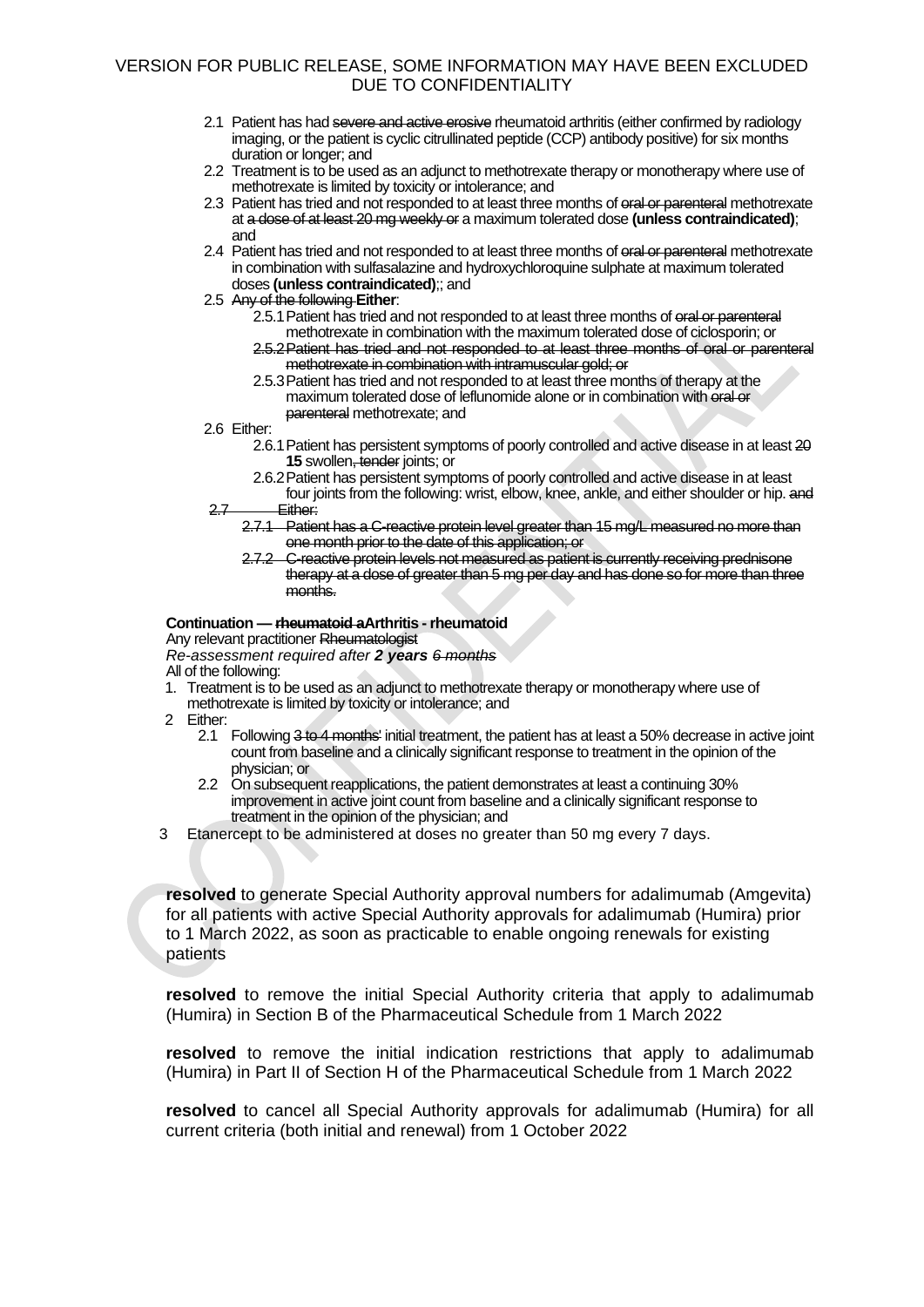- 2.1 Patient has had severe and active erosive rheumatoid arthritis (either confirmed by radiology imaging, or the patient is cyclic citrullinated peptide (CCP) antibody positive) for six months duration or longer; and
- 2.2 Treatment is to be used as an adjunct to methotrexate therapy or monotherapy where use of methotrexate is limited by toxicity or intolerance; and
- 2.3 Patient has tried and not responded to at least three months of oral or parenteral methotrexate at a dose of at least 20 mg weekly or a maximum tolerated dose **(unless contraindicated)**; and
- 2.4 Patient has tried and not responded to at least three months of oral or parenteral methotrexate in combination with sulfasalazine and hydroxychloroquine sulphate at maximum tolerated doses **(unless contraindicated)**;; and
- 2.5 Any of the following **Either**:
	- 2.5.1 Patient has tried and not responded to at least three months of eral or parenteral methotrexate in combination with the maximum tolerated dose of ciclosporin; or 2.5.2Patient has tried and not responded to at least three months of oral or parenteral
	- methotrexate in combination with intramuscular gold; or 2.5.3Patient has tried and not responded to at least three months of therapy at the
	- maximum tolerated dose of leflunomide alone or in combination with oral or parenteral methotrexate; and
- 2.6 Either:
	- 2.6.1Patient has persistent symptoms of poorly controlled and active disease in at least 20 **15** swollen, tender joints; or
	- 2.6.2Patient has persistent symptoms of poorly controlled and active disease in at least four joints from the following: wrist, elbow, knee, ankle, and either shoulder or hip. and
- 2.7 Either:
	- 2.7.1 Patient has a C-reactive protein level greater than 15 mg/L measured no more than one month prior to the date of this application; or
	- 2.7.2 C-reactive protein levels not measured as patient is currently receiving prednisone therapy at a dose of greater than 5 mg per day and has done so for more than three months.

### **Continuation — rheumatoid aArthritis - rheumatoid**

Any relevant practitioner Rheumatologist

*Re-assessment required after 2 years 6 months* All of the following:

- 1. Treatment is to be used as an adjunct to methotrexate therapy or monotherapy where use of methotrexate is limited by toxicity or intolerance; and
- 2 Either:
	- 2.1 Following 3 to 4 months' initial treatment, the patient has at least a 50% decrease in active joint count from baseline and a clinically significant response to treatment in the opinion of the physician; or
	- 2.2 On subsequent reapplications, the patient demonstrates at least a continuing 30% improvement in active joint count from baseline and a clinically significant response to treatment in the opinion of the physician; and
- 3 Etanercept to be administered at doses no greater than 50 mg every 7 days.

**resolved** to generate Special Authority approval numbers for adalimumab (Amgevita) for all patients with active Special Authority approvals for adalimumab (Humira) prior to 1 March 2022, as soon as practicable to enable ongoing renewals for existing patients

**resolved** to remove the initial Special Authority criteria that apply to adalimumab (Humira) in Section B of the Pharmaceutical Schedule from 1 March 2022

**resolved** to remove the initial indication restrictions that apply to adalimumab (Humira) in Part II of Section H of the Pharmaceutical Schedule from 1 March 2022

**resolved** to cancel all Special Authority approvals for adalimumab (Humira) for all current criteria (both initial and renewal) from 1 October 2022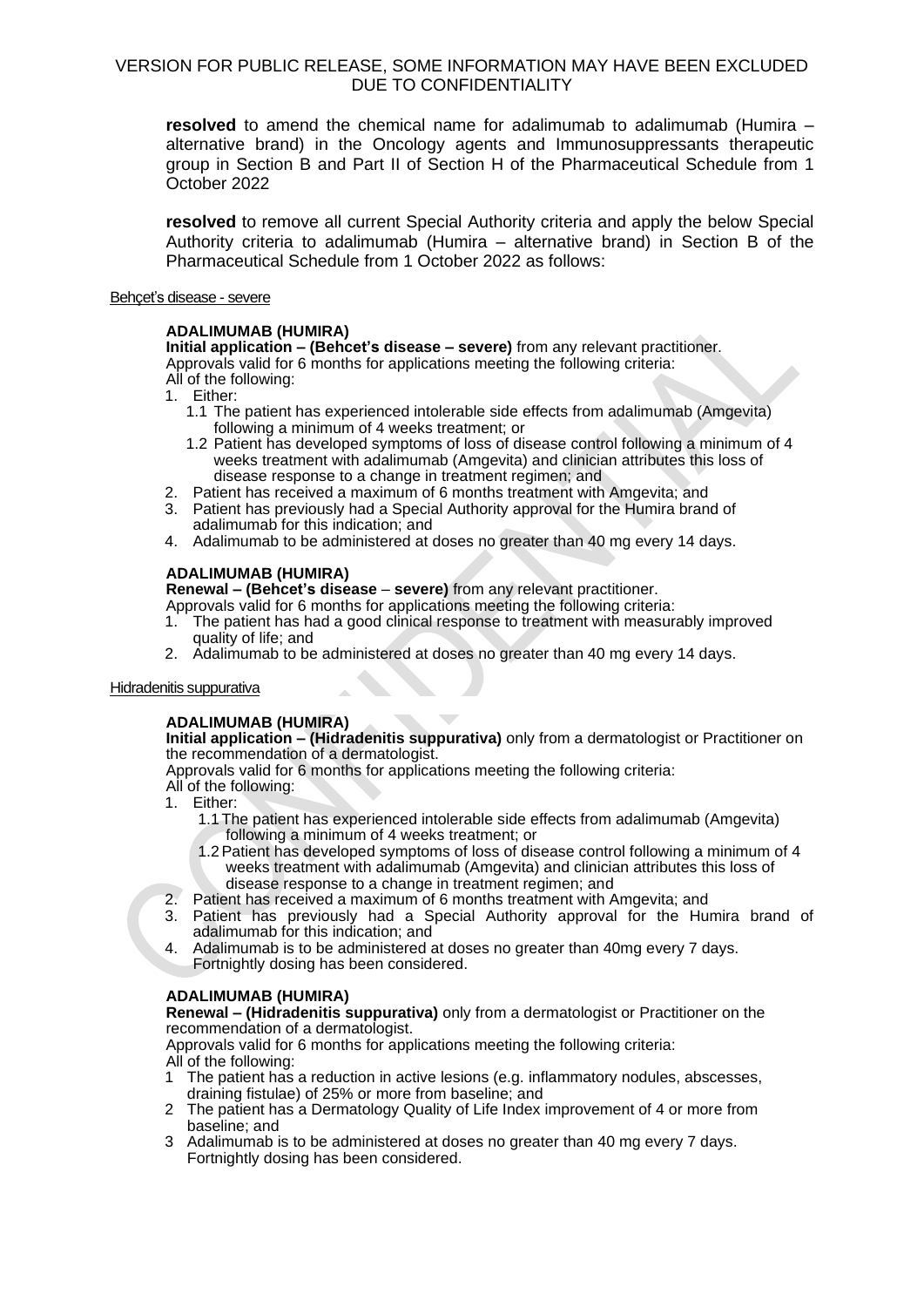**resolved** to amend the chemical name for adalimumab to adalimumab (Humira – alternative brand) in the Oncology agents and Immunosuppressants therapeutic group in Section B and Part II of Section H of the Pharmaceutical Schedule from 1 October 2022

**resolved** to remove all current Special Authority criteria and apply the below Special Authority criteria to adalimumab (Humira – alternative brand) in Section B of the Pharmaceutical Schedule from 1 October 2022 as follows:

### Behçet's disease - severe

# **ADALIMUMAB (HUMIRA)**

**Initial application – (Behcet's disease – severe)** from any relevant practitioner. Approvals valid for 6 months for applications meeting the following criteria: All of the following:

- 1. Either:
	- 1.1 The patient has experienced intolerable side effects from adalimumab (Amgevita) following a minimum of 4 weeks treatment; or
	- 1.2 Patient has developed symptoms of loss of disease control following a minimum of 4 weeks treatment with adalimumab (Amgevita) and clinician attributes this loss of disease response to a change in treatment regimen; and
- 2. Patient has received a maximum of 6 months treatment with Amgevita; and
- 3. Patient has previously had a Special Authority approval for the Humira brand of adalimumab for this indication; and
- 4. Adalimumab to be administered at doses no greater than 40 mg every 14 days.

# **ADALIMUMAB (HUMIRA)**

**Renewal – (Behcet's disease** – **severe)** from any relevant practitioner.

Approvals valid for 6 months for applications meeting the following criteria:

- 1. The patient has had a good clinical response to treatment with measurably improved quality of life; and
- 2. Adalimumab to be administered at doses no greater than 40 mg every 14 days.

### Hidradenitis suppurativa

# **ADALIMUMAB (HUMIRA)**

**Initial application – (Hidradenitis suppurativa)** only from a dermatologist or Practitioner on the recommendation of a dermatologist.

Approvals valid for 6 months for applications meeting the following criteria: All of the following:

- 1. Either:
	- 1.1 The patient has experienced intolerable side effects from adalimumab (Amgevita) following a minimum of 4 weeks treatment; or
	- 1.2Patient has developed symptoms of loss of disease control following a minimum of 4 weeks treatment with adalimumab (Amgevita) and clinician attributes this loss of disease response to a change in treatment regimen; and
- 2. Patient has received a maximum of 6 months treatment with Amgevita; and
- 3. Patient has previously had a Special Authority approval for the Humira brand of adalimumab for this indication; and
- 4. Adalimumab is to be administered at doses no greater than 40mg every 7 days. Fortnightly dosing has been considered.

# **ADALIMUMAB (HUMIRA)**

**Renewal – (Hidradenitis suppurativa)** only from a dermatologist or Practitioner on the recommendation of a dermatologist.

Approvals valid for 6 months for applications meeting the following criteria: All of the following:

- 1 The patient has a reduction in active lesions (e.g. inflammatory nodules, abscesses, draining fistulae) of 25% or more from baseline; and
- 2 The patient has a Dermatology Quality of Life Index improvement of 4 or more from baseline; and
- 3 Adalimumab is to be administered at doses no greater than 40 mg every 7 days. Fortnightly dosing has been considered.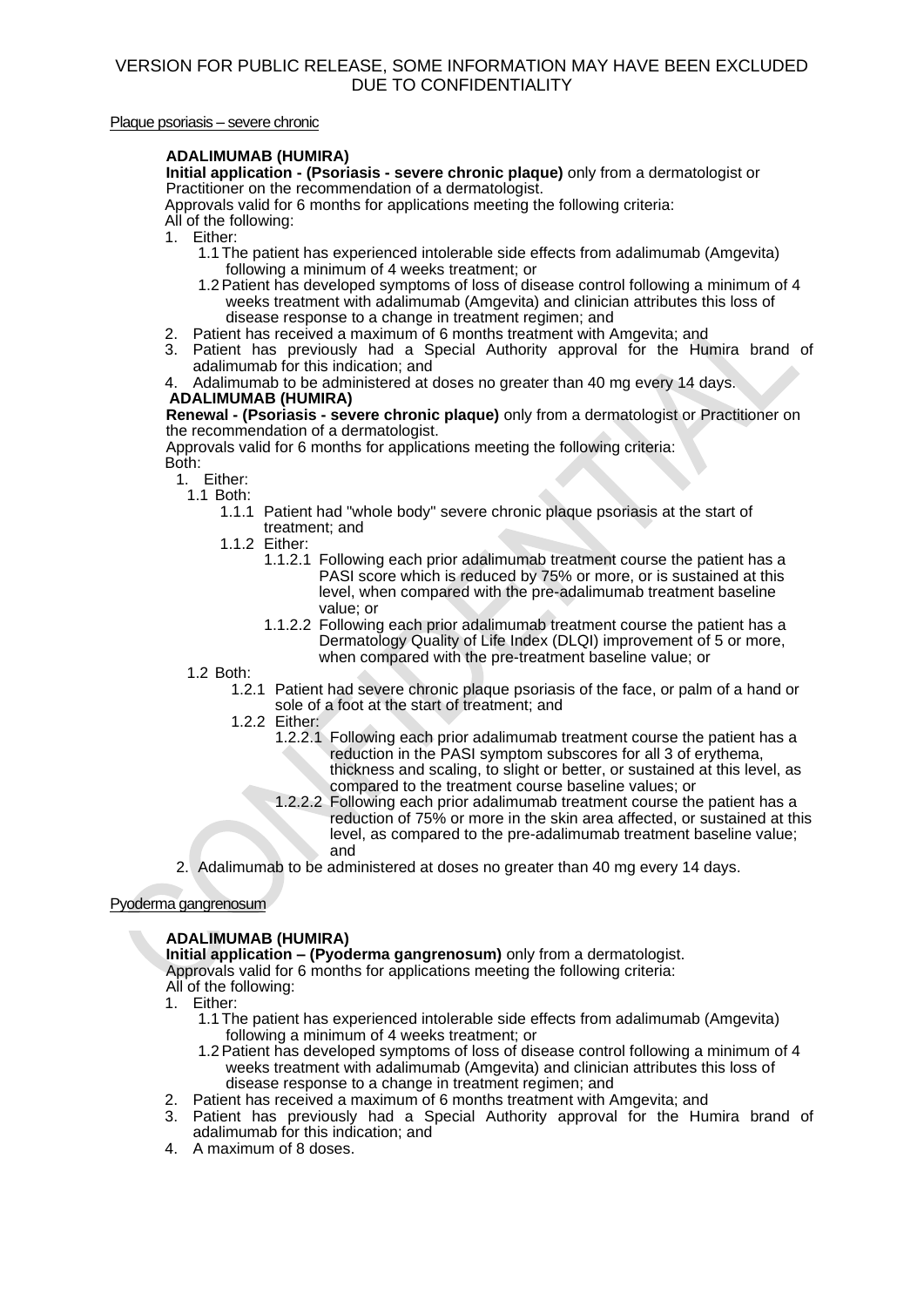### Plaque psoriasis – severe chronic

### **ADALIMUMAB (HUMIRA)**

**Initial application - (Psoriasis - severe chronic plaque)** only from a dermatologist or Practitioner on the recommendation of a dermatologist.

Approvals valid for 6 months for applications meeting the following criteria:

- All of the following:
- 1. Either:
	- 1.1 The patient has experienced intolerable side effects from adalimumab (Amgevita) following a minimum of 4 weeks treatment; or
	- 1.2Patient has developed symptoms of loss of disease control following a minimum of 4 weeks treatment with adalimumab (Amgevita) and clinician attributes this loss of disease response to a change in treatment regimen; and
- 2. Patient has received a maximum of 6 months treatment with Amgevita; and<br>3. Patient has previously had a Special Authority approval for the Hu
- Patient has previously had a Special Authority approval for the Humira brand of adalimumab for this indication; and
- 4. Adalimumab to be administered at doses no greater than 40 mg every 14 days. **ADALIMUMAB (HUMIRA)**

**Renewal - (Psoriasis - severe chronic plaque)** only from a dermatologist or Practitioner on the recommendation of a dermatologist.

Approvals valid for 6 months for applications meeting the following criteria: Both:

1. Either:

1.1 Both:

- 1.1.1 Patient had "whole body" severe chronic plaque psoriasis at the start of treatment; and
- 1.1.2 Either:
	- 1.1.2.1 Following each prior adalimumab treatment course the patient has a PASI score which is reduced by 75% or more, or is sustained at this level, when compared with the pre-adalimumab treatment baseline value; or
	- 1.1.2.2 Following each prior adalimumab treatment course the patient has a Dermatology Quality of Life Index (DLQI) improvement of 5 or more, when compared with the pre-treatment baseline value; or
- 1.2 Both:
	- 1.2.1 Patient had severe chronic plaque psoriasis of the face, or palm of a hand or sole of a foot at the start of treatment; and
	- 1.2.2 Either:
		- 1.2.2.1 Following each prior adalimumab treatment course the patient has a reduction in the PASI symptom subscores for all 3 of erythema, thickness and scaling, to slight or better, or sustained at this level, as compared to the treatment course baseline values; or
		- 1.2.2.2 Following each prior adalimumab treatment course the patient has a reduction of 75% or more in the skin area affected, or sustained at this level, as compared to the pre-adalimumab treatment baseline value; and
- 2. Adalimumab to be administered at doses no greater than 40 mg every 14 days.

# Pyoderma gangrenosum

# **ADALIMUMAB (HUMIRA)**

**Initial application – (Pyoderma gangrenosum)** only from a dermatologist.

Approvals valid for 6 months for applications meeting the following criteria:

- All of the following:
- 1. Either:
	- 1.1 The patient has experienced intolerable side effects from adalimumab (Amgevita) following a minimum of 4 weeks treatment; or
	- 1.2Patient has developed symptoms of loss of disease control following a minimum of 4 weeks treatment with adalimumab (Amgevita) and clinician attributes this loss of disease response to a change in treatment regimen; and
- 2. Patient has received a maximum of 6 months treatment with Amgevita; and
- 3. Patient has previously had a Special Authority approval for the Humira brand of adalimumab for this indication; and
- 4. A maximum of 8 doses.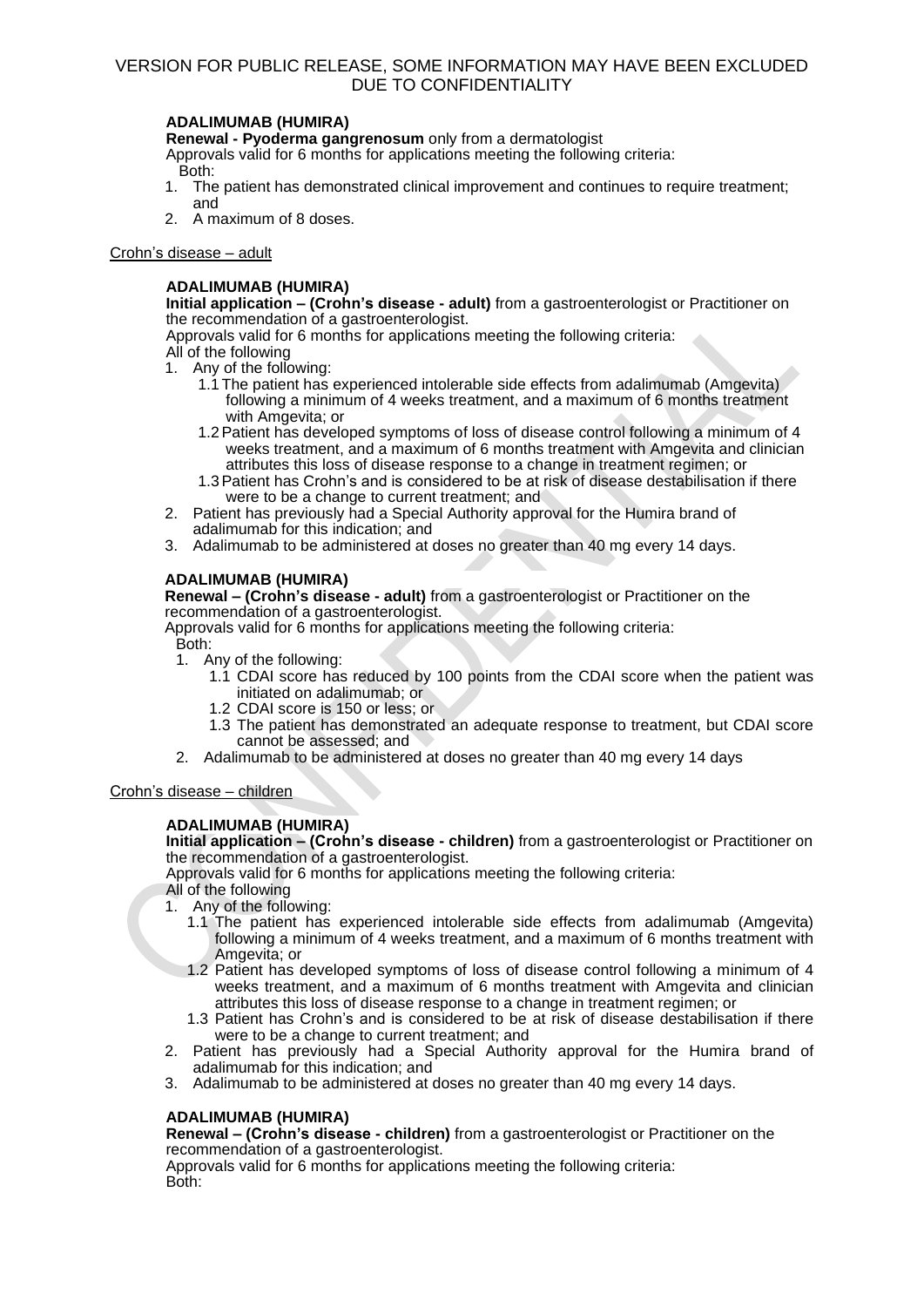### **ADALIMUMAB (HUMIRA)**

**Renewal - Pyoderma gangrenosum** only from a dermatologist

Approvals valid for 6 months for applications meeting the following criteria: Both:

- 1. The patient has demonstrated clinical improvement and continues to require treatment; and
- 2. A maximum of 8 doses.

### Crohn's disease – adult

### **ADALIMUMAB (HUMIRA)**

**Initial application – (Crohn's disease - adult)** from a gastroenterologist or Practitioner on the recommendation of a gastroenterologist.

Approvals valid for 6 months for applications meeting the following criteria: All of the following

- 1. Any of the following:
	- 1.1 The patient has experienced intolerable side effects from adalimumab (Amgevita) following a minimum of 4 weeks treatment, and a maximum of 6 months treatment with Amgevita; or
	- 1.2Patient has developed symptoms of loss of disease control following a minimum of 4 weeks treatment, and a maximum of 6 months treatment with Amgevita and clinician attributes this loss of disease response to a change in treatment regimen; or
	- 1.3Patient has Crohn's and is considered to be at risk of disease destabilisation if there were to be a change to current treatment; and
- 2. Patient has previously had a Special Authority approval for the Humira brand of adalimumab for this indication; and
- 3. Adalimumab to be administered at doses no greater than 40 mg every 14 days.

# **ADALIMUMAB (HUMIRA)**

**Renewal – (Crohn's disease - adult)** from a gastroenterologist or Practitioner on the recommendation of a gastroenterologist.

Approvals valid for 6 months for applications meeting the following criteria: Both:

- 1. Any of the following:
	- 1.1 CDAI score has reduced by 100 points from the CDAI score when the patient was initiated on adalimumab; or
	- 1.2 CDAI score is 150 or less; or
	- 1.3 The patient has demonstrated an adequate response to treatment, but CDAI score cannot be assessed; and
- 2. Adalimumab to be administered at doses no greater than 40 mg every 14 days

# Crohn's disease – children

# **ADALIMUMAB (HUMIRA)**

**Initial application – (Crohn's disease - children)** from a gastroenterologist or Practitioner on the recommendation of a gastroenterologist.

Approvals valid for 6 months for applications meeting the following criteria: All of the following

- 1. Any of the following:
	- 1.1 The patient has experienced intolerable side effects from adalimumab (Amgevita) following a minimum of 4 weeks treatment, and a maximum of 6 months treatment with Amgevita; or
	- 1.2 Patient has developed symptoms of loss of disease control following a minimum of 4 weeks treatment, and a maximum of 6 months treatment with Amgevita and clinician attributes this loss of disease response to a change in treatment regimen; or
	- 1.3 Patient has Crohn's and is considered to be at risk of disease destabilisation if there were to be a change to current treatment; and
- 2. Patient has previously had a Special Authority approval for the Humira brand of adalimumab for this indication; and
- 3. Adalimumab to be administered at doses no greater than 40 mg every 14 days.

# **ADALIMUMAB (HUMIRA)**

**Renewal – (Crohn's disease - children)** from a gastroenterologist or Practitioner on the recommendation of a gastroenterologist.

Approvals valid for 6 months for applications meeting the following criteria: Both: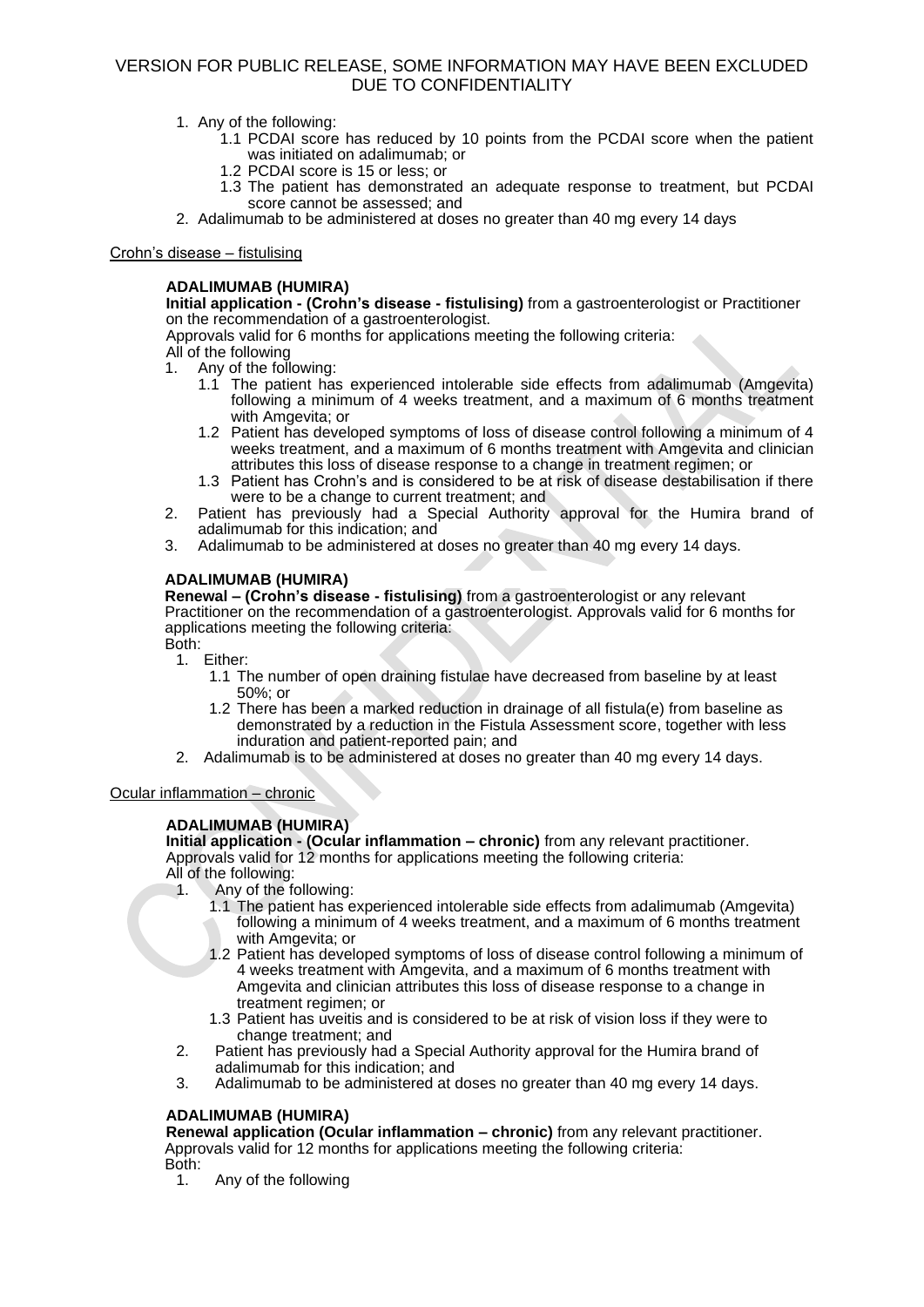- 1. Any of the following:
	- 1.1 PCDAI score has reduced by 10 points from the PCDAI score when the patient was initiated on adalimumab; or
	- 1.2 PCDAI score is 15 or less; or
	- 1.3 The patient has demonstrated an adequate response to treatment, but PCDAI score cannot be assessed; and
- 2. Adalimumab to be administered at doses no greater than 40 mg every 14 days

### Crohn's disease – fistulising

### **ADALIMUMAB (HUMIRA)**

**Initial application - (Crohn's disease - fistulising)** from a gastroenterologist or Practitioner on the recommendation of a gastroenterologist.

Approvals valid for 6 months for applications meeting the following criteria:

- All of the following<br>1. Any of the foll
- Any of the following:
	- 1.1 The patient has experienced intolerable side effects from adalimumab (Amgevita) following a minimum of 4 weeks treatment, and a maximum of 6 months treatment with Amgevita; or
	- 1.2 Patient has developed symptoms of loss of disease control following a minimum of 4 weeks treatment, and a maximum of 6 months treatment with Amgevita and clinician attributes this loss of disease response to a change in treatment regimen; or
	- 1.3 Patient has Crohn's and is considered to be at risk of disease destabilisation if there were to be a change to current treatment; and
- 2. Patient has previously had a Special Authority approval for the Humira brand of adalimumab for this indication; and
- 3. Adalimumab to be administered at doses no greater than 40 mg every 14 days.

### **ADALIMUMAB (HUMIRA)**

**Renewal – (Crohn's disease - fistulising)** from a gastroenterologist or any relevant Practitioner on the recommendation of a gastroenterologist. Approvals valid for 6 months for applications meeting the following criteria: Both:

- 1. Either:
	- 1.1 The number of open draining fistulae have decreased from baseline by at least 50%; or
	- 1.2 There has been a marked reduction in drainage of all fistula(e) from baseline as demonstrated by a reduction in the Fistula Assessment score, together with less induration and patient-reported pain; and
- 2. Adalimumab is to be administered at doses no greater than 40 mg every 14 days.

Ocular inflammation – chronic

### **ADALIMUMAB (HUMIRA)**

**Initial application - (Ocular inflammation – chronic)** from any relevant practitioner. Approvals valid for 12 months for applications meeting the following criteria:

- All of the following:
- 1. Any of the following:
	- 1.1 The patient has experienced intolerable side effects from adalimumab (Amgevita) following a minimum of 4 weeks treatment, and a maximum of 6 months treatment with Amgevita; or
	- 1.2 Patient has developed symptoms of loss of disease control following a minimum of 4 weeks treatment with Amgevita, and a maximum of 6 months treatment with Amgevita and clinician attributes this loss of disease response to a change in treatment regimen; or
	- 1.3 Patient has uveitis and is considered to be at risk of vision loss if they were to change treatment; and
- 2. Patient has previously had a Special Authority approval for the Humira brand of adalimumab for this indication; and
- 3. Adalimumab to be administered at doses no greater than 40 mg every 14 days.

### **ADALIMUMAB (HUMIRA)**

**Renewal application (Ocular inflammation – chronic)** from any relevant practitioner. Approvals valid for 12 months for applications meeting the following criteria: Both:

1. Any of the following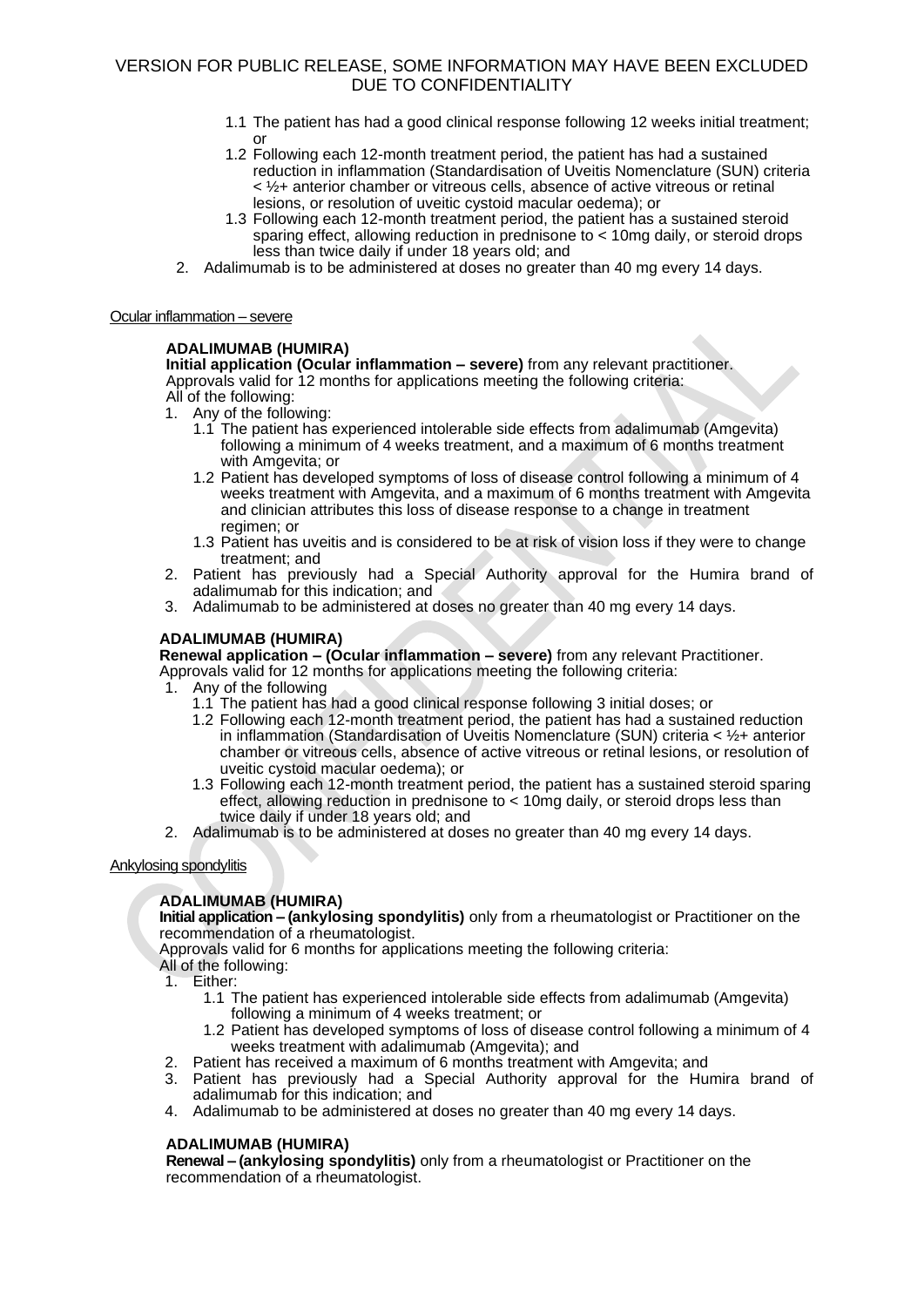- 1.1 The patient has had a good clinical response following 12 weeks initial treatment; or
- 1.2 Following each 12-month treatment period, the patient has had a sustained reduction in inflammation (Standardisation of Uveitis Nomenclature (SUN) criteria < ½+ anterior chamber or vitreous cells, absence of active vitreous or retinal lesions, or resolution of uveitic cystoid macular oedema); or
- 1.3 Following each 12-month treatment period, the patient has a sustained steroid sparing effect, allowing reduction in prednisone to < 10mg daily, or steroid drops less than twice daily if under 18 years old; and
- 2. Adalimumab is to be administered at doses no greater than 40 mg every 14 days.

### Ocular inflammation – severe

### **ADALIMUMAB (HUMIRA)**

**Initial application (Ocular inflammation – severe)** from any relevant practitioner. Approvals valid for 12 months for applications meeting the following criteria: All of the following:

- Any of the following:
	- 1.1 The patient has experienced intolerable side effects from adalimumab (Amgevita) following a minimum of 4 weeks treatment, and a maximum of 6 months treatment with Amgevita; or
	- 1.2 Patient has developed symptoms of loss of disease control following a minimum of 4 weeks treatment with Amgevita, and a maximum of 6 months treatment with Amgevita and clinician attributes this loss of disease response to a change in treatment regimen; or
	- 1.3 Patient has uveitis and is considered to be at risk of vision loss if they were to change treatment; and
- 2. Patient has previously had a Special Authority approval for the Humira brand of adalimumab for this indication; and
- 3. Adalimumab to be administered at doses no greater than 40 mg every 14 days.

### **ADALIMUMAB (HUMIRA)**

**Renewal application – (Ocular inflammation – severe)** from any relevant Practitioner.

- Approvals valid for 12 months for applications meeting the following criteria:
- Any of the following
	- 1.1 The patient has had a good clinical response following 3 initial doses; or
	- 1.2 Following each 12-month treatment period, the patient has had a sustained reduction in inflammation (Standardisation of Uveitis Nomenclature (SUN) criteria < ½+ anterior chamber or vitreous cells, absence of active vitreous or retinal lesions, or resolution of uveitic cystoid macular oedema); or
	- 1.3 Following each 12-month treatment period, the patient has a sustained steroid sparing effect, allowing reduction in prednisone to < 10mg daily, or steroid drops less than twice daily if under 18 years old; and
- 2. Adalimumab is to be administered at doses no greater than 40 mg every 14 days.

### Ankylosing spondylitis

# **ADALIMUMAB (HUMIRA)**

**Initial application – (ankylosing spondylitis)** only from a rheumatologist or Practitioner on the recommendation of a rheumatologist.

Approvals valid for 6 months for applications meeting the following criteria: All of the following:

- 1. Either:
- - 1.1 The patient has experienced intolerable side effects from adalimumab (Amgevita) following a minimum of 4 weeks treatment; or
	- 1.2 Patient has developed symptoms of loss of disease control following a minimum of 4 weeks treatment with adalimumab (Amgevita); and
- 2. Patient has received a maximum of 6 months treatment with Amgevita; and
- 3. Patient has previously had a Special Authority approval for the Humira brand of adalimumab for this indication; and
- 4. Adalimumab to be administered at doses no greater than 40 mg every 14 days.

# **ADALIMUMAB (HUMIRA)**

**Renewal – (ankylosing spondylitis)** only from a rheumatologist or Practitioner on the recommendation of a rheumatologist.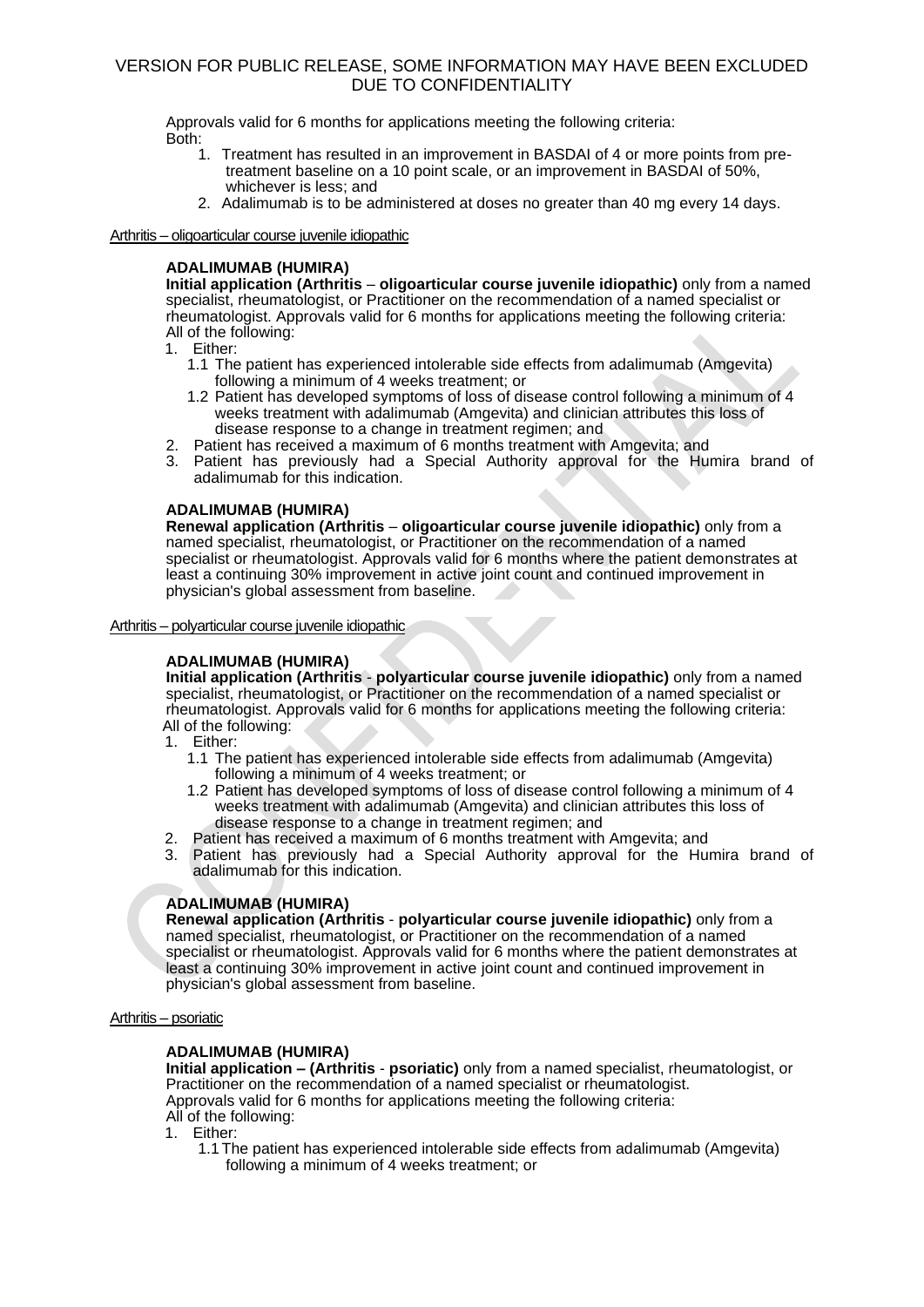Approvals valid for 6 months for applications meeting the following criteria: Both:

- 1. Treatment has resulted in an improvement in BASDAI of 4 or more points from pretreatment baseline on a 10 point scale, or an improvement in BASDAI of 50%, whichever is less; and
- 2. Adalimumab is to be administered at doses no greater than 40 mg every 14 days.

### Arthritis – oligoarticular course juvenile idiopathic

### **ADALIMUMAB (HUMIRA)**

**Initial application (Arthritis** – **oligoarticular course juvenile idiopathic)** only from a named specialist, rheumatologist, or Practitioner on the recommendation of a named specialist or rheumatologist. Approvals valid for 6 months for applications meeting the following criteria: All of the following:

1. Either:

- 1.1 The patient has experienced intolerable side effects from adalimumab (Amgevita) following a minimum of 4 weeks treatment; or
- 1.2 Patient has developed symptoms of loss of disease control following a minimum of 4 weeks treatment with adalimumab (Amgevita) and clinician attributes this loss of disease response to a change in treatment regimen; and
- 2. Patient has received a maximum of 6 months treatment with Amgevita; and
- 3. Patient has previously had a Special Authority approval for the Humira brand of adalimumab for this indication.

### **ADALIMUMAB (HUMIRA)**

**Renewal application (Arthritis** – **oligoarticular course juvenile idiopathic)** only from a named specialist, rheumatologist, or Practitioner on the recommendation of a named specialist or rheumatologist. Approvals valid for 6 months where the patient demonstrates at least a continuing 30% improvement in active joint count and continued improvement in physician's global assessment from baseline.

#### Arthritis – polyarticular course juvenile idiopathic

### **ADALIMUMAB (HUMIRA)**

**Initial application (Arthritis** - **polyarticular course juvenile idiopathic)** only from a named specialist, rheumatologist, or Practitioner on the recommendation of a named specialist or rheumatologist. Approvals valid for 6 months for applications meeting the following criteria: All of the following:

- 1. Either:
	- 1.1 The patient has experienced intolerable side effects from adalimumab (Amgevita) following a minimum of 4 weeks treatment; or
	- 1.2 Patient has developed symptoms of loss of disease control following a minimum of 4 weeks treatment with adalimumab (Amgevita) and clinician attributes this loss of disease response to a change in treatment regimen; and
- 2. Patient has received a maximum of 6 months treatment with Amgevita; and
- 3. Patient has previously had a Special Authority approval for the Humira brand of adalimumab for this indication.

### **ADALIMUMAB (HUMIRA)**

**Renewal application (Arthritis** - **polyarticular course juvenile idiopathic)** only from a named specialist, rheumatologist, or Practitioner on the recommendation of a named specialist or rheumatologist. Approvals valid for 6 months where the patient demonstrates at least a continuing 30% improvement in active joint count and continued improvement in physician's global assessment from baseline.

### Arthritis – psoriatic

### **ADALIMUMAB (HUMIRA)**

**Initial application – (Arthritis** - **psoriatic)** only from a named specialist, rheumatologist, or Practitioner on the recommendation of a named specialist or rheumatologist. Approvals valid for 6 months for applications meeting the following criteria: All of the following:

1. Either:

1.1 The patient has experienced intolerable side effects from adalimumab (Amgevita) following a minimum of 4 weeks treatment; or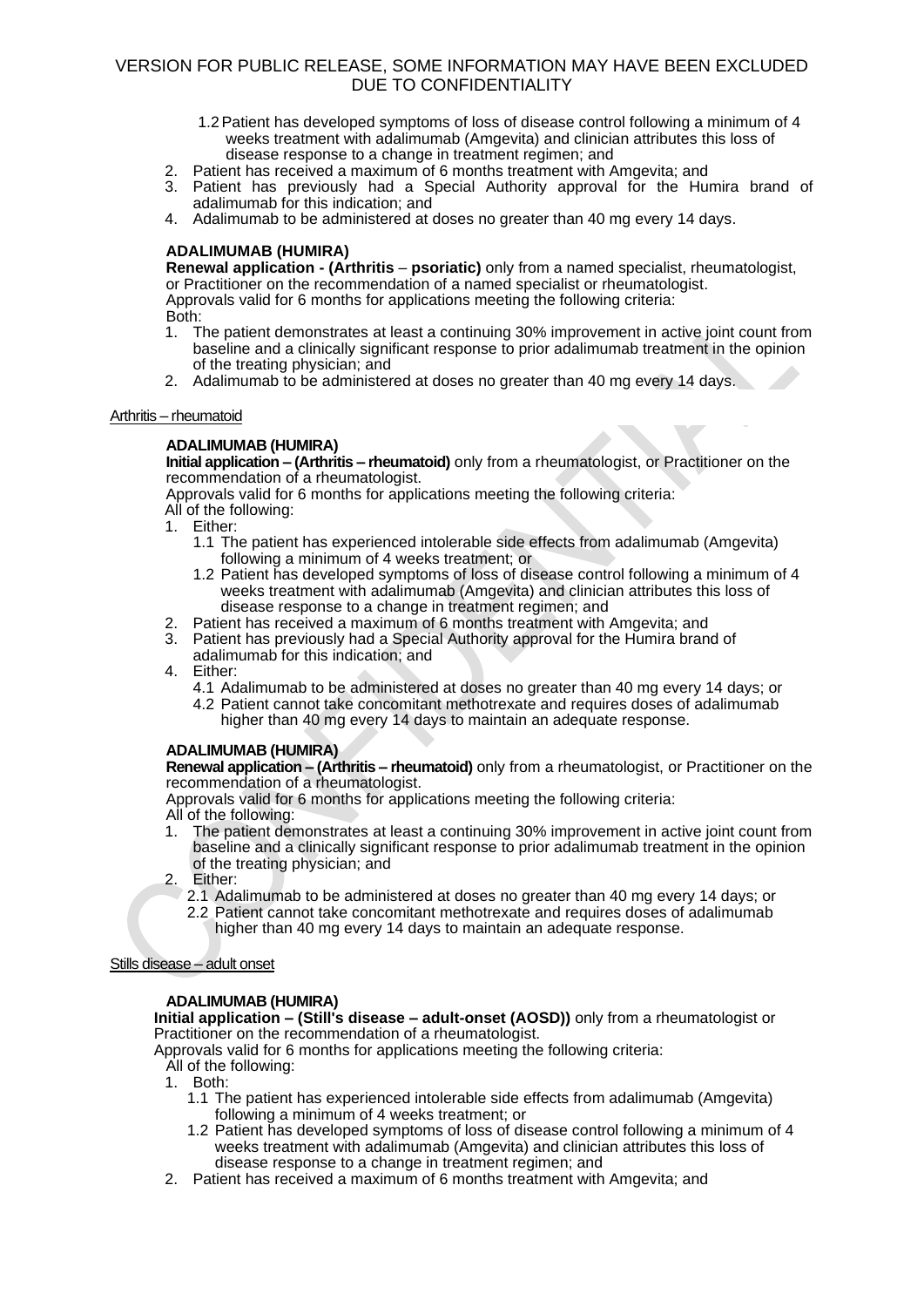- 1.2Patient has developed symptoms of loss of disease control following a minimum of 4 weeks treatment with adalimumab (Amgevita) and clinician attributes this loss of disease response to a change in treatment regimen; and
- 2. Patient has received a maximum of 6 months treatment with Amgevita; and
- 3. Patient has previously had a Special Authority approval for the Humira brand of adalimumab for this indication; and
- 4. Adalimumab to be administered at doses no greater than 40 mg every 14 days.

### **ADALIMUMAB (HUMIRA)**

**Renewal application - (Arthritis** – **psoriatic)** only from a named specialist, rheumatologist, or Practitioner on the recommendation of a named specialist or rheumatologist. Approvals valid for 6 months for applications meeting the following criteria: Both:

- 1. The patient demonstrates at least a continuing 30% improvement in active joint count from baseline and a clinically significant response to prior adalimumab treatment in the opinion of the treating physician; and
- 2. Adalimumab to be administered at doses no greater than 40 mg every 14 days.

### Arthritis – rheumatoid

### **ADALIMUMAB (HUMIRA)**

**Initial application – (Arthritis – rheumatoid)** only from a rheumatologist, or Practitioner on the recommendation of a rheumatologist.

Approvals valid for 6 months for applications meeting the following criteria: All of the following:

- 1. Either:
	- 1.1 The patient has experienced intolerable side effects from adalimumab (Amgevita) following a minimum of 4 weeks treatment; or
	- 1.2 Patient has developed symptoms of loss of disease control following a minimum of 4 weeks treatment with adalimumab (Amgevita) and clinician attributes this loss of disease response to a change in treatment regimen; and
- 2. Patient has received a maximum of 6 months treatment with Amgevita; and
- 3. Patient has previously had a Special Authority approval for the Humira brand of adalimumab for this indication; and
- 4. Either:
	- 4.1 Adalimumab to be administered at doses no greater than 40 mg every 14 days; or 4.2 Patient cannot take concomitant methotrexate and requires doses of adalimumab
		- higher than 40 mg every 14 days to maintain an adequate response.

### **ADALIMUMAB (HUMIRA)**

**Renewal application – (Arthritis – rheumatoid)** only from a rheumatologist, or Practitioner on the recommendation of a rheumatologist.

Approvals valid for 6 months for applications meeting the following criteria: All of the following:

- 1. The patient demonstrates at least a continuing 30% improvement in active joint count from baseline and a clinically significant response to prior adalimumab treatment in the opinion of the treating physician; and
- 2. Either:
	- 2.1 Adalimumab to be administered at doses no greater than 40 mg every 14 days; or
	- 2.2 Patient cannot take concomitant methotrexate and requires doses of adalimumab higher than 40 mg every 14 days to maintain an adequate response.

### Stills disease – adult onset

### **ADALIMUMAB (HUMIRA)**

**Initial application – (Still's disease – adult-onset (AOSD))** only from a rheumatologist or Practitioner on the recommendation of a rheumatologist.

Approvals valid for 6 months for applications meeting the following criteria:

- All of the following:
- 1. Both:
	- 1.1 The patient has experienced intolerable side effects from adalimumab (Amgevita) following a minimum of 4 weeks treatment; or
	- 1.2 Patient has developed symptoms of loss of disease control following a minimum of 4 weeks treatment with adalimumab (Amgevita) and clinician attributes this loss of disease response to a change in treatment regimen; and
- 2. Patient has received a maximum of 6 months treatment with Amgevita; and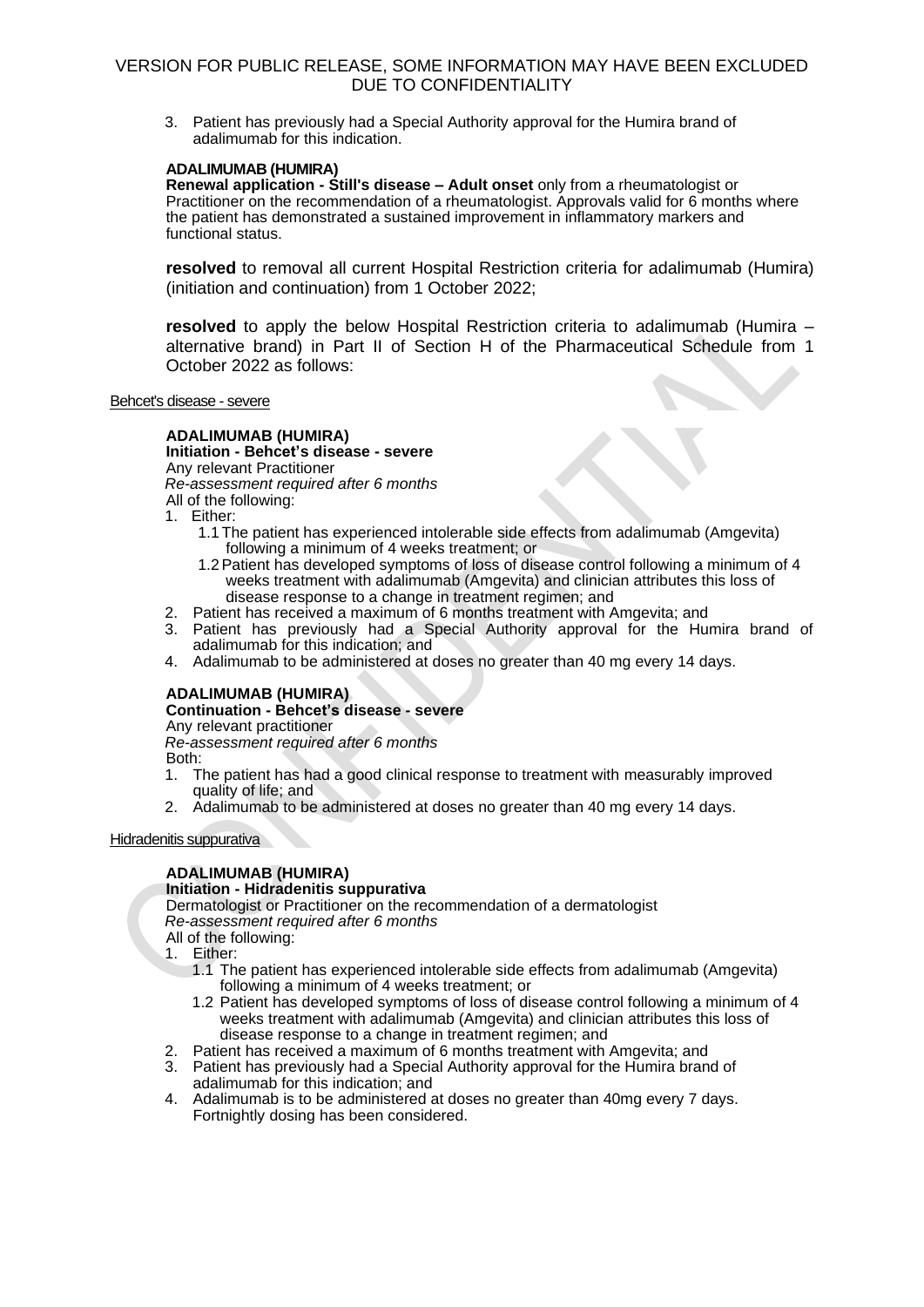3. Patient has previously had a Special Authority approval for the Humira brand of adalimumab for this indication.

### **ADALIMUMAB (HUMIRA)**

**Renewal application - Still's disease – Adult onset** only from a rheumatologist or Practitioner on the recommendation of a rheumatologist. Approvals valid for 6 months where the patient has demonstrated a sustained improvement in inflammatory markers and functional status.

**resolved** to removal all current Hospital Restriction criteria for adalimumab (Humira) (initiation and continuation) from 1 October 2022;

**resolved** to apply the below Hospital Restriction criteria to adalimumab (Humira – alternative brand) in Part II of Section H of the Pharmaceutical Schedule from 1 October 2022 as follows:

Behcet's disease - severe

# **ADALIMUMAB (HUMIRA)**

**Initiation - Behcet's disease - severe** 

Any relevant Practitioner *Re-assessment required after 6 months*

All of the following:

1. Either:

- 1.1 The patient has experienced intolerable side effects from adalimumab (Amgevita) following a minimum of 4 weeks treatment; or
- 1.2Patient has developed symptoms of loss of disease control following a minimum of 4 weeks treatment with adalimumab (Amgevita) and clinician attributes this loss of disease response to a change in treatment regimen; and
- 2. Patient has received a maximum of 6 months treatment with Amgevita; and
- 3. Patient has previously had a Special Authority approval for the Humira brand of adalimumab for this indication; and
- 4. Adalimumab to be administered at doses no greater than 40 mg every 14 days.

# **ADALIMUMAB (HUMIRA)**

### **Continuation - Behcet's disease - severe**

Any relevant practitioner

*Re-assessment required after 6 months*

Both:

- 1. The patient has had a good clinical response to treatment with measurably improved quality of life; and
- 2. Adalimumab to be administered at doses no greater than 40 mg every 14 days.

Hidradenitis suppurativa

# **ADALIMUMAB (HUMIRA)**

### **Initiation - Hidradenitis suppurativa**

Dermatologist or Practitioner on the recommendation of a dermatologist *Re-assessment required after 6 months* All of the following:

1. Either:

- 1.1 The patient has experienced intolerable side effects from adalimumab (Amgevita) following a minimum of 4 weeks treatment; or
- 1.2 Patient has developed symptoms of loss of disease control following a minimum of 4 weeks treatment with adalimumab (Amgevita) and clinician attributes this loss of disease response to a change in treatment regimen; and
- 2. Patient has received a maximum of 6 months treatment with Amgevita; and
- 3. Patient has previously had a Special Authority approval for the Humira brand of adalimumab for this indication; and
- 4. Adalimumab is to be administered at doses no greater than 40mg every 7 days. Fortnightly dosing has been considered.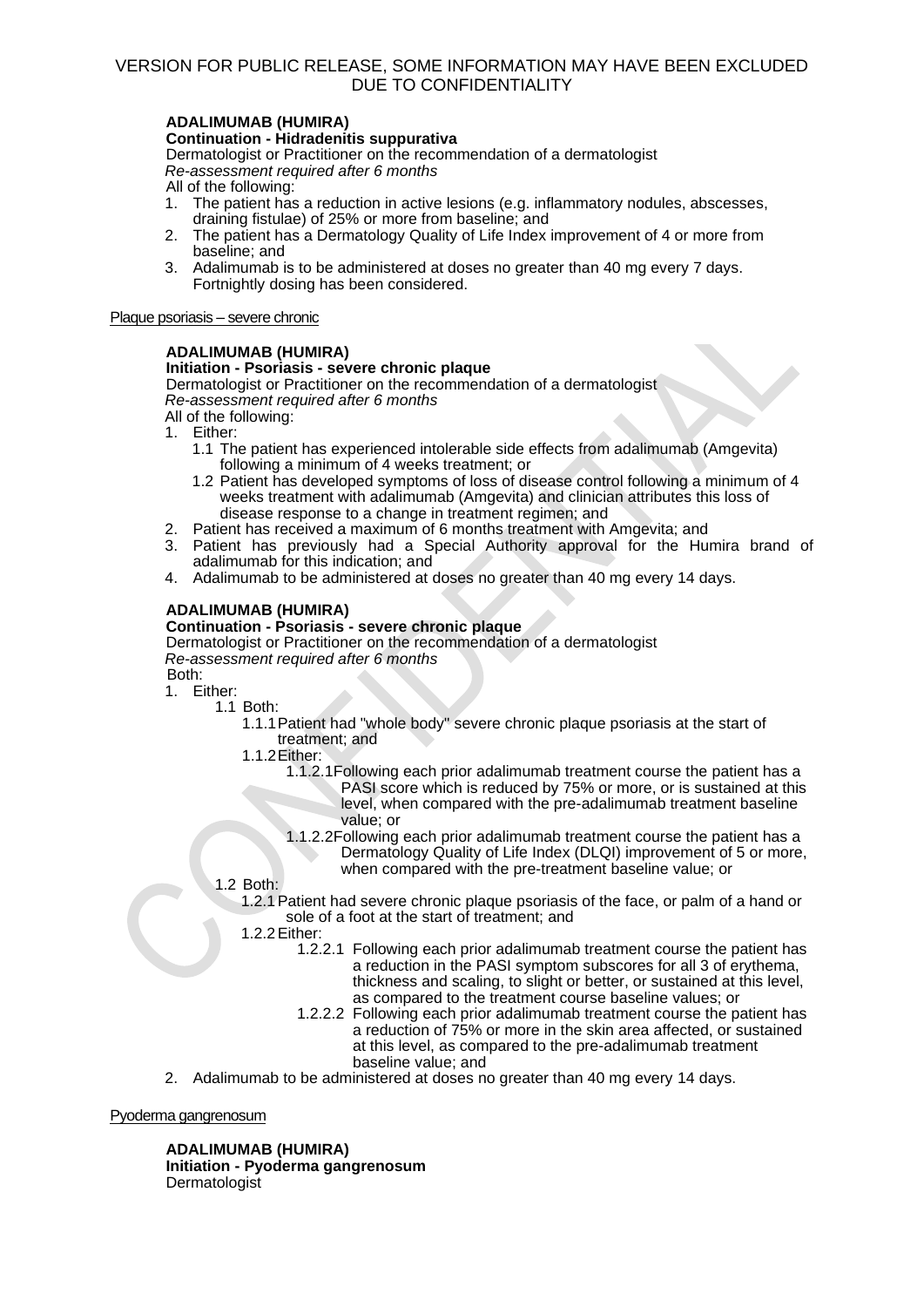# **ADALIMUMAB (HUMIRA)**

### **Continuation - Hidradenitis suppurativa**

Dermatologist or Practitioner on the recommendation of a dermatologist *Re-assessment required after 6 months*

All of the following:

- 1. The patient has a reduction in active lesions (e.g. inflammatory nodules, abscesses, draining fistulae) of 25% or more from baseline; and
- 2. The patient has a Dermatology Quality of Life Index improvement of 4 or more from baseline; and
- 3. Adalimumab is to be administered at doses no greater than 40 mg every 7 days. Fortnightly dosing has been considered.

Plaque psoriasis – severe chronic

### **ADALIMUMAB (HUMIRA)**

### **Initiation - Psoriasis - severe chronic plaque**

Dermatologist or Practitioner on the recommendation of a dermatologist *Re-assessment required after 6 months*

All of the following:

- 1. Either:
	- 1.1 The patient has experienced intolerable side effects from adalimumab (Amgevita) following a minimum of 4 weeks treatment; or
	- 1.2 Patient has developed symptoms of loss of disease control following a minimum of 4 weeks treatment with adalimumab (Amgevita) and clinician attributes this loss of disease response to a change in treatment regimen; and
- 2. Patient has received a maximum of 6 months treatment with Amgevita; and
- 3. Patient has previously had a Special Authority approval for the Humira brand of adalimumab for this indication; and
- 4. Adalimumab to be administered at doses no greater than 40 mg every 14 days.

### **ADALIMUMAB (HUMIRA)**

### **Continuation - Psoriasis - severe chronic plaque**

Dermatologist or Practitioner on the recommendation of a dermatologist *Re-assessment required after 6 months* Both:

1. Either:

1.1 Both:

1.1.1Patient had "whole body" severe chronic plaque psoriasis at the start of treatment; and

1.1.2Either:

- 1.1.2.1Following each prior adalimumab treatment course the patient has a PASI score which is reduced by 75% or more, or is sustained at this level, when compared with the pre-adalimumab treatment baseline value; or
- 1.1.2.2Following each prior adalimumab treatment course the patient has a Dermatology Quality of Life Index (DLQI) improvement of 5 or more, when compared with the pre-treatment baseline value; or

### 1.2 Both:

- 1.2.1Patient had severe chronic plaque psoriasis of the face, or palm of a hand or sole of a foot at the start of treatment; and
- 1.2.2Either:
	- 1.2.2.1 Following each prior adalimumab treatment course the patient has a reduction in the PASI symptom subscores for all 3 of erythema, thickness and scaling, to slight or better, or sustained at this level, as compared to the treatment course baseline values; or
	- 1.2.2.2 Following each prior adalimumab treatment course the patient has a reduction of 75% or more in the skin area affected, or sustained at this level, as compared to the pre-adalimumab treatment baseline value; and
- 2. Adalimumab to be administered at doses no greater than 40 mg every 14 days.

Pyoderma gangrenosum

# **ADALIMUMAB (HUMIRA)**

**Initiation - Pyoderma gangrenosum** Dermatologist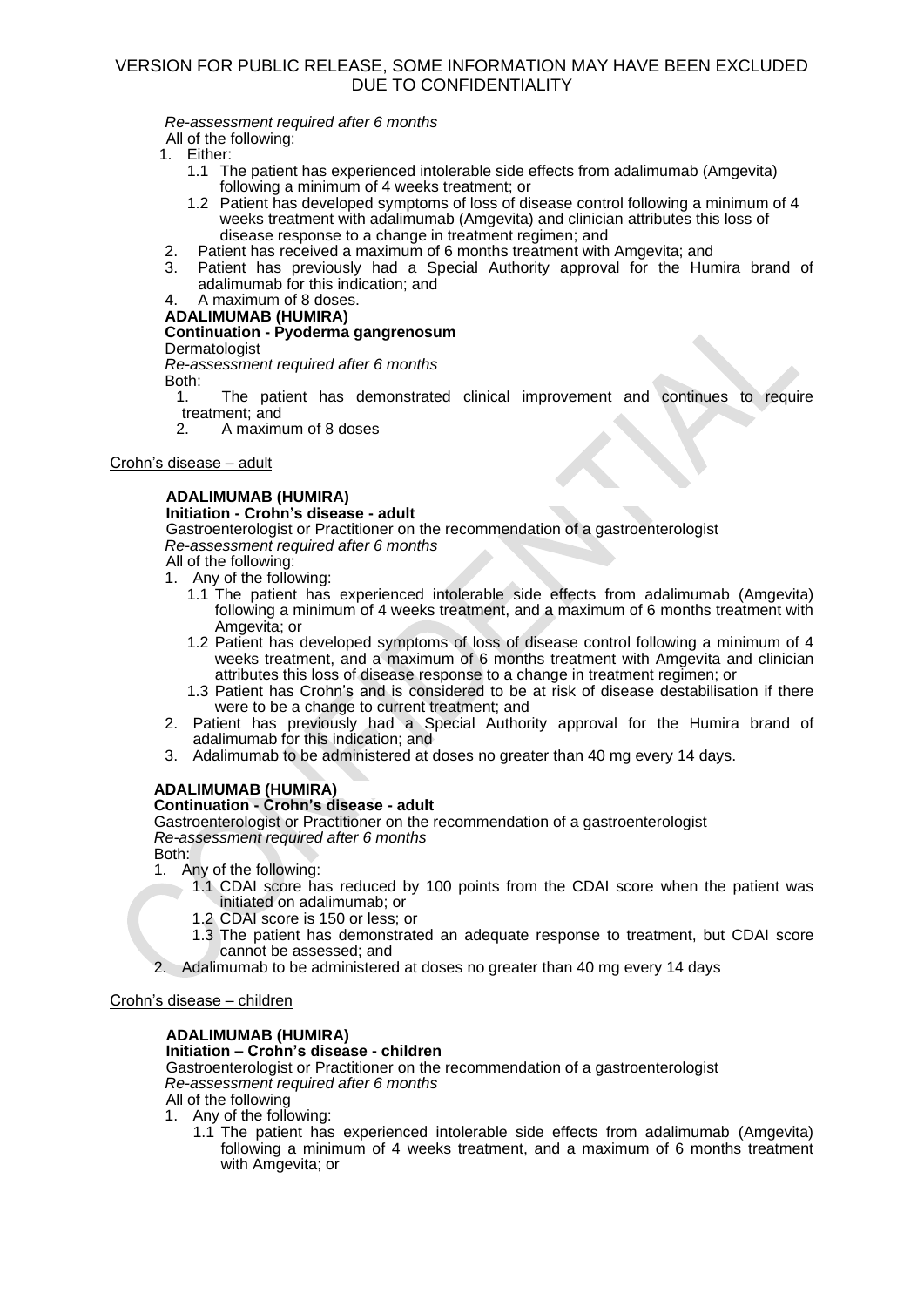*Re-assessment required after 6 months*

All of the following:

- 1. Either:
	- 1.1 The patient has experienced intolerable side effects from adalimumab (Amgevita) following a minimum of 4 weeks treatment; or
	- 1.2 Patient has developed symptoms of loss of disease control following a minimum of 4 weeks treatment with adalimumab (Amgevita) and clinician attributes this loss of disease response to a change in treatment regimen; and
- 2. Patient has received a maximum of 6 months treatment with Amgevita; and
- 3. Patient has previously had a Special Authority approval for the Humira brand of adalimumab for this indication; and

#### 4. A maximum of 8 doses. **ADALIMUMAB (HUMIRA)**

# **Continuation - Pyoderma gangrenosum**

Dermatologist

*Re-assessment required after 6 months*

Both:<br>1.

- The patient has demonstrated clinical improvement and continues to require treatment; and<br>2 A maximi
- 2. A maximum of 8 doses

### Crohn's disease – adult

# **ADALIMUMAB (HUMIRA)**

# **Initiation - Crohn's disease - adult**

Gastroenterologist or Practitioner on the recommendation of a gastroenterologist *Re-assessment required after 6 months*

All of the following: 1. Any of the following:

- 1.1 The patient has experienced intolerable side effects from adalimumab (Amgevita) following a minimum of 4 weeks treatment, and a maximum of 6 months treatment with Amgevita; or
- 1.2 Patient has developed symptoms of loss of disease control following a minimum of 4 weeks treatment, and a maximum of 6 months treatment with Amgevita and clinician attributes this loss of disease response to a change in treatment regimen; or
- 1.3 Patient has Crohn's and is considered to be at risk of disease destabilisation if there were to be a change to current treatment; and
- 2. Patient has previously had a Special Authority approval for the Humira brand of adalimumab for this indication; and
- 3. Adalimumab to be administered at doses no greater than 40 mg every 14 days.

# **ADALIMUMAB (HUMIRA)**

# **Continuation - Crohn's disease - adult**

Gastroenterologist or Practitioner on the recommendation of a gastroenterologist *Re-assessment required after 6 months*

Both:

- 1. Any of the following:
	- 1.1 CDAI score has reduced by 100 points from the CDAI score when the patient was initiated on adalimumab; or
		- 1.2 CDAI score is 150 or less; or
	- 1.3 The patient has demonstrated an adequate response to treatment, but CDAI score cannot be assessed; and
- 2. Adalimumab to be administered at doses no greater than 40 mg every 14 days

Crohn's disease – children

# **ADALIMUMAB (HUMIRA)**

# **Initiation – Crohn's disease - children**

Gastroenterologist or Practitioner on the recommendation of a gastroenterologist *Re-assessment required after 6 months*

All of the following

- 1. Any of the following:
	- 1.1 The patient has experienced intolerable side effects from adalimumab (Amgevita) following a minimum of 4 weeks treatment, and a maximum of 6 months treatment with Amgevita; or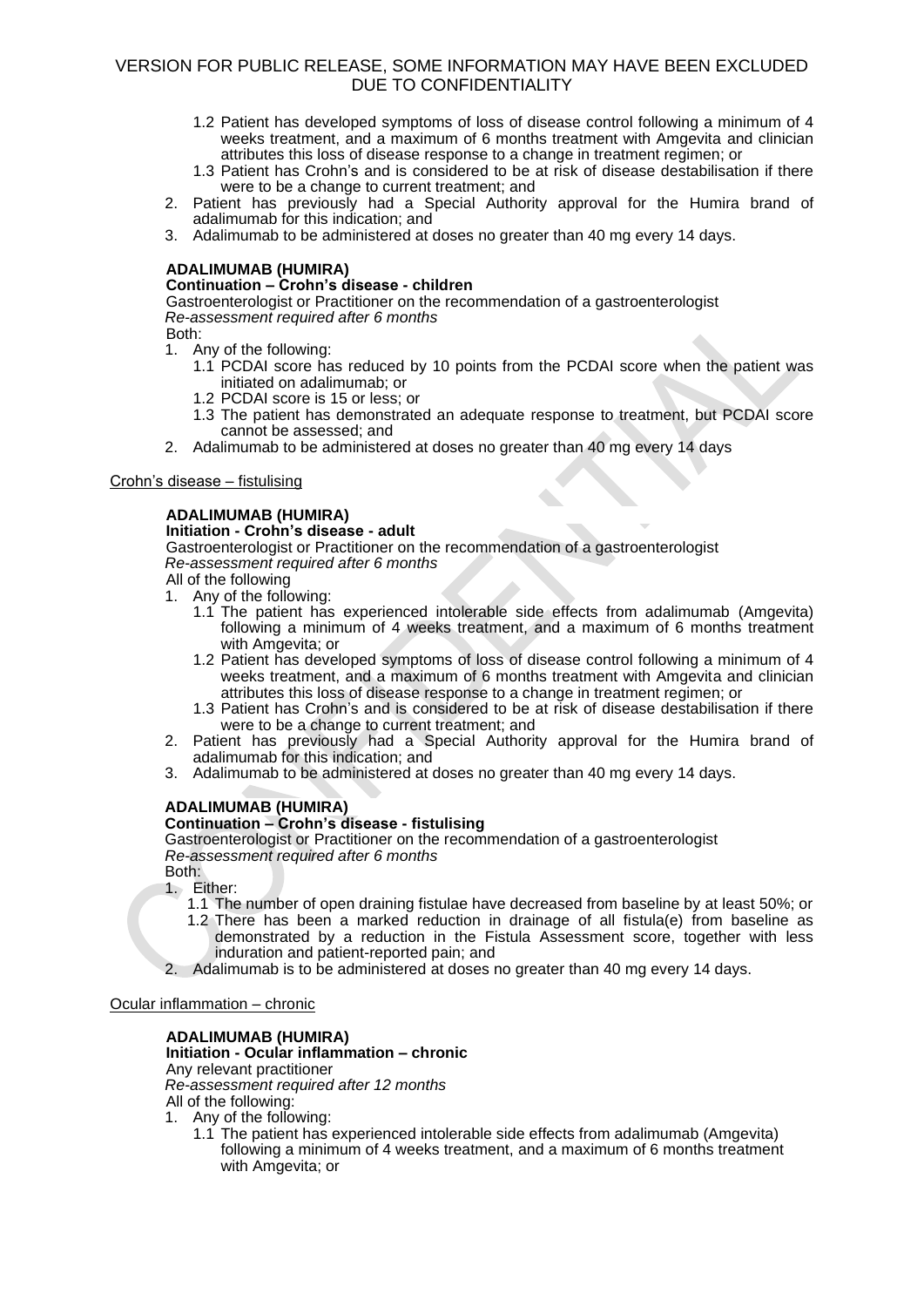- 1.2 Patient has developed symptoms of loss of disease control following a minimum of 4 weeks treatment, and a maximum of 6 months treatment with Amgevita and clinician attributes this loss of disease response to a change in treatment regimen; or
- 1.3 Patient has Crohn's and is considered to be at risk of disease destabilisation if there were to be a change to current treatment; and
- 2. Patient has previously had a Special Authority approval for the Humira brand of adalimumab for this indication; and
- 3. Adalimumab to be administered at doses no greater than 40 mg every 14 days.

### **ADALIMUMAB (HUMIRA)**

# **Continuation – Crohn's disease - children**

Gastroenterologist or Practitioner on the recommendation of a gastroenterologist *Re-assessment required after 6 months*

- Both:
- 1. Any of the following:
	- 1.1 PCDAI score has reduced by 10 points from the PCDAI score when the patient was initiated on adalimumab; or
	- 1.2 PCDAI score is 15 or less; or
	- 1.3 The patient has demonstrated an adequate response to treatment, but PCDAI score cannot be assessed; and

 $\triangle$ 

2. Adalimumab to be administered at doses no greater than 40 mg every 14 days

### Crohn's disease – fistulising

# **ADALIMUMAB (HUMIRA)**

### **Initiation - Crohn's disease - adult**

Gastroenterologist or Practitioner on the recommendation of a gastroenterologist *Re-assessment required after 6 months*

All of the following

- 1. Any of the following:
	- 1.1 The patient has experienced intolerable side effects from adalimumab (Amgevita) following a minimum of 4 weeks treatment, and a maximum of 6 months treatment with Amgevita; or
	- 1.2 Patient has developed symptoms of loss of disease control following a minimum of 4 weeks treatment, and a maximum of 6 months treatment with Amgevita and clinician attributes this loss of disease response to a change in treatment regimen; or
	- 1.3 Patient has Crohn's and is considered to be at risk of disease destabilisation if there were to be a change to current treatment; and
- 2. Patient has previously had a Special Authority approval for the Humira brand of adalimumab for this indication; and
- 3. Adalimumab to be administered at doses no greater than 40 mg every 14 days.

# **ADALIMUMAB (HUMIRA)**

### **Continuation – Crohn's disease - fistulising**

Gastroenterologist or Practitioner on the recommendation of a gastroenterologist *Re-assessment required after 6 months*

Both: 1. Either:

- 1.1 The number of open draining fistulae have decreased from baseline by at least 50%; or
- 1.2 There has been a marked reduction in drainage of all fistula(e) from baseline as demonstrated by a reduction in the Fistula Assessment score, together with less induration and patient-reported pain; and
- 2. Adalimumab is to be administered at doses no greater than 40 mg every 14 days.

Ocular inflammation – chronic

### **ADALIMUMAB (HUMIRA)**

**Initiation - Ocular inflammation – chronic**  Any relevant practitioner *Re-assessment required after 12 months* All of the following:

1. Any of the following:

1.1 The patient has experienced intolerable side effects from adalimumab (Amgevita) following a minimum of 4 weeks treatment, and a maximum of 6 months treatment with Amgevita; or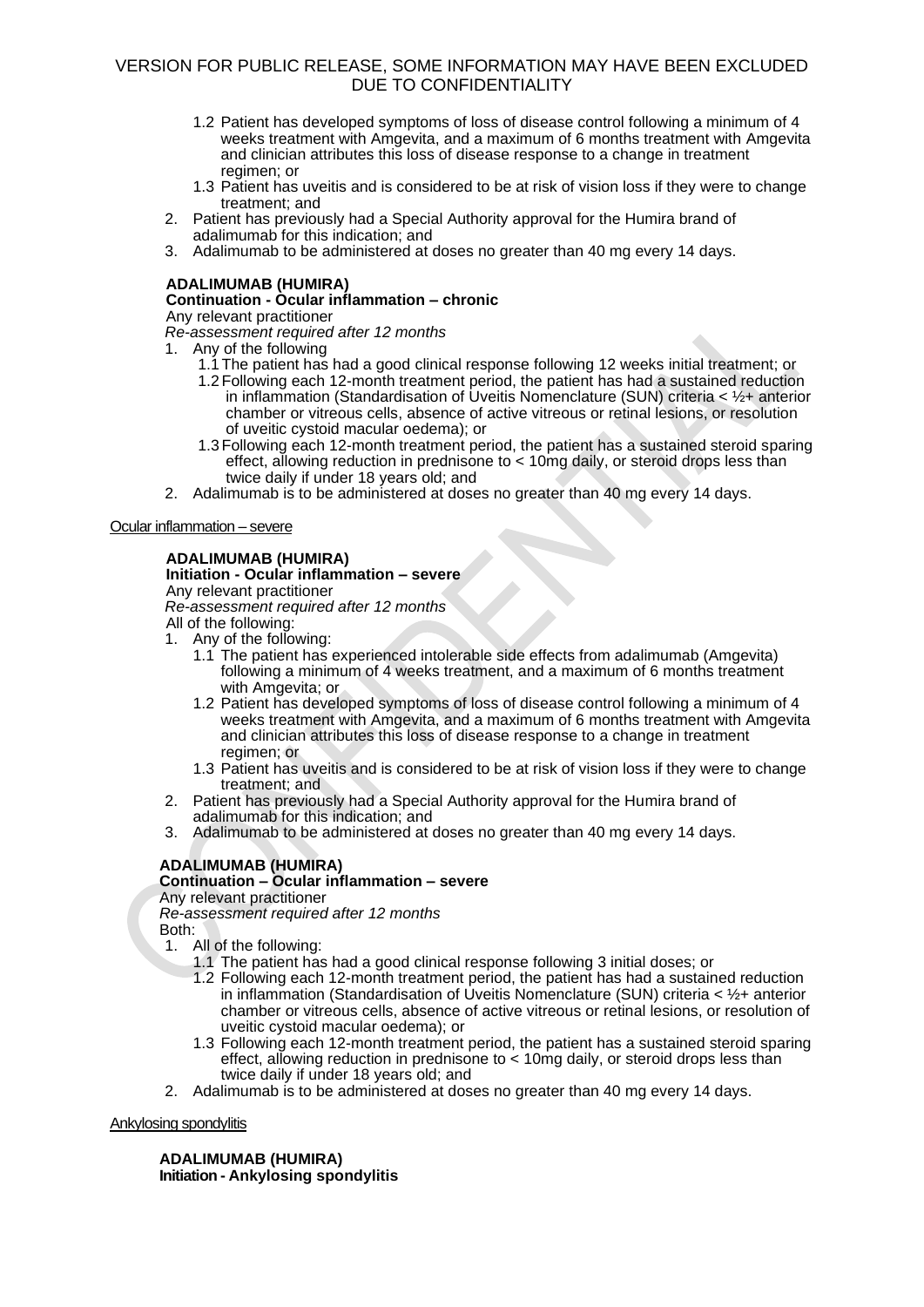- 1.2 Patient has developed symptoms of loss of disease control following a minimum of 4 weeks treatment with Amgevita, and a maximum of 6 months treatment with Amgevita and clinician attributes this loss of disease response to a change in treatment regimen; or
- 1.3 Patient has uveitis and is considered to be at risk of vision loss if they were to change treatment; and
- 2. Patient has previously had a Special Authority approval for the Humira brand of adalimumab for this indication; and
- 3. Adalimumab to be administered at doses no greater than 40 mg every 14 days.

# **ADALIMUMAB (HUMIRA)**

# **Continuation - Ocular inflammation – chronic**

Any relevant practitioner

*Re-assessment required after 12 months*

- 1. Any of the following
	- 1.1 The patient has had a good clinical response following 12 weeks initial treatment; or
	- 1.2 Following each 12-month treatment period, the patient has had a sustained reduction in inflammation (Standardisation of Uveitis Nomenclature (SUN) criteria  $\lt 1/2+$  anterior chamber or vitreous cells, absence of active vitreous or retinal lesions, or resolution of uveitic cystoid macular oedema); or
	- 1.3 Following each 12-month treatment period, the patient has a sustained steroid sparing effect, allowing reduction in prednisone to < 10mg daily, or steroid drops less than twice daily if under 18 years old; and
- 2. Adalimumab is to be administered at doses no greater than 40 mg every 14 days.

Ocular inflammation – severe

# **ADALIMUMAB (HUMIRA)**

# **Initiation - Ocular inflammation – severe**

Any relevant practitioner

*Re-assessment required after 12 months* All of the following:

- 1. Any of the following:
	- 1.1 The patient has experienced intolerable side effects from adalimumab (Amgevita) following a minimum of 4 weeks treatment, and a maximum of 6 months treatment with Amgevita; or
	- 1.2 Patient has developed symptoms of loss of disease control following a minimum of 4 weeks treatment with Amgevita, and a maximum of 6 months treatment with Amgevita and clinician attributes this loss of disease response to a change in treatment regimen; or
	- 1.3 Patient has uveitis and is considered to be at risk of vision loss if they were to change treatment; and
- 2. Patient has previously had a Special Authority approval for the Humira brand of adalimumab for this indication; and
- 3. Adalimumab to be administered at doses no greater than 40 mg every 14 days.

# **ADALIMUMAB (HUMIRA)**

# **Continuation – Ocular inflammation – severe**

Any relevant practitioner

*Re-assessment required after 12 months*

Both:

- 1. All of the following:
	- 1.1 The patient has had a good clinical response following 3 initial doses; or
	- 1.2 Following each 12-month treatment period, the patient has had a sustained reduction in inflammation (Standardisation of Uveitis Nomenclature (SUN) criteria < ½+ anterior chamber or vitreous cells, absence of active vitreous or retinal lesions, or resolution of uveitic cystoid macular oedema); or
	- 1.3 Following each 12-month treatment period, the patient has a sustained steroid sparing effect, allowing reduction in prednisone to < 10mg daily, or steroid drops less than twice daily if under 18 years old; and
- 2. Adalimumab is to be administered at doses no greater than 40 mg every 14 days.

Ankylosing spondylitis

**ADALIMUMAB (HUMIRA) Initiation - Ankylosing spondylitis**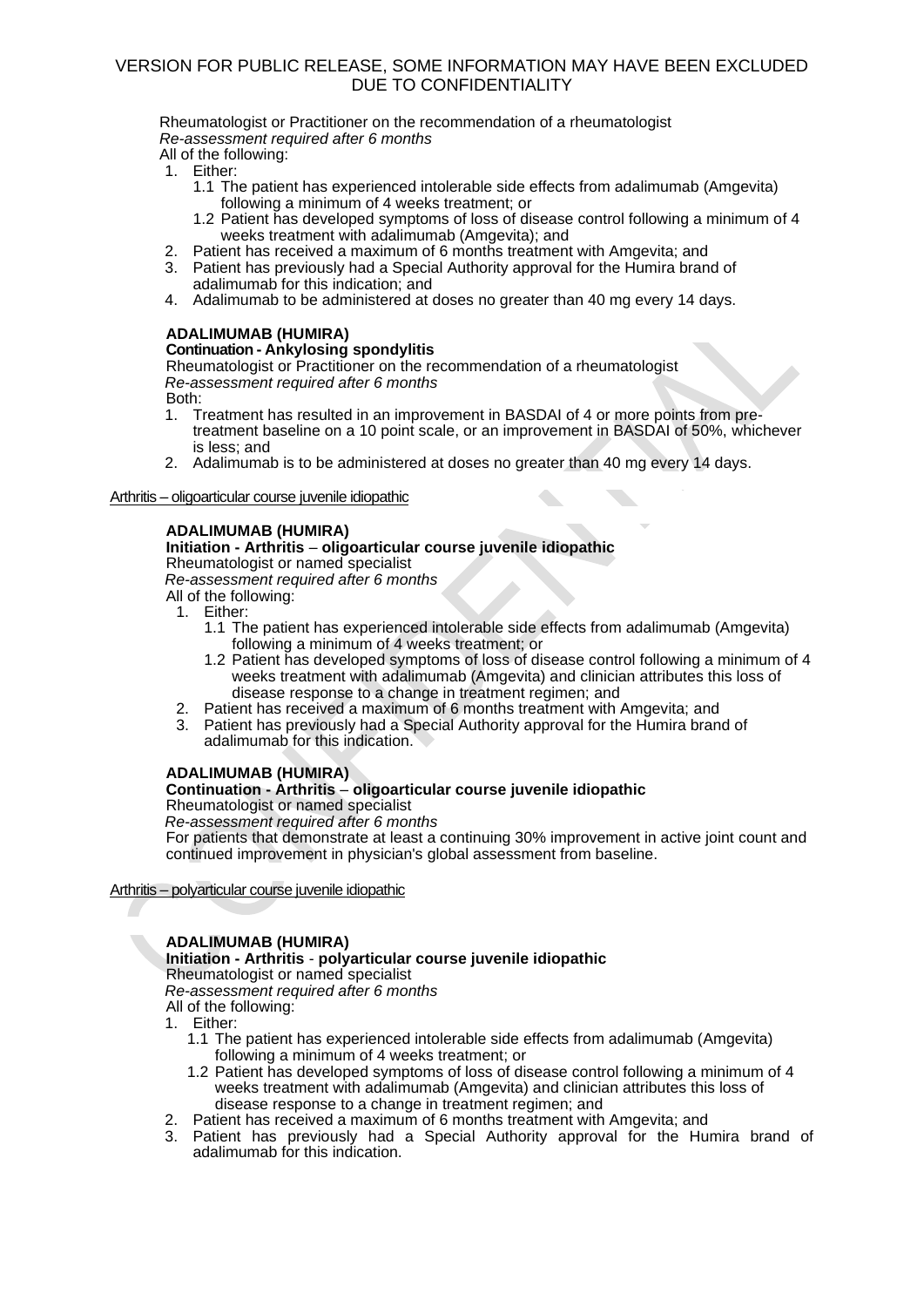Rheumatologist or Practitioner on the recommendation of a rheumatologist *Re-assessment required after 6 months* 

All of the following:

- 1. Either:
	- 1.1 The patient has experienced intolerable side effects from adalimumab (Amgevita) following a minimum of 4 weeks treatment; or
	- 1.2 Patient has developed symptoms of loss of disease control following a minimum of 4 weeks treatment with adalimumab (Amgevita); and
- 2. Patient has received a maximum of 6 months treatment with Amgevita; and
- 3. Patient has previously had a Special Authority approval for the Humira brand of adalimumab for this indication; and
- 4. Adalimumab to be administered at doses no greater than 40 mg every 14 days.

# **ADALIMUMAB (HUMIRA)**

### **Continuation - Ankylosing spondylitis**

Rheumatologist or Practitioner on the recommendation of a rheumatologist *Re-assessment required after 6 months*

Both:

1. Treatment has resulted in an improvement in BASDAI of 4 or more points from pretreatment baseline on a 10 point scale, or an improvement in BASDAI of 50%, whichever is less; and

 $\bullet$ 

2. Adalimumab is to be administered at doses no greater than 40 mg every 14 days.

### Arthritis – oligoarticular course juvenile idiopathic

### **ADALIMUMAB (HUMIRA)**

# **Initiation - Arthritis** – **oligoarticular course juvenile idiopathic**

Rheumatologist or named specialist

*Re-assessment required after 6 months*

- All of the following:
- 1. Either:
	- 1.1 The patient has experienced intolerable side effects from adalimumab (Amgevita) following a minimum of 4 weeks treatment; or
	- 1.2 Patient has developed symptoms of loss of disease control following a minimum of 4 weeks treatment with adalimumab (Amgevita) and clinician attributes this loss of disease response to a change in treatment regimen; and
- 
- 2. Patient has received a maximum of 6 months treatment with Amgevita; and 3. Patient has previously had a Special Authority approval for the Humira brang 3. Patient has previously had a Special Authority approval for the Humira brand of adalimumab for this indication.

### **ADALIMUMAB (HUMIRA)**

# **Continuation - Arthritis** – **oligoarticular course juvenile idiopathic**

Rheumatologist or named specialist

*Re-assessment required after 6 months*

For patients that demonstrate at least a continuing 30% improvement in active joint count and continued improvement in physician's global assessment from baseline.

### Arthritis – polyarticular course juvenile idiopathic

# **ADALIMUMAB (HUMIRA)**

**Initiation - Arthritis** - **polyarticular course juvenile idiopathic** Rheumatologist or named specialist

*Re-assessment required after 6 months*

All of the following:

- 1. Either:
	- 1.1 The patient has experienced intolerable side effects from adalimumab (Amgevita) following a minimum of 4 weeks treatment; or
	- 1.2 Patient has developed symptoms of loss of disease control following a minimum of 4 weeks treatment with adalimumab (Amgevita) and clinician attributes this loss of disease response to a change in treatment regimen; and
- 2. Patient has received a maximum of 6 months treatment with Amgevita; and
- 3. Patient has previously had a Special Authority approval for the Humira brand of adalimumab for this indication.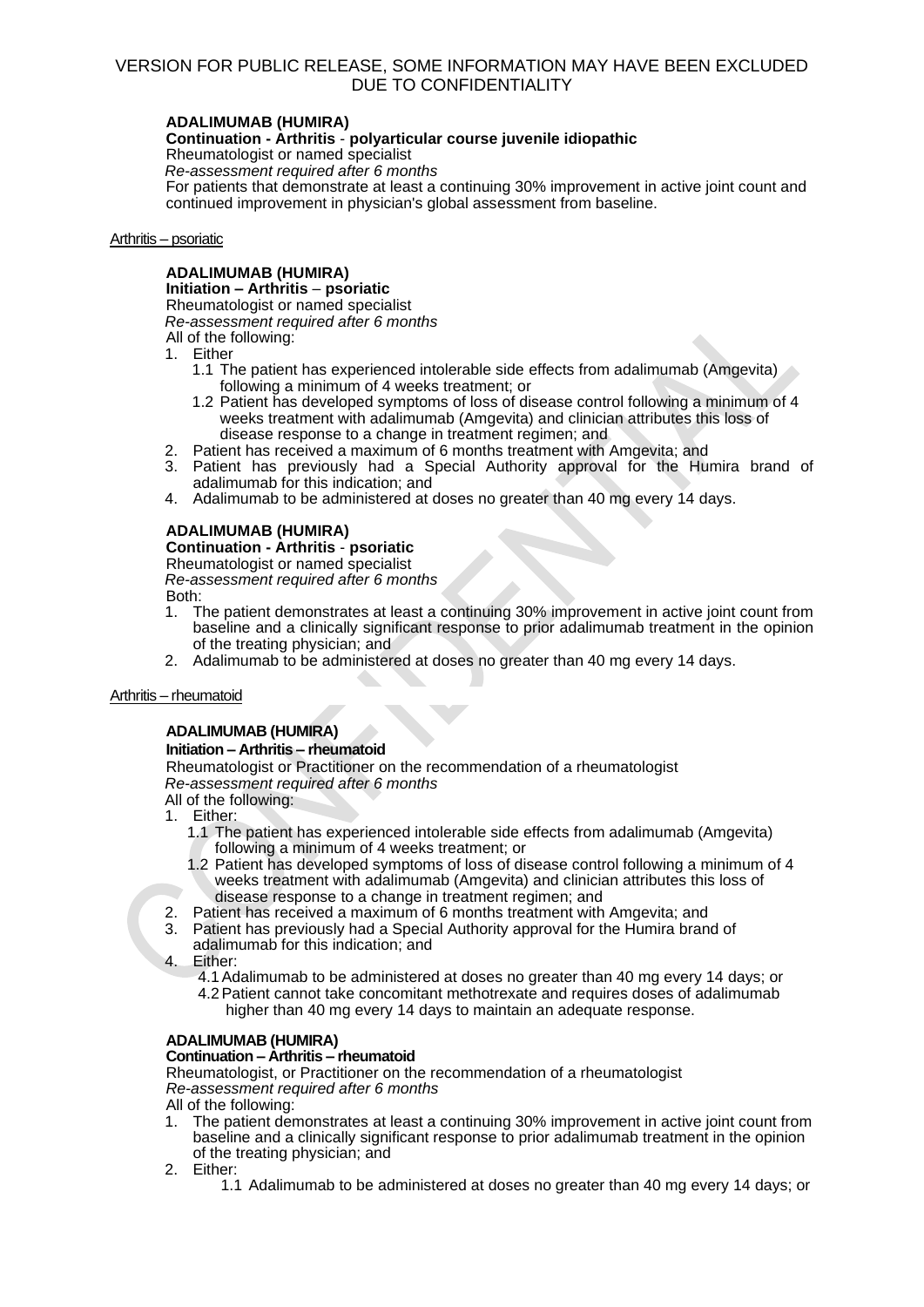### **ADALIMUMAB (HUMIRA)**

### **Continuation - Arthritis** - **polyarticular course juvenile idiopathic**

Rheumatologist or named specialist *Re-assessment required after 6 months*

For patients that demonstrate at least a continuing 30% improvement in active joint count and continued improvement in physician's global assessment from baseline.

### Arthritis – psoriatic

# **ADALIMUMAB (HUMIRA)**

**Initiation – Arthritis** – **psoriatic**

Rheumatologist or named specialist *Re-assessment required after 6 months*

All of the following:

- 1. Either
	- 1.1 The patient has experienced intolerable side effects from adalimumab (Amgevita) following a minimum of 4 weeks treatment; or
	- 1.2 Patient has developed symptoms of loss of disease control following a minimum of 4 weeks treatment with adalimumab (Amgevita) and clinician attributes this loss of disease response to a change in treatment regimen; and
- 2. Patient has received a maximum of 6 months treatment with Amgevita; and
- 3. Patient has previously had a Special Authority approval for the Humira brand of adalimumab for this indication; and
- 4. Adalimumab to be administered at doses no greater than 40 mg every 14 days.

### **ADALIMUMAB (HUMIRA)**

# **Continuation - Arthritis** - **psoriatic**

Rheumatologist or named specialist

*Re-assessment required after 6 months*

- Both:
- 1. The patient demonstrates at least a continuing 30% improvement in active joint count from baseline and a clinically significant response to prior adalimumab treatment in the opinion of the treating physician; and
- 2. Adalimumab to be administered at doses no greater than 40 mg every 14 days.

### Arthritis – rheumatoid

# **ADALIMUMAB (HUMIRA)**

# **Initiation – Arthritis – rheumatoid**

Rheumatologist or Practitioner on the recommendation of a rheumatologist *Re-assessment required after 6 months*

All of the following:

- 1. Either:
	- 1.1 The patient has experienced intolerable side effects from adalimumab (Amgevita) following a minimum of 4 weeks treatment; or
	- 1.2 Patient has developed symptoms of loss of disease control following a minimum of 4 weeks treatment with adalimumab (Amgevita) and clinician attributes this loss of disease response to a change in treatment regimen; and
- 2. Patient has received a maximum of 6 months treatment with Amgevita; and
- 3. Patient has previously had a Special Authority approval for the Humira brand of adalimumab for this indication; and
- 4. Either:
	- 4.1Adalimumab to be administered at doses no greater than 40 mg every 14 days; or 4.2Patient cannot take concomitant methotrexate and requires doses of adalimumab higher than 40 mg every 14 days to maintain an adequate response.

# **ADALIMUMAB (HUMIRA)**

**Continuation – Arthritis – rheumatoid**

Rheumatologist, or Practitioner on the recommendation of a rheumatologist *Re-assessment required after 6 months*

All of the following:

- 1. The patient demonstrates at least a continuing 30% improvement in active joint count from baseline and a clinically significant response to prior adalimumab treatment in the opinion of the treating physician; and
- 2. Either:
	- 1.1 Adalimumab to be administered at doses no greater than 40 mg every 14 days; or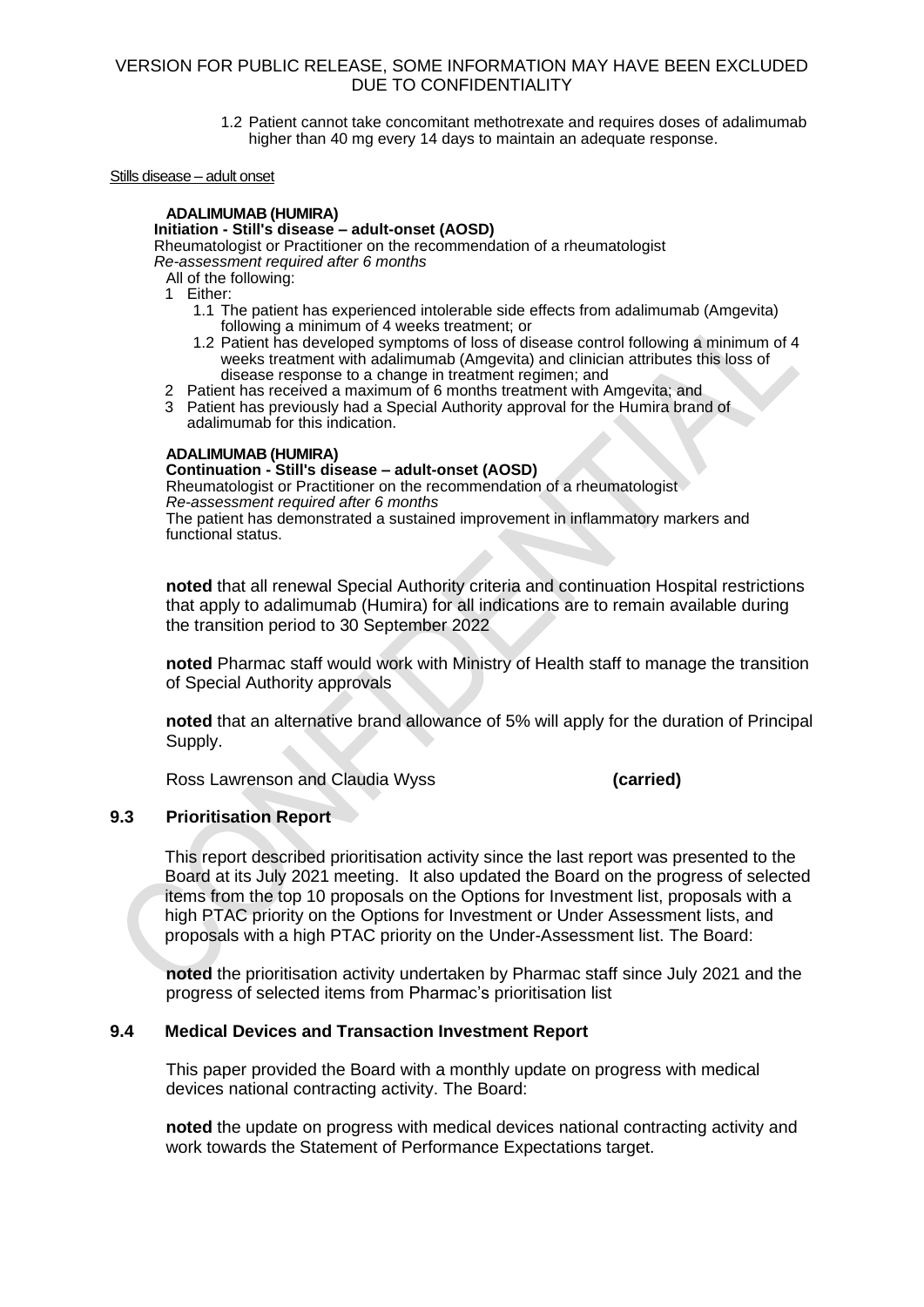1.2 Patient cannot take concomitant methotrexate and requires doses of adalimumab higher than 40 mg every 14 days to maintain an adequate response.

### Stills disease – adult onset

### **ADALIMUMAB (HUMIRA)**

### **Initiation - Still's disease – adult-onset (AOSD)**

Rheumatologist or Practitioner on the recommendation of a rheumatologist *Re-assessment required after 6 months*

All of the following:

1 Either:

- 1.1 The patient has experienced intolerable side effects from adalimumab (Amgevita) following a minimum of 4 weeks treatment; or
- 1.2 Patient has developed symptoms of loss of disease control following a minimum of 4 weeks treatment with adalimumab (Amgevita) and clinician attributes this loss of disease response to a change in treatment regimen; and
- 2 Patient has received a maximum of 6 months treatment with Amgevita; and
- 3 Patient has previously had a Special Authority approval for the Humira brand of adalimumab for this indication.

### **ADALIMUMAB (HUMIRA)**

### **Continuation - Still's disease – adult-onset (AOSD)**

Rheumatologist or Practitioner on the recommendation of a rheumatologist *Re-assessment required after 6 months* The patient has demonstrated a sustained improvement in inflammatory markers and functional status.

**noted** that all renewal Special Authority criteria and continuation Hospital restrictions that apply to adalimumab (Humira) for all indications are to remain available during the transition period to 30 September 2022

**noted** Pharmac staff would work with Ministry of Health staff to manage the transition of Special Authority approvals

**noted** that an alternative brand allowance of 5% will apply for the duration of Principal Supply.

Ross Lawrenson and Claudia Wyss **(carried)**

### **9.3 Prioritisation Report**

This report described prioritisation activity since the last report was presented to the Board at its July 2021 meeting. It also updated the Board on the progress of selected items from the top 10 proposals on the Options for Investment list, proposals with a high PTAC priority on the Options for Investment or Under Assessment lists, and proposals with a high PTAC priority on the Under-Assessment list. The Board:

**noted** the prioritisation activity undertaken by Pharmac staff since July 2021 and the progress of selected items from Pharmac's prioritisation list

### **9.4 Medical Devices and Transaction Investment Report**

This paper provided the Board with a monthly update on progress with medical devices national contracting activity. The Board:

**noted** the update on progress with medical devices national contracting activity and work towards the Statement of Performance Expectations target.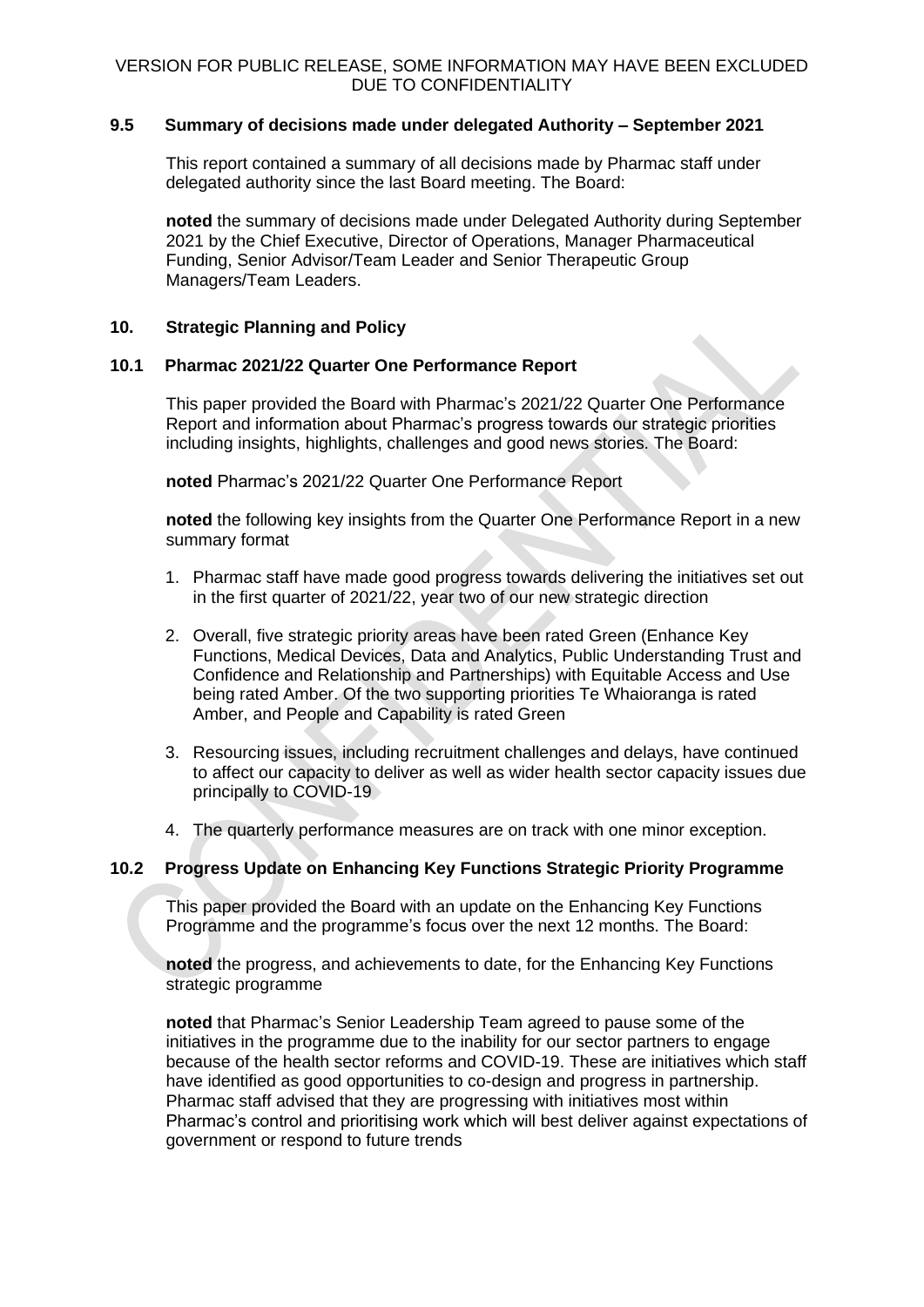# **9.5 Summary of decisions made under delegated Authority – September 2021**

This report contained a summary of all decisions made by Pharmac staff under delegated authority since the last Board meeting. The Board:

**noted** the summary of decisions made under Delegated Authority during September 2021 by the Chief Executive, Director of Operations, Manager Pharmaceutical Funding, Senior Advisor/Team Leader and Senior Therapeutic Group Managers/Team Leaders.

# **10. Strategic Planning and Policy**

# **10.1 Pharmac 2021/22 Quarter One Performance Report**

This paper provided the Board with Pharmac's 2021/22 Quarter One Performance Report and information about Pharmac's progress towards our strategic priorities including insights, highlights, challenges and good news stories. The Board:

**noted** Pharmac's 2021/22 Quarter One Performance Report

**noted** the following key insights from the Quarter One Performance Report in a new summary format

- 1. Pharmac staff have made good progress towards delivering the initiatives set out in the first quarter of 2021/22, year two of our new strategic direction
- 2. Overall, five strategic priority areas have been rated Green (Enhance Key Functions, Medical Devices, Data and Analytics, Public Understanding Trust and Confidence and Relationship and Partnerships) with Equitable Access and Use being rated Amber. Of the two supporting priorities Te Whaioranga is rated Amber, and People and Capability is rated Green
- 3. Resourcing issues, including recruitment challenges and delays, have continued to affect our capacity to deliver as well as wider health sector capacity issues due principally to COVID-19
- 4. The quarterly performance measures are on track with one minor exception.

# **10.2 Progress Update on Enhancing Key Functions Strategic Priority Programme**

This paper provided the Board with an update on the Enhancing Key Functions Programme and the programme's focus over the next 12 months. The Board:

**noted** the progress, and achievements to date, for the Enhancing Key Functions strategic programme

**noted** that Pharmac's Senior Leadership Team agreed to pause some of the initiatives in the programme due to the inability for our sector partners to engage because of the health sector reforms and COVID-19. These are initiatives which staff have identified as good opportunities to co-design and progress in partnership. Pharmac staff advised that they are progressing with initiatives most within Pharmac's control and prioritising work which will best deliver against expectations of government or respond to future trends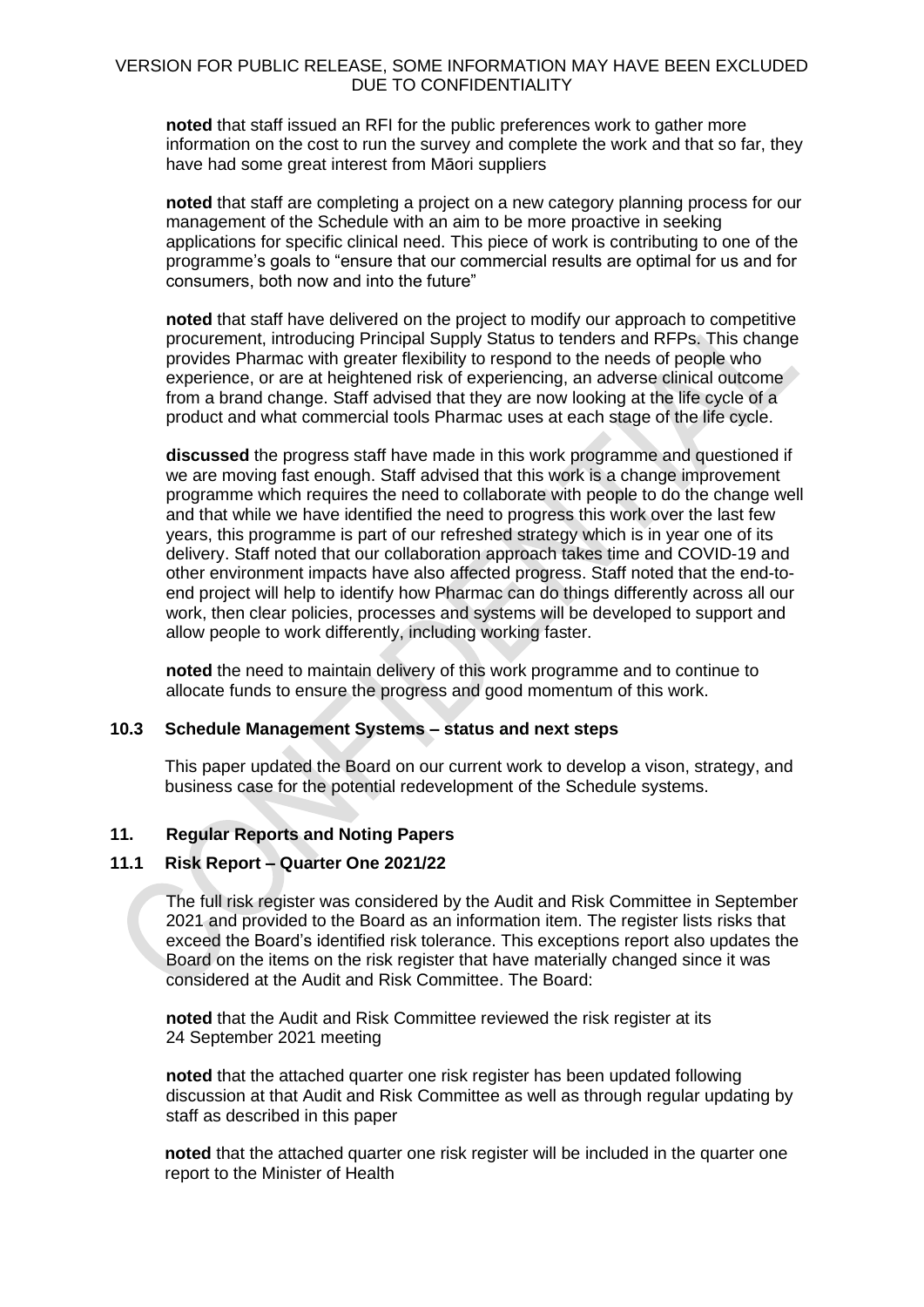**noted** that staff issued an RFI for the public preferences work to gather more information on the cost to run the survey and complete the work and that so far, they have had some great interest from Māori suppliers

**noted** that staff are completing a project on a new category planning process for our management of the Schedule with an aim to be more proactive in seeking applications for specific clinical need. This piece of work is contributing to one of the programme's goals to "ensure that our commercial results are optimal for us and for consumers, both now and into the future"

**noted** that staff have delivered on the project to modify our approach to competitive procurement, introducing Principal Supply Status to tenders and RFPs. This change provides Pharmac with greater flexibility to respond to the needs of people who experience, or are at heightened risk of experiencing, an adverse clinical outcome from a brand change. Staff advised that they are now looking at the life cycle of a product and what commercial tools Pharmac uses at each stage of the life cycle.

**discussed** the progress staff have made in this work programme and questioned if we are moving fast enough. Staff advised that this work is a change improvement programme which requires the need to collaborate with people to do the change well and that while we have identified the need to progress this work over the last few years, this programme is part of our refreshed strategy which is in year one of its delivery. Staff noted that our collaboration approach takes time and COVID-19 and other environment impacts have also affected progress. Staff noted that the end-toend project will help to identify how Pharmac can do things differently across all our work, then clear policies, processes and systems will be developed to support and allow people to work differently, including working faster.

**noted** the need to maintain delivery of this work programme and to continue to allocate funds to ensure the progress and good momentum of this work.

# **10.3 Schedule Management Systems – status and next steps**

This paper updated the Board on our current work to develop a vison, strategy, and business case for the potential redevelopment of the Schedule systems.

# **11. Regular Reports and Noting Papers**

# **11.1 Risk Report – Quarter One 2021/22**

The full risk register was considered by the Audit and Risk Committee in September 2021 and provided to the Board as an information item. The register lists risks that exceed the Board's identified risk tolerance. This exceptions report also updates the Board on the items on the risk register that have materially changed since it was considered at the Audit and Risk Committee. The Board:

**noted** that the Audit and Risk Committee reviewed the risk register at its 24 September 2021 meeting

**noted** that the attached quarter one risk register has been updated following discussion at that Audit and Risk Committee as well as through regular updating by staff as described in this paper

**noted** that the attached quarter one risk register will be included in the quarter one report to the Minister of Health